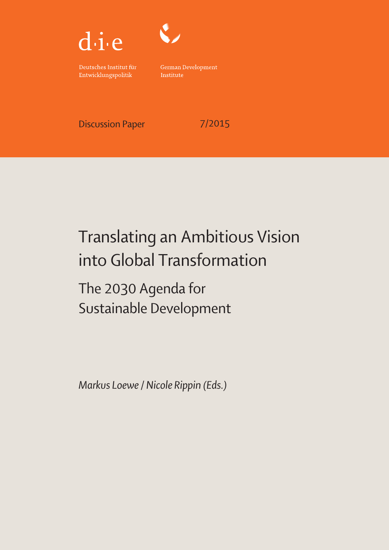



Deutsches Institut für Entwicklungspolitik

German Development Institute

Discussion Paper 7/2015

# Translating an Ambitious Vision into Global Transformation

The 2030 Agenda for Sustainable Development

Markus Loewe / Nicole Rippin (Eds.)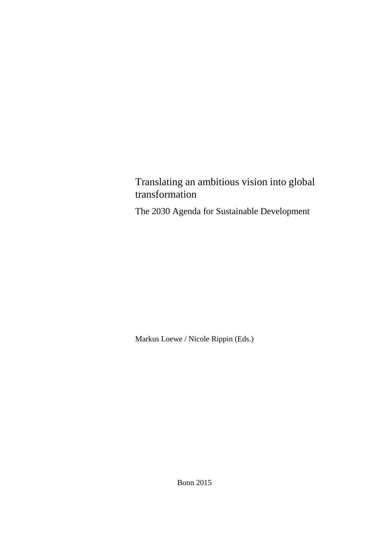Translating an ambitious vision into global transformation

The 2030 Agenda for Sustainable Development

Markus Loewe / Nicole Rippin (Eds.)

Bonn 2015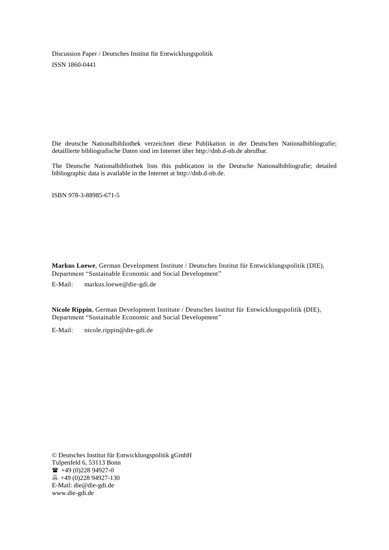Discussion Paper / Deutsches Institut für Entwicklungspolitik ISSN 1860-0441

Die deutsche Nationalbibliothek verzeichnet diese Publikation in der Deutschen Nationalbibliografie; detaillierte bibliografische Daten sind im Internet über http://dnb.d-nb.de abrufbar.

The Deutsche Nationalbibliothek lists this publication in the Deutsche Nationalbibliografie; detailed bibliographic data is available in the Internet at http://dnb.d-nb.de.

ISBN 978-3-88985-671-5

**Markus Loewe**, German Development Institute / Deutsches Institut für Entwicklungspolitik (DIE), Department "Sustainable Economic and Social Development"

E-Mail: [markus.loewe@die-gdi.de](mailto:markus.loewe@die-gdi.de)

**Nicole Rippin**, German Development Institute / Deutsches Institut für Entwicklungspolitik (DIE), Department "Sustainable Economic and Social Development"

E-Mail: [nicole.rippin@die-gdi.de](mailto:nicole.rippin@die-gdi.de)

© Deutsches Institut für Entwicklungspolitik gGmbH Tulpenfeld 6, 53113 Bonn  $\bullet$  +49 (0)228 94927-0 +49 (0)228 94927-130 E-Mail: [die@die-gdi.de](mailto:die@die-gdi.de) [www.die-gdi.de](http://www.die-gdi.de/)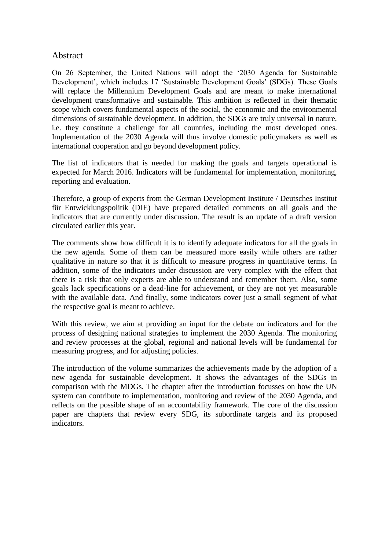## Abstract

On 26 September, the United Nations will adopt the '2030 Agenda for Sustainable Development', which includes 17 'Sustainable Development Goals' (SDGs). These Goals will replace the Millennium Development Goals and are meant to make international development transformative and sustainable. This ambition is reflected in their thematic scope which covers fundamental aspects of the social, the economic and the environmental dimensions of sustainable development. In addition, the SDGs are truly universal in nature, i.e. they constitute a challenge for all countries, including the most developed ones. Implementation of the 2030 Agenda will thus involve domestic policymakers as well as international cooperation and go beyond development policy.

The list of indicators that is needed for making the goals and targets operational is expected for March 2016. Indicators will be fundamental for implementation, monitoring, reporting and evaluation.

Therefore, a group of experts from the German Development Institute / Deutsches Institut für Entwicklungspolitik (DIE) have prepared detailed comments on all goals and the indicators that are currently under discussion. The result is an update of a draft version circulated earlier this year.

The comments show how difficult it is to identify adequate indicators for all the goals in the new agenda. Some of them can be measured more easily while others are rather qualitative in nature so that it is difficult to measure progress in quantitative terms. In addition, some of the indicators under discussion are very complex with the effect that there is a risk that only experts are able to understand and remember them. Also, some goals lack specifications or a dead-line for achievement, or they are not yet measurable with the available data. And finally, some indicators cover just a small segment of what the respective goal is meant to achieve.

With this review, we aim at providing an input for the debate on indicators and for the process of designing national strategies to implement the 2030 Agenda. The monitoring and review processes at the global, regional and national levels will be fundamental for measuring progress, and for adjusting policies.

The introduction of the volume summarizes the achievements made by the adoption of a new agenda for sustainable development. It shows the advantages of the SDGs in comparison with the MDGs. The chapter after the introduction focusses on how the UN system can contribute to implementation, monitoring and review of the 2030 Agenda, and reflects on the possible shape of an accountability framework. The core of the discussion paper are chapters that review every SDG, its subordinate targets and its proposed indicators.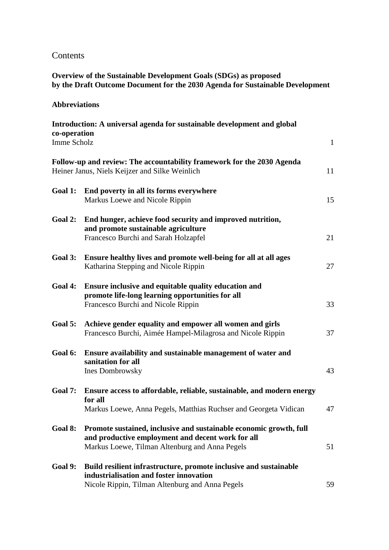## Contents

## **Overview of the Sustainable Development Goals (SDGs) as proposed by the Draft Outcome Document for the 2030 Agenda for Sustainable Development**

## **Abbreviations**

| co-operation | Introduction: A universal agenda for sustainable development and global                                                                                                   |              |
|--------------|---------------------------------------------------------------------------------------------------------------------------------------------------------------------------|--------------|
| Imme Scholz  |                                                                                                                                                                           | $\mathbf{1}$ |
|              | Follow-up and review: The accountability framework for the 2030 Agenda<br>Heiner Janus, Niels Keijzer and Silke Weinlich                                                  | 11           |
| Goal 1:      | End poverty in all its forms everywhere<br>Markus Loewe and Nicole Rippin                                                                                                 | 15           |
| Goal 2:      | End hunger, achieve food security and improved nutrition,<br>and promote sustainable agriculture<br>Francesco Burchi and Sarah Holzapfel                                  | 21           |
| Goal 3:      | Ensure healthy lives and promote well-being for all at all ages<br>Katharina Stepping and Nicole Rippin                                                                   | 27           |
| Goal 4:      | Ensure inclusive and equitable quality education and<br>promote life-long learning opportunities for all<br>Francesco Burchi and Nicole Rippin                            | 33           |
| Goal 5:      | Achieve gender equality and empower all women and girls<br>Francesco Burchi, Aimée Hampel-Milagrosa and Nicole Rippin                                                     | 37           |
| Goal 6:      | Ensure availability and sustainable management of water and<br>sanitation for all<br>Ines Dombrowsky                                                                      | 43           |
| Goal 7:      | Ensure access to affordable, reliable, sustainable, and modern energy<br>for all<br>Markus Loewe, Anna Pegels, Matthias Ruchser and Georgeta Vidican                      | 47           |
| Goal 8:      | Promote sustained, inclusive and sustainable economic growth, full<br>and productive employment and decent work for all<br>Markus Loewe, Tilman Altenburg and Anna Pegels | 51           |
| Goal 9:      | Build resilient infrastructure, promote inclusive and sustainable<br>industrialisation and foster innovation<br>Nicole Rippin, Tilman Altenburg and Anna Pegels           | 59           |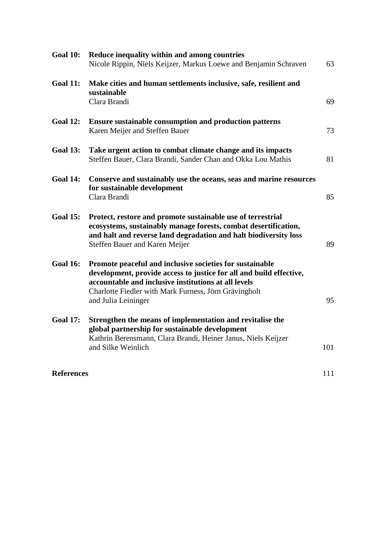| <b>Goal 10:</b>   | Reduce inequality within and among countries<br>Nicole Rippin, Niels Keijzer, Markus Loewe and Benjamin Schraven                                                                                                                                                        | 63  |
|-------------------|-------------------------------------------------------------------------------------------------------------------------------------------------------------------------------------------------------------------------------------------------------------------------|-----|
| <b>Goal 11:</b>   | Make cities and human settlements inclusive, safe, resilient and<br>sustainable<br>Clara Brandi                                                                                                                                                                         | 69  |
| <b>Goal 12:</b>   | <b>Ensure sustainable consumption and production patterns</b><br>Karen Meijer and Steffen Bauer                                                                                                                                                                         | 73  |
| <b>Goal 13:</b>   | Take urgent action to combat climate change and its impacts<br>Steffen Bauer, Clara Brandi, Sander Chan and Okka Lou Mathis                                                                                                                                             | 81  |
| <b>Goal 14:</b>   | Conserve and sustainably use the oceans, seas and marine resources<br>for sustainable development<br>Clara Brandi                                                                                                                                                       | 85  |
| <b>Goal 15:</b>   | Protect, restore and promote sustainable use of terrestrial<br>ecosystems, sustainably manage forests, combat desertification,<br>and halt and reverse land degradation and halt biodiversity loss<br>Steffen Bauer and Karen Meijer                                    | 89  |
| <b>Goal 16:</b>   | Promote peaceful and inclusive societies for sustainable<br>development, provide access to justice for all and build effective,<br>accountable and inclusive institutions at all levels<br>Charlotte Fiedler with Mark Furness, Jörn Grävingholt<br>and Julia Leininger | 95  |
| <b>Goal 17:</b>   | Strengthen the means of implementation and revitalise the<br>global partnership for sustainable development<br>Kathrin Berensmann, Clara Brandi, Heiner Janus, Niels Keijzer<br>and Silke Weinlich                                                                      | 101 |
| <b>References</b> |                                                                                                                                                                                                                                                                         | 111 |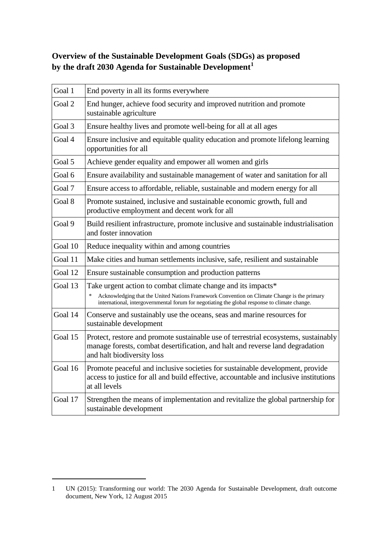# **Overview of the Sustainable Development Goals (SDGs) as proposed by the draft 2030 Agenda for Sustainable Development<sup>1</sup>**

| Goal 1  | End poverty in all its forms everywhere                                                                                                                                                                                                                                |
|---------|------------------------------------------------------------------------------------------------------------------------------------------------------------------------------------------------------------------------------------------------------------------------|
| Goal 2  | End hunger, achieve food security and improved nutrition and promote<br>sustainable agriculture                                                                                                                                                                        |
| Goal 3  | Ensure healthy lives and promote well-being for all at all ages                                                                                                                                                                                                        |
| Goal 4  | Ensure inclusive and equitable quality education and promote lifelong learning<br>opportunities for all                                                                                                                                                                |
| Goal 5  | Achieve gender equality and empower all women and girls                                                                                                                                                                                                                |
| Goal 6  | Ensure availability and sustainable management of water and sanitation for all                                                                                                                                                                                         |
| Goal 7  | Ensure access to affordable, reliable, sustainable and modern energy for all                                                                                                                                                                                           |
| Goal 8  | Promote sustained, inclusive and sustainable economic growth, full and<br>productive employment and decent work for all                                                                                                                                                |
| Goal 9  | Build resilient infrastructure, promote inclusive and sustainable industrialisation<br>and foster innovation                                                                                                                                                           |
| Goal 10 | Reduce inequality within and among countries                                                                                                                                                                                                                           |
| Goal 11 | Make cities and human settlements inclusive, safe, resilient and sustainable                                                                                                                                                                                           |
| Goal 12 | Ensure sustainable consumption and production patterns                                                                                                                                                                                                                 |
| Goal 13 | Take urgent action to combat climate change and its impacts*<br>Acknowledging that the United Nations Framework Convention on Climate Change is the primary<br>$\ast$<br>international, intergovernmental forum for negotiating the global response to climate change. |
| Goal 14 | Conserve and sustainably use the oceans, seas and marine resources for<br>sustainable development                                                                                                                                                                      |
| Goal 15 | Protect, restore and promote sustainable use of terrestrial ecosystems, sustainably<br>manage forests, combat desertification, and halt and reverse land degradation<br>and halt biodiversity loss                                                                     |
| Goal 16 | Promote peaceful and inclusive societies for sustainable development, provide<br>access to justice for all and build effective, accountable and inclusive institutions<br>at all levels                                                                                |
| Goal 17 | Strengthen the means of implementation and revitalize the global partnership for<br>sustainable development                                                                                                                                                            |

 $\overline{a}$ 

<sup>1</sup> UN (2015): Transforming our world: The 2030 Agenda for Sustainable Development, draft outcome document, New York, 12 August 2015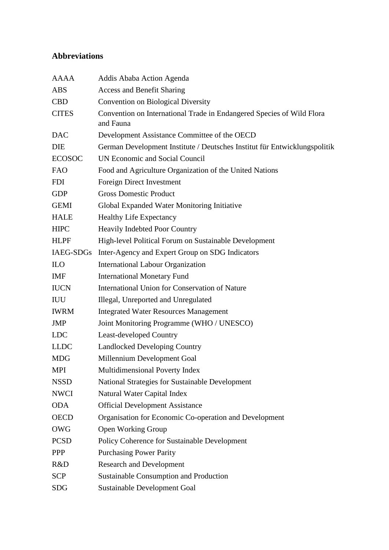# **Abbreviations**

| <b>AAAA</b>   | Addis Ababa Action Agenda                                                          |
|---------------|------------------------------------------------------------------------------------|
| <b>ABS</b>    | <b>Access and Benefit Sharing</b>                                                  |
| <b>CBD</b>    | <b>Convention on Biological Diversity</b>                                          |
| <b>CITES</b>  | Convention on International Trade in Endangered Species of Wild Flora<br>and Fauna |
| <b>DAC</b>    | Development Assistance Committee of the OECD                                       |
| <b>DIE</b>    | German Development Institute / Deutsches Institut für Entwicklungspolitik          |
| <b>ECOSOC</b> | <b>UN Economic and Social Council</b>                                              |
| FAO           | Food and Agriculture Organization of the United Nations                            |
| <b>FDI</b>    | Foreign Direct Investment                                                          |
| <b>GDP</b>    | <b>Gross Domestic Product</b>                                                      |
| <b>GEMI</b>   | Global Expanded Water Monitoring Initiative                                        |
| <b>HALE</b>   | <b>Healthy Life Expectancy</b>                                                     |
| <b>HIPC</b>   | <b>Heavily Indebted Poor Country</b>                                               |
| <b>HLPF</b>   | High-level Political Forum on Sustainable Development                              |
|               | IAEG-SDGs Inter-Agency and Expert Group on SDG Indicators                          |
| <b>ILO</b>    | <b>International Labour Organization</b>                                           |
| <b>IMF</b>    | <b>International Monetary Fund</b>                                                 |
| <b>IUCN</b>   | International Union for Conservation of Nature                                     |
| <b>IUU</b>    | Illegal, Unreported and Unregulated                                                |
| <b>IWRM</b>   | <b>Integrated Water Resources Management</b>                                       |
| <b>JMP</b>    | Joint Monitoring Programme (WHO / UNESCO)                                          |
| <b>LDC</b>    | <b>Least-developed Country</b>                                                     |
| <b>LLDC</b>   | <b>Landlocked Developing Country</b>                                               |
| <b>MDG</b>    | Millennium Development Goal                                                        |
| <b>MPI</b>    | Multidimensional Poverty Index                                                     |
| <b>NSSD</b>   | National Strategies for Sustainable Development                                    |
| <b>NWCI</b>   | <b>Natural Water Capital Index</b>                                                 |
| <b>ODA</b>    | <b>Official Development Assistance</b>                                             |
| <b>OECD</b>   | Organisation for Economic Co-operation and Development                             |
| OWG           | <b>Open Working Group</b>                                                          |
| <b>PCSD</b>   | Policy Coherence for Sustainable Development                                       |
| <b>PPP</b>    | <b>Purchasing Power Parity</b>                                                     |
| R&D           | <b>Research and Development</b>                                                    |
| <b>SCP</b>    | Sustainable Consumption and Production                                             |
| <b>SDG</b>    | <b>Sustainable Development Goal</b>                                                |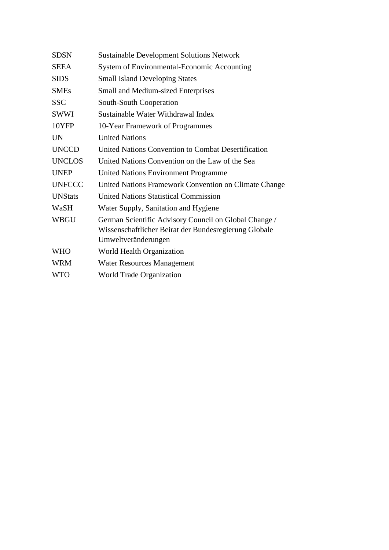| <b>SDSN</b>    | <b>Sustainable Development Solutions Network</b>      |
|----------------|-------------------------------------------------------|
| <b>SEEA</b>    | System of Environmental-Economic Accounting           |
| <b>SIDS</b>    | <b>Small Island Developing States</b>                 |
| <b>SMEs</b>    | <b>Small and Medium-sized Enterprises</b>             |
| <b>SSC</b>     | South-South Cooperation                               |
| SWWI           | Sustainable Water Withdrawal Index                    |
| 10YFP          | 10-Year Framework of Programmes                       |
| <b>UN</b>      | <b>United Nations</b>                                 |
| <b>UNCCD</b>   | United Nations Convention to Combat Desertification   |
| <b>UNCLOS</b>  | United Nations Convention on the Law of the Sea       |
| <b>UNEP</b>    | <b>United Nations Environment Programme</b>           |
| <b>UNFCCC</b>  | United Nations Framework Convention on Climate Change |
| <b>UNStats</b> | <b>United Nations Statistical Commission</b>          |
| WaSH           | Water Supply, Sanitation and Hygiene                  |
| <b>WBGU</b>    | German Scientific Advisory Council on Global Change / |
|                | Wissenschaftlicher Beirat der Bundesregierung Globale |
|                | Umweltveränderungen                                   |
| <b>WHO</b>     | World Health Organization                             |
| <b>WRM</b>     | <b>Water Resources Management</b>                     |
| <b>WTO</b>     | <b>World Trade Organization</b>                       |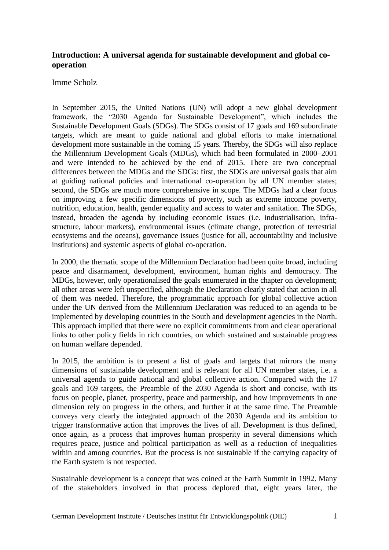## **Introduction: A universal agenda for sustainable development and global cooperation**

#### Imme Scholz

In September 2015, the United Nations (UN) will adopt a new global development framework, the "2030 Agenda for Sustainable Development", which includes the Sustainable Development Goals (SDGs). The SDGs consist of 17 goals and 169 subordinate targets, which are meant to guide national and global efforts to make international development more sustainable in the coming 15 years. Thereby, the SDGs will also replace the Millennium Development Goals (MDGs), which had been formulated in 2000–2001 and were intended to be achieved by the end of 2015. There are two conceptual differences between the MDGs and the SDGs: first, the SDGs are universal goals that aim at guiding national policies and international co-operation by all UN member states; second, the SDGs are much more comprehensive in scope. The MDGs had a clear focus on improving a few specific dimensions of poverty, such as extreme income poverty, nutrition, education, health, gender equality and access to water and sanitation. The SDGs, instead, broaden the agenda by including economic issues (i.e. industrialisation, infrastructure, labour markets), environmental issues (climate change, protection of terrestrial ecosystems and the oceans), governance issues (justice for all, accountability and inclusive institutions) and systemic aspects of global co-operation.

In 2000, the thematic scope of the Millennium Declaration had been quite broad, including peace and disarmament, development, environment, human rights and democracy. The MDGs, however, only operationalised the goals enumerated in the chapter on development; all other areas were left unspecified, although the Declaration clearly stated that action in all of them was needed. Therefore, the programmatic approach for global collective action under the UN derived from the Millennium Declaration was reduced to an agenda to be implemented by developing countries in the South and development agencies in the North. This approach implied that there were no explicit commitments from and clear operational links to other policy fields in rich countries, on which sustained and sustainable progress on human welfare depended.

In 2015, the ambition is to present a list of goals and targets that mirrors the many dimensions of sustainable development and is relevant for all UN member states, i.e. a universal agenda to guide national and global collective action. Compared with the 17 goals and 169 targets, the Preamble of the 2030 Agenda is short and concise, with its focus on people, planet, prosperity, peace and partnership, and how improvements in one dimension rely on progress in the others, and further it at the same time. The Preamble conveys very clearly the integrated approach of the 2030 Agenda and its ambition to trigger transformative action that improves the lives of all. Development is thus defined, once again, as a process that improves human prosperity in several dimensions which requires peace, justice and political participation as well as a reduction of inequalities within and among countries. But the process is not sustainable if the carrying capacity of the Earth system is not respected.

Sustainable development is a concept that was coined at the Earth Summit in 1992. Many of the stakeholders involved in that process deplored that, eight years later, the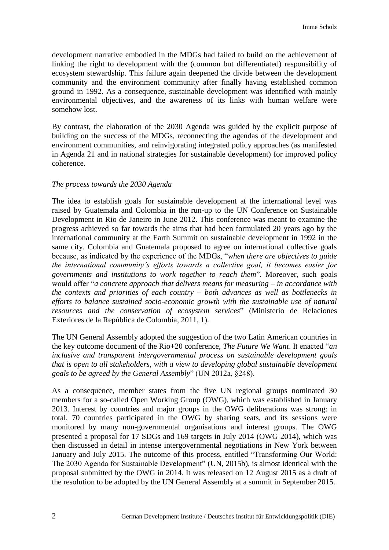development narrative embodied in the MDGs had failed to build on the achievement of linking the right to development with the (common but differentiated) responsibility of ecosystem stewardship. This failure again deepened the divide between the development community and the environment community after finally having established common ground in 1992. As a consequence, sustainable development was identified with mainly environmental objectives, and the awareness of its links with human welfare were somehow lost.

By contrast, the elaboration of the 2030 Agenda was guided by the explicit purpose of building on the success of the MDGs, reconnecting the agendas of the development and environment communities, and reinvigorating integrated policy approaches (as manifested in Agenda 21 and in national strategies for sustainable development) for improved policy coherence.

#### *The process towards the 2030 Agenda*

The idea to establish goals for sustainable development at the international level was raised by Guatemala and Colombia in the run-up to the UN Conference on Sustainable Development in Rio de Janeiro in June 2012. This conference was meant to examine the progress achieved so far towards the aims that had been formulated 20 years ago by the international community at the Earth Summit on sustainable development in 1992 in the same city. Colombia and Guatemala proposed to agree on international collective goals because, as indicated by the experience of the MDGs, "*when there are objectives to guide the international community's efforts towards a collective goal, it becomes easier for governments and institutions to work together to reach them*". Moreover, such goals would offer "*a concrete approach that delivers means for measuring – in accordance with the contexts and priorities of each country – both advances as well as bottlenecks in efforts to balance sustained socio-economic growth with the sustainable use of natural resources and the conservation of ecosystem services*" (Ministerio de Relaciones Exteriores de la República de Colombia, 2011, 1).

The UN General Assembly adopted the suggestion of the two Latin American countries in the key outcome document of the Rio+20 conference, *The Future We Want*. It enacted "*an inclusive and transparent intergovernmental process on sustainable development goals that is open to all stakeholders, with a view to developing global sustainable development goals to be agreed by the General Assembly*" (UN 2012a, §248).

As a consequence, member states from the five UN regional groups nominated 30 members for a so-called Open Working Group (OWG), which was established in January 2013. Interest by countries and major groups in the OWG deliberations was strong: in total, 70 countries participated in the OWG by sharing seats, and its sessions were monitored by many non-governmental organisations and interest groups. The OWG presented a proposal for 17 SDGs and 169 targets in July 2014 (OWG 2014), which was then discussed in detail in intense intergovernmental negotiations in New York between January and July 2015. The outcome of this process, entitled "Transforming Our World: The 2030 Agenda for Sustainable Development" (UN, 2015b), is almost identical with the proposal submitted by the OWG in 2014. It was released on 12 August 2015 as a draft of the resolution to be adopted by the UN General Assembly at a summit in September 2015.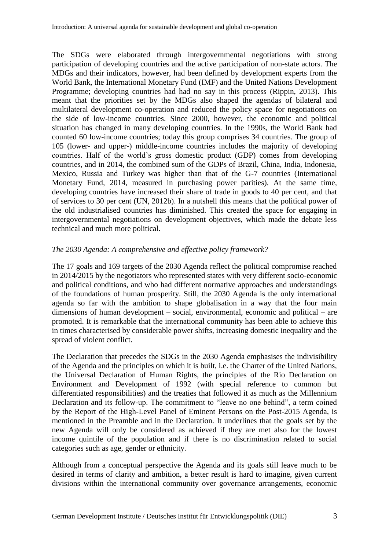The SDGs were elaborated through intergovernmental negotiations with strong participation of developing countries and the active participation of non-state actors. The MDGs and their indicators, however, had been defined by development experts from the World Bank, the International Monetary Fund (IMF) and the United Nations Development Programme; developing countries had had no say in this process (Rippin, 2013). This meant that the priorities set by the MDGs also shaped the agendas of bilateral and multilateral development co-operation and reduced the policy space for negotiations on the side of low-income countries. Since 2000, however, the economic and political situation has changed in many developing countries. In the 1990s, the World Bank had counted 60 low-income countries; today this group comprises 34 countries. The group of 105 (lower- and upper-) middle-income countries includes the majority of developing countries. Half of the world's gross domestic product (GDP) comes from developing countries, and in 2014, the combined sum of the GDPs of Brazil, China, India, Indonesia, Mexico, Russia and Turkey was higher than that of the G-7 countries (International Monetary Fund, 2014, measured in purchasing power parities). At the same time, developing countries have increased their share of trade in goods to 40 per cent, and that of services to 30 per cent (UN, 2012b). In a nutshell this means that the political power of the old industrialised countries has diminished. This created the space for engaging in intergovernmental negotiations on development objectives, which made the debate less technical and much more political.

#### *The 2030 Agenda: A comprehensive and effective policy framework?*

The 17 goals and 169 targets of the 2030 Agenda reflect the political compromise reached in 2014/2015 by the negotiators who represented states with very different socio-economic and political conditions, and who had different normative approaches and understandings of the foundations of human prosperity. Still, the 2030 Agenda is the only international agenda so far with the ambition to shape globalisation in a way that the four main dimensions of human development – social, environmental, economic and political – are promoted. It is remarkable that the international community has been able to achieve this in times characterised by considerable power shifts, increasing domestic inequality and the spread of violent conflict.

The Declaration that precedes the SDGs in the 2030 Agenda emphasises the indivisibility of the Agenda and the principles on which it is built, i.e. the Charter of the United Nations, the Universal Declaration of Human Rights, the principles of the Rio Declaration on Environment and Development of 1992 (with special reference to common but differentiated responsibilities) and the treaties that followed it as much as the Millennium Declaration and its follow-up. The commitment to "leave no one behind", a term coined by the Report of the High-Level Panel of Eminent Persons on the Post-2015 Agenda, is mentioned in the Preamble and in the Declaration. It underlines that the goals set by the new Agenda will only be considered as achieved if they are met also for the lowest income quintile of the population and if there is no discrimination related to social categories such as age, gender or ethnicity.

Although from a conceptual perspective the Agenda and its goals still leave much to be desired in terms of clarity and ambition, a better result is hard to imagine, given current divisions within the international community over governance arrangements, economic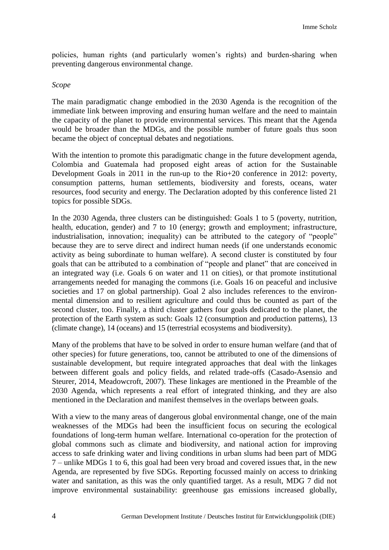policies, human rights (and particularly women's rights) and burden-sharing when preventing dangerous environmental change.

#### *Scope*

The main paradigmatic change embodied in the 2030 Agenda is the recognition of the immediate link between improving and ensuring human welfare and the need to maintain the capacity of the planet to provide environmental services. This meant that the Agenda would be broader than the MDGs, and the possible number of future goals thus soon became the object of conceptual debates and negotiations.

With the intention to promote this paradigmatic change in the future development agenda, Colombia and Guatemala had proposed eight areas of action for the Sustainable Development Goals in 2011 in the run-up to the Rio+20 conference in 2012: poverty, consumption patterns, human settlements, biodiversity and forests, oceans, water resources, food security and energy. The Declaration adopted by this conference listed 21 topics for possible SDGs.

In the 2030 Agenda, three clusters can be distinguished: Goals 1 to 5 (poverty, nutrition, health, education, gender) and 7 to 10 (energy; growth and employment; infrastructure, industrialisation, innovation; inequality) can be attributed to the category of "people" because they are to serve direct and indirect human needs (if one understands economic activity as being subordinate to human welfare). A second cluster is constituted by four goals that can be attributed to a combination of "people and planet" that are conceived in an integrated way (i.e. Goals 6 on water and 11 on cities), or that promote institutional arrangements needed for managing the commons (i.e. Goals 16 on peaceful and inclusive societies and 17 on global partnership). Goal 2 also includes references to the environmental dimension and to resilient agriculture and could thus be counted as part of the second cluster, too. Finally, a third cluster gathers four goals dedicated to the planet, the protection of the Earth system as such: Goals 12 (consumption and production patterns), 13 (climate change), 14 (oceans) and 15 (terrestrial ecosystems and biodiversity).

Many of the problems that have to be solved in order to ensure human welfare (and that of other species) for future generations, too, cannot be attributed to one of the dimensions of sustainable development, but require integrated approaches that deal with the linkages between different goals and policy fields, and related trade-offs (Casado-Asensio and Steurer, 2014, Meadowcroft, 2007). These linkages are mentioned in the Preamble of the 2030 Agenda, which represents a real effort of integrated thinking, and they are also mentioned in the Declaration and manifest themselves in the overlaps between goals.

With a view to the many areas of dangerous global environmental change, one of the main weaknesses of the MDGs had been the insufficient focus on securing the ecological foundations of long-term human welfare. International co-operation for the protection of global commons such as climate and biodiversity, and national action for improving access to safe drinking water and living conditions in urban slums had been part of MDG 7 – unlike MDGs 1 to 6, this goal had been very broad and covered issues that, in the new Agenda, are represented by five SDGs. Reporting focussed mainly on access to drinking water and sanitation, as this was the only quantified target. As a result, MDG 7 did not improve environmental sustainability: greenhouse gas emissions increased globally,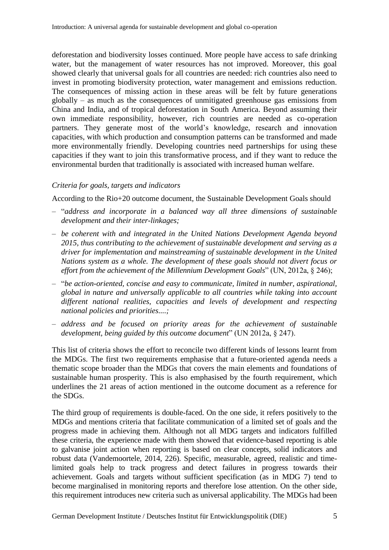deforestation and biodiversity losses continued. More people have access to safe drinking water, but the management of water resources has not improved. Moreover, this goal showed clearly that universal goals for all countries are needed: rich countries also need to invest in promoting biodiversity protection, water management and emissions reduction. The consequences of missing action in these areas will be felt by future generations globally – as much as the consequences of unmitigated greenhouse gas emissions from China and India, and of tropical deforestation in South America. Beyond assuming their own immediate responsibility, however, rich countries are needed as co-operation partners. They generate most of the world's knowledge, research and innovation capacities, with which production and consumption patterns can be transformed and made more environmentally friendly. Developing countries need partnerships for using these capacities if they want to join this transformative process, and if they want to reduce the environmental burden that traditionally is associated with increased human welfare.

#### *Criteria for goals, targets and indicators*

According to the Rio+20 outcome document, the Sustainable Development Goals should

- "*address and incorporate in a balanced way all three dimensions of sustainable development and their inter-linkages;*
- *be coherent with and integrated in the United Nations Development Agenda beyond 2015, thus contributing to the achievement of sustainable development and serving as a driver for implementation and mainstreaming of sustainable development in the United Nations system as a whole. The development of these goals should not divert focus or effort from the achievement of the Millennium Development Goals*" (UN, 2012a, § 246);
- "*be action-oriented, concise and easy to communicate, limited in number, aspirational, global in nature and universally applicable to all countries while taking into account different national realities, capacities and levels of development and respecting national policies and priorities....;*
- *address and be focused on priority areas for the achievement of sustainable development, being guided by this outcome document*" (UN 2012a, § 247).

This list of criteria shows the effort to reconcile two different kinds of lessons learnt from the MDGs. The first two requirements emphasise that a future-oriented agenda needs a thematic scope broader than the MDGs that covers the main elements and foundations of sustainable human prosperity. This is also emphasised by the fourth requirement, which underlines the 21 areas of action mentioned in the outcome document as a reference for the SDGs.

The third group of requirements is double-faced. On the one side, it refers positively to the MDGs and mentions criteria that facilitate communication of a limited set of goals and the progress made in achieving them. Although not all MDG targets and indicators fulfilled these criteria, the experience made with them showed that evidence-based reporting is able to galvanise joint action when reporting is based on clear concepts, solid indicators and robust data (Vandemoortele, 2014, 226). Specific, measurable, agreed, realistic and timelimited goals help to track progress and detect failures in progress towards their achievement. Goals and targets without sufficient specification (as in MDG 7) tend to become marginalised in monitoring reports and therefore lose attention. On the other side, this requirement introduces new criteria such as universal applicability. The MDGs had been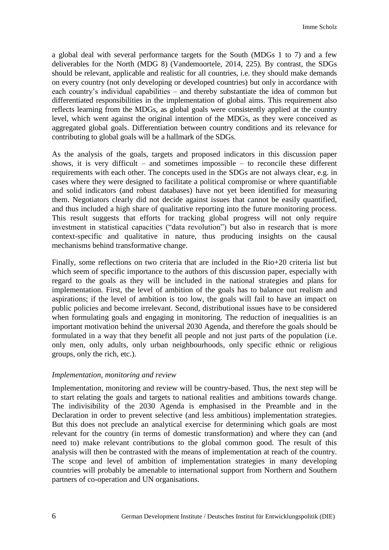a global deal with several performance targets for the South (MDGs 1 to 7) and a few deliverables for the North (MDG 8) (Vandemoortele, 2014, 225). By contrast, the SDGs should be relevant, applicable and realistic for all countries, i.e. they should make demands on every country (not only developing or developed countries) but only in accordance with each country's individual capabilities – and thereby substantiate the idea of common but differentiated responsibilities in the implementation of global aims. This requirement also reflects learning from the MDGs, as global goals were consistently applied at the country level, which went against the original intention of the MDGs, as they were conceived as aggregated global goals. Differentiation between country conditions and its relevance for contributing to global goals will be a hallmark of the SDGs.

As the analysis of the goals, targets and proposed indicators in this discussion paper shows, it is very difficult  $-$  and sometimes impossible  $-$  to reconcile these different requirements with each other. The concepts used in the SDGs are not always clear, e.g. in cases where they were designed to facilitate a political compromise or where quantifiable and solid indicators (and robust databases) have not yet been identified for measuring them. Negotiators clearly did not decide against issues that cannot be easily quantified, and thus included a high share of qualitative reporting into the future monitoring process. This result suggests that efforts for tracking global progress will not only require investment in statistical capacities ("data revolution") but also in research that is more context-specific and qualitative in nature, thus producing insights on the causal mechanisms behind transformative change.

Finally, some reflections on two criteria that are included in the Rio+20 criteria list but which seem of specific importance to the authors of this discussion paper, especially with regard to the goals as they will be included in the national strategies and plans for implementation. First, the level of ambition of the goals has to balance out realism and aspirations; if the level of ambition is too low, the goals will fail to have an impact on public policies and become irrelevant. Second, distributional issues have to be considered when formulating goals and engaging in monitoring. The reduction of inequalities is an important motivation behind the universal 2030 Agenda, and therefore the goals should be formulated in a way that they benefit all people and not just parts of the population (i.e. only men, only adults, only urban neighbourhoods, only specific ethnic or religious groups, only the rich, etc.).

#### *Implementation, monitoring and review*

Implementation, monitoring and review will be country-based. Thus, the next step will be to start relating the goals and targets to national realities and ambitions towards change. The indivisibility of the 2030 Agenda is emphasised in the Preamble and in the Declaration in order to prevent selective (and less ambitious) implementation strategies. But this does not preclude an analytical exercise for determining which goals are most relevant for the country (in terms of domestic transformation) and where they can (and need to) make relevant contributions to the global common good. The result of this analysis will then be contrasted with the means of implementation at reach of the country. The scope and level of ambition of implementation strategies in many developing countries will probably be amenable to international support from Northern and Southern partners of co-operation and UN organisations.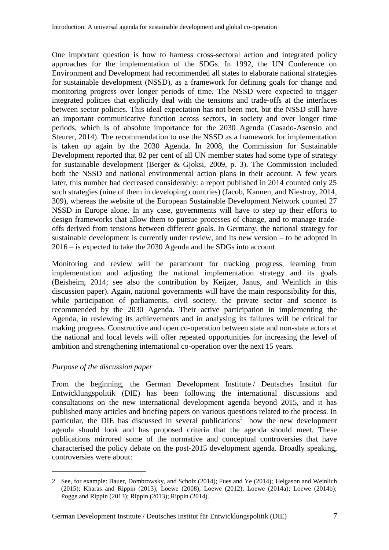One important question is how to harness cross-sectoral action and integrated policy approaches for the implementation of the SDGs. In 1992, the UN Conference on Environment and Development had recommended all states to elaborate national strategies for sustainable development (NSSD), as a framework for defining goals for change and monitoring progress over longer periods of time. The NSSD were expected to trigger integrated policies that explicitly deal with the tensions and trade-offs at the interfaces between sector policies. This ideal expectation has not been met, but the NSSD still have an important communicative function across sectors, in society and over longer time periods, which is of absolute importance for the 2030 Agenda (Casado-Asensio and Steurer, 2014). The recommendation to use the NSSD as a framework for implementation is taken up again by the 2030 Agenda. In 2008, the Commission for Sustainable Development reported that 82 per cent of all UN member states had some type of strategy for sustainable development (Berger & Gjoksi, 2009, p. 3). The Commission included both the NSSD and national environmental action plans in their account. A few years later, this number had decreased considerably: a report published in 2014 counted only 25 such strategies (nine of them in developing countries) (Jacob, Kannen, and Niestroy, 2014, 309), whereas the website of the European Sustainable Development Network counted 27 NSSD in Europe alone. In any case, governments will have to step up their efforts to design frameworks that allow them to pursue processes of change, and to manage tradeoffs derived from tensions between different goals. In Germany, the national strategy for sustainable development is currently under review, and its new version – to be adopted in 2016 – is expected to take the 2030 Agenda and the SDGs into account.

Monitoring and review will be paramount for tracking progress, learning from implementation and adjusting the national implementation strategy and its goals (Beisheim, 2014; see also the contribution by Keijzer, Janus, and Weinlich in this discussion paper). Again, national governments will have the main responsibility for this, while participation of parliaments, civil society, the private sector and science is recommended by the 2030 Agenda. Their active participation in implementing the Agenda, in reviewing its achievements and in analysing its failures will be critical for making progress. Constructive and open co-operation between state and non-state actors at the national and local levels will offer repeated opportunities for increasing the level of ambition and strengthening international co-operation over the next 15 years.

## *Purpose of the discussion paper*

**.** 

From the beginning, the German Development Institute / Deutsches Institut für Entwicklungspolitik (DIE) has been following the international discussions and consultations on the new international development agenda beyond 2015, and it has published many articles and briefing papers on various questions related to the process. In particular, the DIE has discussed in several publications<sup>2</sup> how the new development agenda should look and has proposed criteria that the agenda should meet. These publications mirrored some of the normative and conceptual controversies that have characterised the policy debate on the post-2015 development agenda. Broadly speaking, controversies were about:

<sup>2</sup> See, for example: Bauer, Dombrowsky, and Scholz (2014); Fues and Ye (2014); Helgason and Weinlich (2015); Kharas and Rippin (2013); Loewe (2008); Loewe (2012); Loewe (2014a); Loewe (2014b); Pogge and Rippin (2013); Rippin (2013); Rippin (2014).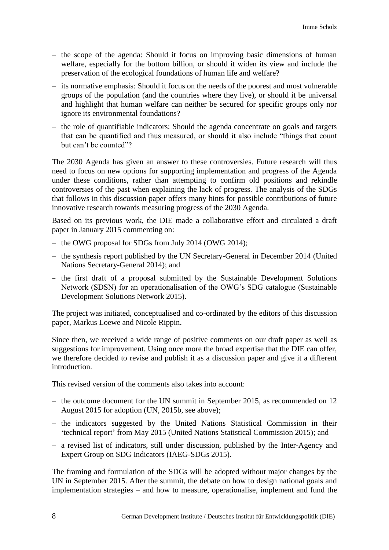- the scope of the agenda: Should it focus on improving basic dimensions of human welfare, especially for the bottom billion, or should it widen its view and include the preservation of the ecological foundations of human life and welfare?
- its normative emphasis: Should it focus on the needs of the poorest and most vulnerable groups of the population (and the countries where they live), or should it be universal and highlight that human welfare can neither be secured for specific groups only nor ignore its environmental foundations?
- the role of quantifiable indicators: Should the agenda concentrate on goals and targets that can be quantified and thus measured, or should it also include "things that count but can't be counted"?

The 2030 Agenda has given an answer to these controversies. Future research will thus need to focus on new options for supporting implementation and progress of the Agenda under these conditions, rather than attempting to confirm old positions and rekindle controversies of the past when explaining the lack of progress. The analysis of the SDGs that follows in this discussion paper offers many hints for possible contributions of future innovative research towards measuring progress of the 2030 Agenda.

Based on its previous work, the DIE made a collaborative effort and circulated a draft paper in January 2015 commenting on:

- the OWG proposal for SDGs from July 2014 (OWG 2014);
- the synthesis report published by the UN Secretary-General in December 2014 (United Nations Secretary-General 2014); and
- − the first draft of a proposal submitted by the Sustainable Development Solutions Network (SDSN) for an operationalisation of the OWG's SDG catalogue (Sustainable Development Solutions Network 2015).

The project was initiated, conceptualised and co-ordinated by the editors of this discussion paper, Markus Loewe and Nicole Rippin.

Since then, we received a wide range of positive comments on our draft paper as well as suggestions for improvement. Using once more the broad expertise that the DIE can offer, we therefore decided to revise and publish it as a discussion paper and give it a different introduction.

This revised version of the comments also takes into account:

- the outcome document for the UN summit in September 2015, as recommended on 12 August 2015 for adoption (UN, 2015b, see above);
- the indicators suggested by the United Nations Statistical Commission in their 'technical report' from May 2015 (United Nations Statistical Commission 2015); and
- a revised list of indicators, still under discussion, published by the Inter-Agency and Expert Group on SDG Indicators (IAEG-SDGs 2015).

The framing and formulation of the SDGs will be adopted without major changes by the UN in September 2015. After the summit, the debate on how to design national goals and implementation strategies – and how to measure, operationalise, implement and fund the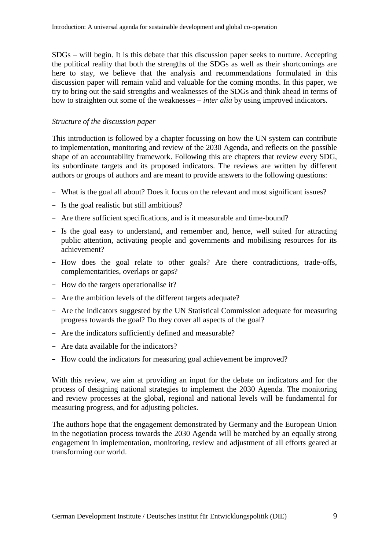SDGs – will begin. It is this debate that this discussion paper seeks to nurture. Accepting the political reality that both the strengths of the SDGs as well as their shortcomings are here to stay, we believe that the analysis and recommendations formulated in this discussion paper will remain valid and valuable for the coming months. In this paper, we try to bring out the said strengths and weaknesses of the SDGs and think ahead in terms of how to straighten out some of the weaknesses – *inter alia* by using improved indicators.

#### *Structure of the discussion paper*

This introduction is followed by a chapter focussing on how the UN system can contribute to implementation, monitoring and review of the 2030 Agenda, and reflects on the possible shape of an accountability framework. Following this are chapters that review every SDG, its subordinate targets and its proposed indicators. The reviews are written by different authors or groups of authors and are meant to provide answers to the following questions:

- − What is the goal all about? Does it focus on the relevant and most significant issues?
- − Is the goal realistic but still ambitious?
- − Are there sufficient specifications, and is it measurable and time-bound?
- − Is the goal easy to understand, and remember and, hence, well suited for attracting public attention, activating people and governments and mobilising resources for its achievement?
- − How does the goal relate to other goals? Are there contradictions, trade-offs, complementarities, overlaps or gaps?
- − How do the targets operationalise it?
- − Are the ambition levels of the different targets adequate?
- − Are the indicators suggested by the UN Statistical Commission adequate for measuring progress towards the goal? Do they cover all aspects of the goal?
- − Are the indicators sufficiently defined and measurable?
- − Are data available for the indicators?
- − How could the indicators for measuring goal achievement be improved?

With this review, we aim at providing an input for the debate on indicators and for the process of designing national strategies to implement the 2030 Agenda. The monitoring and review processes at the global, regional and national levels will be fundamental for measuring progress, and for adjusting policies.

The authors hope that the engagement demonstrated by Germany and the European Union in the negotiation process towards the 2030 Agenda will be matched by an equally strong engagement in implementation, monitoring, review and adjustment of all efforts geared at transforming our world.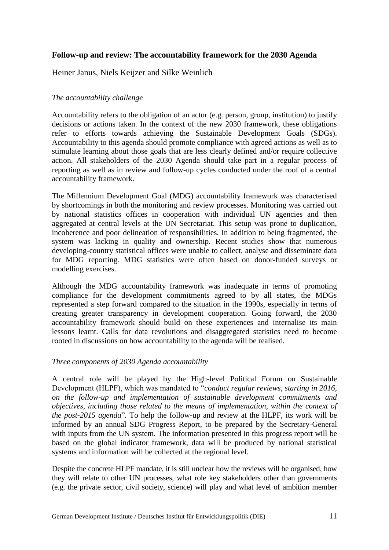## **Follow-up and review: The accountability framework for the 2030 Agenda**

Heiner Janus, Niels Keijzer and Silke Weinlich

## *The accountability challenge*

Accountability refers to the obligation of an actor (e.g. person, group, institution) to justify decisions or actions taken. In the context of the new 2030 framework, these obligations refer to efforts towards achieving the Sustainable Development Goals (SDGs). Accountability to this agenda should promote compliance with agreed actions as well as to stimulate learning about those goals that are less clearly defined and/or require collective action. All stakeholders of the 2030 Agenda should take part in a regular process of reporting as well as in review and follow-up cycles conducted under the roof of a central accountability framework.

The Millennium Development Goal (MDG) accountability framework was characterised by shortcomings in both the monitoring and review processes. Monitoring was carried out by national statistics offices in cooperation with individual UN agencies and then aggregated at central levels at the UN Secretariat. This setup was prone to duplication, incoherence and poor delineation of responsibilities. In addition to being fragmented, the system was lacking in quality and ownership. Recent studies show that numerous developing-country statistical offices were unable to collect, analyse and disseminate data for MDG reporting. MDG statistics were often based on donor-funded surveys or modelling exercises.

Although the MDG accountability framework was inadequate in terms of promoting compliance for the development commitments agreed to by all states, the MDGs represented a step forward compared to the situation in the 1990s, especially in terms of creating greater transparency in development cooperation. Going forward, the 2030 accountability framework should build on these experiences and internalise its main lessons learnt. Calls for data revolutions and disaggregated statistics need to become rooted in discussions on how accountability to the agenda will be realised.

## *Three components of 2030 Agenda accountability*

A central role will be played by the High-level Political Forum on Sustainable Development (HLPF), which was mandated to "*conduct regular reviews, starting in 2016, on the follow-up and implementation of sustainable development commitments and objectives, including those related to the means of implementation, within the context of the post-2015 agenda*"*.* To help the follow-up and review at the HLPF, its work will be informed by an annual SDG Progress Report, to be prepared by the Secretary-General with inputs from the UN system. The information presented in this progress report will be based on the global indicator framework, data will be produced by national statistical systems and information will be collected at the regional level.

Despite the concrete HLPF mandate, it is still unclear how the reviews will be organised, how they will relate to other UN processes, what role key stakeholders other than governments (e.g. the private sector, civil society, science) will play and what level of ambition member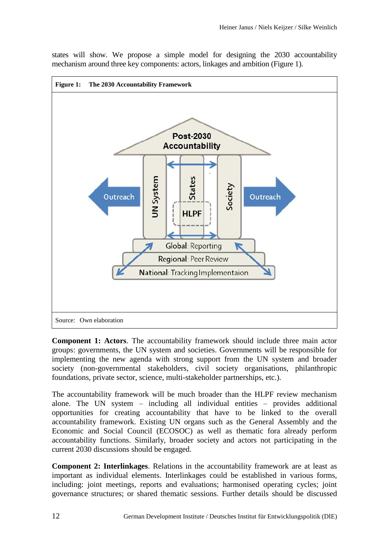states will show. We propose a simple model for designing the 2030 accountability mechanism around three key components: actors, linkages and ambition (Figure 1).



**Component 1: Actors**. The accountability framework should include three main actor groups: governments, the UN system and societies. Governments will be responsible for implementing the new agenda with strong support from the UN system and broader society (non-governmental stakeholders, civil society organisations, philanthropic foundations, private sector, science, multi-stakeholder partnerships, etc.).

The accountability framework will be much broader than the HLPF review mechanism alone. The UN system – including all individual entities – provides additional opportunities for creating accountability that have to be linked to the overall accountability framework. Existing UN organs such as the General Assembly and the Economic and Social Council (ECOSOC) as well as thematic fora already perform accountability functions. Similarly, broader society and actors not participating in the current 2030 discussions should be engaged.

**Component 2: Interlinkages**. Relations in the accountability framework are at least as important as individual elements. Interlinkages could be established in various forms, including: joint meetings, reports and evaluations; harmonised operating cycles; joint governance structures; or shared thematic sessions. Further details should be discussed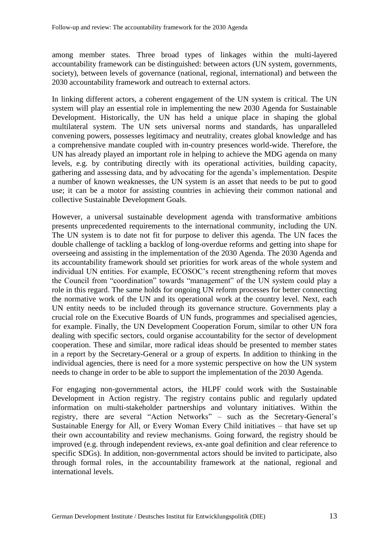among member states. Three broad types of linkages within the multi-layered accountability framework can be distinguished: between actors (UN system, governments, society), between levels of governance (national, regional, international) and between the 2030 accountability framework and outreach to external actors.

In linking different actors, a coherent engagement of the UN system is critical. The UN system will play an essential role in implementing the new 2030 Agenda for Sustainable Development. Historically, the UN has held a unique place in shaping the global multilateral system. The UN sets universal norms and standards, has unparalleled convening powers, possesses legitimacy and neutrality, creates global knowledge and has a comprehensive mandate coupled with in-country presences world-wide. Therefore, the UN has already played an important role in helping to achieve the MDG agenda on many levels, e.g. by contributing directly with its operational activities, building capacity, gathering and assessing data, and by advocating for the agenda's implementation. Despite a number of known weaknesses, the UN system is an asset that needs to be put to good use; it can be a motor for assisting countries in achieving their common national and collective Sustainable Development Goals.

However, a universal sustainable development agenda with transformative ambitions presents unprecedented requirements to the international community, including the UN. The UN system is to date not fit for purpose to deliver this agenda. The UN faces the double challenge of tackling a backlog of long-overdue reforms and getting into shape for overseeing and assisting in the implementation of the 2030 Agenda. The 2030 Agenda and its accountability framework should set priorities for work areas of the whole system and individual UN entities. For example, ECOSOC's recent strengthening reform that moves the Council from "coordination" towards "management" of the UN system could play a role in this regard. The same holds for ongoing UN reform processes for better connecting the normative work of the UN and its operational work at the country level. Next, each UN entity needs to be included through its governance structure. Governments play a crucial role on the Executive Boards of UN funds, programmes and specialised agencies, for example. Finally, the UN Development Cooperation Forum, similar to other UN fora dealing with specific sectors, could organise accountability for the sector of development cooperation. These and similar, more radical ideas should be presented to member states in a report by the Secretary-General or a group of experts. In addition to thinking in the individual agencies, there is need for a more systemic perspective on how the UN system needs to change in order to be able to support the implementation of the 2030 Agenda.

For engaging non-governmental actors, the HLPF could work with the Sustainable Development in Action registry. The registry contains public and regularly updated information on multi-stakeholder partnerships and voluntary initiatives. Within the registry, there are several "Action Networks" – such as the Secretary-General's Sustainable Energy for All, or Every Woman Every Child initiatives – that have set up their own accountability and review mechanisms. Going forward, the registry should be improved (e.g. through independent reviews, ex-ante goal definition and clear reference to specific SDGs). In addition, non-governmental actors should be invited to participate, also through formal roles, in the accountability framework at the national, regional and international levels.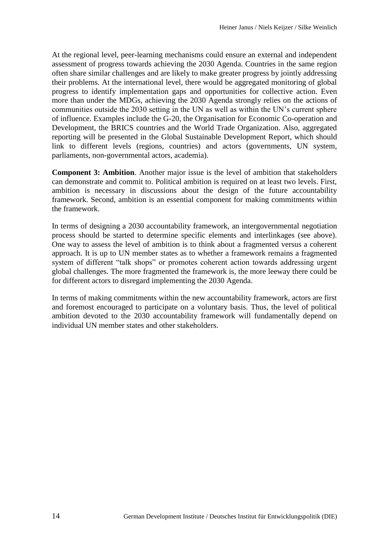At the regional level, peer-learning mechanisms could ensure an external and independent assessment of progress towards achieving the 2030 Agenda. Countries in the same region often share similar challenges and are likely to make greater progress by jointly addressing their problems. At the international level, there would be aggregated monitoring of global progress to identify implementation gaps and opportunities for collective action. Even more than under the MDGs, achieving the 2030 Agenda strongly relies on the actions of communities outside the 2030 setting in the UN as well as within the UN's current sphere of influence. Examples include the G-20, the Organisation for Economic Co-operation and Development, the BRICS countries and the World Trade Organization. Also, aggregated reporting will be presented in the Global Sustainable Development Report, which should link to different levels (regions, countries) and actors (governments, UN system, parliaments, non-governmental actors, academia).

**Component 3: Ambition**. Another major issue is the level of ambition that stakeholders can demonstrate and commit to. Political ambition is required on at least two levels. First, ambition is necessary in discussions about the design of the future accountability framework. Second, ambition is an essential component for making commitments within the framework.

In terms of designing a 2030 accountability framework, an intergovernmental negotiation process should be started to determine specific elements and interlinkages (see above). One way to assess the level of ambition is to think about a fragmented versus a coherent approach. It is up to UN member states as to whether a framework remains a fragmented system of different "talk shops" or promotes coherent action towards addressing urgent global challenges. The more fragmented the framework is, the more leeway there could be for different actors to disregard implementing the 2030 Agenda.

In terms of making commitments within the new accountability framework, actors are first and foremost encouraged to participate on a voluntary basis. Thus, the level of political ambition devoted to the 2030 accountability framework will fundamentally depend on individual UN member states and other stakeholders.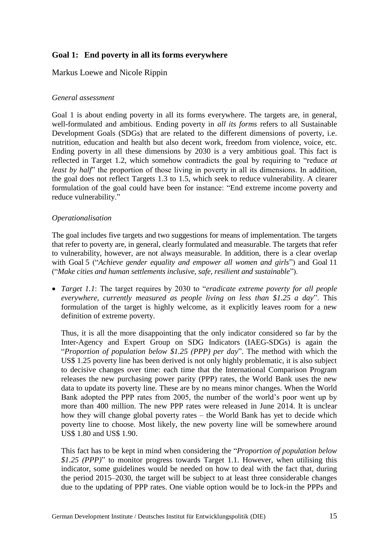## **Goal 1: End poverty in all its forms everywhere**

## Markus Loewe and Nicole Rippin

#### *General assessment*

Goal 1 is about ending poverty in all its forms everywhere. The targets are, in general, well-formulated and ambitious. Ending poverty in *all its forms* refers to all Sustainable Development Goals (SDGs) that are related to the different dimensions of poverty, i.e. nutrition, education and health but also decent work, freedom from violence, voice, etc. Ending poverty in all these dimensions by 2030 is a very ambitious goal. This fact is reflected in Target 1.2, which somehow contradicts the goal by requiring to "reduce *at least by half* the proportion of those living in poverty in all its dimensions. In addition, the goal does not reflect Targets 1.3 to 1.5, which seek to reduce vulnerability. A clearer formulation of the goal could have been for instance: "End extreme income poverty and reduce vulnerability."

#### *Operationalisation*

The goal includes five targets and two suggestions for means of implementation. The targets that refer to poverty are, in general, clearly formulated and measurable. The targets that refer to vulnerability, however, are not always measurable. In addition, there is a clear overlap with Goal 5 ("*Achieve gender equality and empower all women and girls*") and Goal 11 ("*Make cities and human settlements inclusive, safe, resilient and sustainable*").

 *Target 1.1*: The target requires by 2030 to "*eradicate extreme poverty for all people everywhere, currently measured as people living on less than \$1.25 a day*". This formulation of the target is highly welcome, as it explicitly leaves room for a new definition of extreme poverty.

Thus, it is all the more disappointing that the only indicator considered so far by the Inter-Agency and Expert Group on SDG Indicators (IAEG-SDGs) is again the "*Proportion of population below \$1.25 (PPP) per day*". The method with which the US\$ 1.25 poverty line has been derived is not only highly problematic, it is also subject to decisive changes over time: each time that the International Comparison Program releases the new purchasing power parity (PPP) rates, the World Bank uses the new data to update its poverty line. These are by no means minor changes. When the World Bank adopted the PPP rates from 2005, the number of the world's poor went up by more than 400 million. The new PPP rates were released in June 2014. It is unclear how they will change global poverty rates – the World Bank has yet to decide which poverty line to choose. Most likely, the new poverty line will be somewhere around US\$ 1.80 and US\$ 1.90.

This fact has to be kept in mind when considering the "*Proportion of population below \$1.25 (PPP)*" to monitor progress towards Target 1.1. However, when utilising this indicator, some guidelines would be needed on how to deal with the fact that, during the period 2015–2030, the target will be subject to at least three considerable changes due to the updating of PPP rates. One viable option would be to lock-in the PPPs and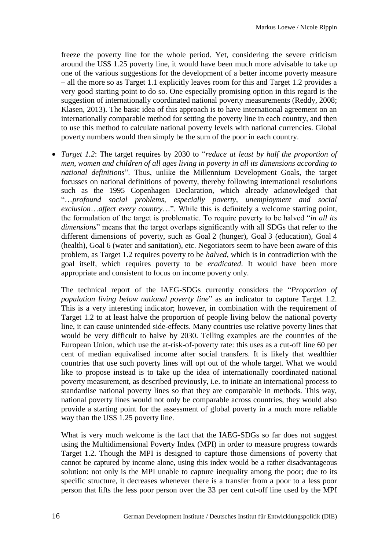freeze the poverty line for the whole period. Yet, considering the severe criticism around the US\$ 1.25 poverty line, it would have been much more advisable to take up one of the various suggestions for the development of a better income poverty measure – all the more so as Target 1.1 explicitly leaves room for this and Target 1.2 provides a very good starting point to do so. One especially promising option in this regard is the suggestion of internationally coordinated national poverty measurements (Reddy, 2008; Klasen, 2013). The basic idea of this approach is to have international agreement on an internationally comparable method for setting the poverty line in each country, and then to use this method to calculate national poverty levels with national currencies. Global poverty numbers would then simply be the sum of the poor in each country.

 *Target 1.2*: The target requires by 2030 to "*reduce at least by half the proportion of men, women and children of all ages living in poverty in all its dimensions according to national definitions*". Thus, unlike the Millennium Development Goals, the target focusses on national definitions of poverty, thereby following international resolutions such as the 1995 Copenhagen Declaration, which already acknowledged that "…*profound social problems, especially poverty, unemployment and social exclusion*…*affect every country*…". While this is definitely a welcome starting point, the formulation of the target is problematic. To require poverty to be halved "*in all its dimensions*" means that the target overlaps significantly with all SDGs that refer to the different dimensions of poverty, such as Goal 2 (hunger), Goal 3 (education), Goal 4 (health), Goal 6 (water and sanitation), etc. Negotiators seem to have been aware of this problem, as Target 1.2 requires poverty to be *halved*, which is in contradiction with the goal itself, which requires poverty to be *eradicated*. It would have been more appropriate and consistent to focus on income poverty only.

The technical report of the IAEG-SDGs currently considers the "*Proportion of population living below national poverty line*" as an indicator to capture Target 1.2. This is a very interesting indicator; however, in combination with the requirement of Target 1.2 to at least halve the proportion of people living below the national poverty line, it can cause unintended side-effects. Many countries use relative poverty lines that would be very difficult to halve by 2030. Telling examples are the countries of the European Union, which use the at-risk-of-poverty rate: this uses as a cut-off line 60 per cent of median equivalised income after social transfers. It is likely that wealthier countries that use such poverty lines will opt out of the whole target. What we would like to propose instead is to take up the idea of internationally coordinated national poverty measurement, as described previously, i.e. to initiate an international process to standardise national poverty lines so that they are comparable in methods. This way, national poverty lines would not only be comparable across countries, they would also provide a starting point for the assessment of global poverty in a much more reliable way than the US\$ 1.25 poverty line.

What is very much welcome is the fact that the IAEG-SDGs so far does not suggest using the Multidimensional Poverty Index (MPI) in order to measure progress towards Target 1.2. Though the MPI is designed to capture those dimensions of poverty that cannot be captured by income alone, using this index would be a rather disadvantageous solution: not only is the MPI unable to capture inequality among the poor; due to its specific structure, it decreases whenever there is a transfer from a poor to a less poor person that lifts the less poor person over the 33 per cent cut-off line used by the MPI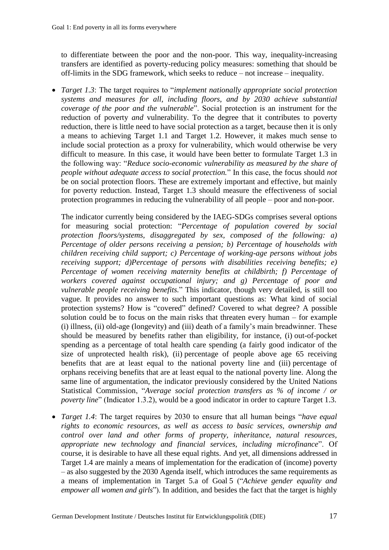to differentiate between the poor and the non-poor. This way, inequality-increasing transfers are identified as poverty-reducing policy measures: something that should be off-limits in the SDG framework, which seeks to reduce – not increase – inequality.

 *Target 1.3*: The target requires to "*implement nationally appropriate social protection systems and measures for all, including floors, and by 2030 achieve substantial coverage of the poor and the vulnerable*". Social protection is an instrument for the reduction of poverty *and* vulnerability. To the degree that it contributes to poverty reduction, there is little need to have social protection as a target, because then it is only a means to achieving Target 1.1 and Target 1.2. However, it makes much sense to include social protection as a proxy for vulnerability, which would otherwise be very difficult to measure. In this case, it would have been better to formulate Target 1.3 in the following way: "*Reduce socio-economic vulnerability as measured by the share of people without adequate access to social protection.*" In this case, the focus should *not* be on social protection floors. These are extremely important and effective, but mainly for poverty reduction. Instead, Target 1.3 should measure the effectiveness of social protection programmes in reducing the vulnerability of all people – poor and non-poor.

The indicator currently being considered by the IAEG-SDGs comprises several options for measuring social protection: "*Percentage of population covered by social protection floors/systems, disaggregated by sex, composed of the following: a) Percentage of older persons receiving a pension; b) Percentage of households with children receiving child support; c) Percentage of working-age persons without jobs receiving support; d)Percentage of persons with disabilities receiving benefits; e) Percentage of women receiving maternity benefits at childbirth; f) Percentage of workers covered against occupational injury; and g) Percentage of poor and vulnerable people receiving benefits.*" This indicator, though very detailed, is still too vague. It provides no answer to such important questions as: What kind of social protection systems? How is "covered" defined? Covered to what degree? A possible solution could be to focus on the main risks that threaten every human – for example (i) illness, (ii) old-age (longevity) and (iii) death of a family's main breadwinner. These should be measured by benefits rather than eligibility, for instance, (i) out-of-pocket spending as a percentage of total health care spending (a fairly good indicator of the size of unprotected health risk), (ii) percentage of people above age 65 receiving benefits that are at least equal to the national poverty line and (iii) percentage of orphans receiving benefits that are at least equal to the national poverty line. Along the same line of argumentation, the indicator previously considered by the United Nations Statistical Commission, "*Average social protection transfers as % of income / or poverty line*" (Indicator 1.3.2), would be a good indicator in order to capture Target 1.3.

 *Target 1.4*: The target requires by 2030 to ensure that all human beings "*have equal rights to economic resources, as well as access to basic services, ownership and control over land and other forms of property, inheritance, natural resources, appropriate new technology and financial services, including microfinance*". Of course, it is desirable to have all these equal rights. And yet, all dimensions addressed in Target 1.4 are mainly a means of implementation for the eradication of (income) poverty – as also suggested by the 2030 Agenda itself, which introduces the same requirements as a means of implementation in Target 5.a of Goal 5 ("*Achieve gender equality and empower all women and girls*"). In addition, and besides the fact that the target is highly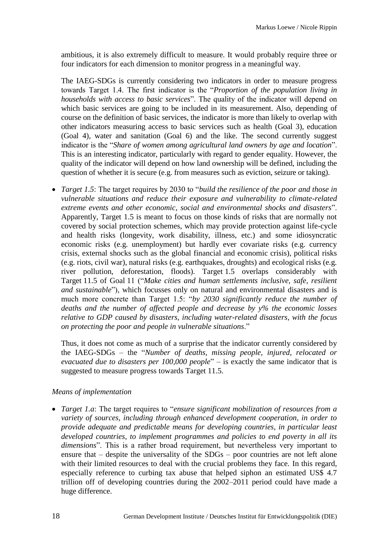ambitious, it is also extremely difficult to measure. It would probably require three or four indicators for each dimension to monitor progress in a meaningful way.

The IAEG-SDGs is currently considering two indicators in order to measure progress towards Target 1.4. The first indicator is the "*Proportion of the population living in households with access to basic services*". The quality of the indicator will depend on which basic services are going to be included in its measurement. Also, depending of course on the definition of basic services, the indicator is more than likely to overlap with other indicators measuring access to basic services such as health (Goal 3), education (Goal 4), water and sanitation (Goal 6) and the like. The second currently suggest indicator is the "*Share of women among agricultural land owners by age and location*". This is an interesting indicator, particularly with regard to gender equality. However, the quality of the indicator will depend on how land ownership will be defined, including the question of whether it is secure (e.g. from measures such as eviction, seizure or taking).

 *Target 1.5*: The target requires by 2030 to "*build the resilience of the poor and those in vulnerable situations and reduce their exposure and vulnerability to climate-related extreme events and other economic, social and environmental shocks and disasters*". Apparently, Target 1.5 is meant to focus on those kinds of risks that are normally not covered by social protection schemes, which may provide protection against life-cycle and health risks (longevity, work disability, illness, etc.) and some idiosyncratic economic risks (e.g. unemployment) but hardly ever covariate risks (e.g. currency crisis, external shocks such as the global financial and economic crisis), political risks (e.g. riots, civil war), natural risks (e.g. earthquakes, droughts) and ecological risks (e.g. river pollution, deforestation, floods). Target 1.5 overlaps considerably with Target 11.5 of Goal 11 ("*Make cities and human settlements inclusive, safe, resilient and sustainable*"), which focusses only on natural and environmental disasters and is much more concrete than Target 1.5: "*by 2030 significantly reduce the number of deaths and the number of affected people and decrease by y% the economic losses relative to GDP caused by disasters, including water-related disasters, with the focus on protecting the poor and people in vulnerable situations*."

Thus, it does not come as much of a surprise that the indicator currently considered by the IAEG-SDGs – the "*Number of deaths, missing people, injured, relocated or evacuated due to disasters per 100,000 people*" – is exactly the same indicator that is suggested to measure progress towards Target 11.5.

## *Means of implementation*

 *Target 1.a*: The target requires to "*ensure significant mobilization of resources from a variety of sources, including through enhanced development cooperation, in order to provide adequate and predictable means for developing countries, in particular least developed countries, to implement programmes and policies to end poverty in all its dimensions*". This is a rather broad requirement, but nevertheless very important to ensure that – despite the universality of the SDGs – poor countries are not left alone with their limited resources to deal with the crucial problems they face. In this regard, especially reference to curbing tax abuse that helped siphon an estimated US\$ 4.7 trillion off of developing countries during the 2002–2011 period could have made a huge difference.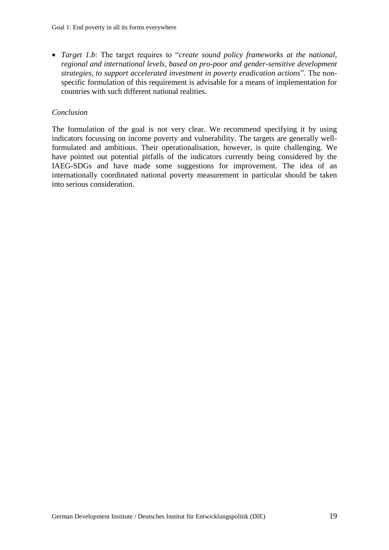*Target 1.b*: The target requires to "*create sound policy frameworks at the national, regional and international levels, based on pro-poor and gender-sensitive development strategies, to support accelerated investment in poverty eradication actions*". The nonspecific formulation of this requirement is advisable for a means of implementation for countries with such different national realities.

#### *Conclusion*

The formulation of the goal is not very clear. We recommend specifying it by using indicators focussing on income poverty and vulnerability. The targets are generally wellformulated and ambitious. Their operationalisation, however, is quite challenging. We have pointed out potential pitfalls of the indicators currently being considered by the IAEG-SDGs and have made some suggestions for improvement. The idea of an internationally coordinated national poverty measurement in particular should be taken into serious consideration.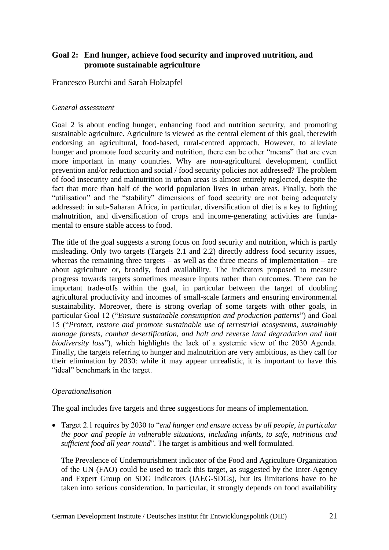## **Goal 2: End hunger, achieve food security and improved nutrition, and promote sustainable agriculture**

Francesco Burchi and Sarah Holzapfel

## *General assessment*

Goal 2 is about ending hunger, enhancing food and nutrition security, and promoting sustainable agriculture. Agriculture is viewed as the central element of this goal, therewith endorsing an agricultural, food-based, rural-centred approach. However, to alleviate hunger and promote food security and nutrition, there can be other "means" that are even more important in many countries. Why are non-agricultural development, conflict prevention and/or reduction and social / food security policies not addressed? The problem of food insecurity and malnutrition in urban areas is almost entirely neglected, despite the fact that more than half of the world population lives in urban areas. Finally, both the "utilisation" and the "stability" dimensions of food security are not being adequately addressed: in sub-Saharan Africa, in particular, diversification of diet is a key to fighting malnutrition, and diversification of crops and income-generating activities are fundamental to ensure stable access to food.

The title of the goal suggests a strong focus on food security and nutrition, which is partly misleading. Only two targets (Targets 2.1 and 2.2) directly address food security issues, whereas the remaining three targets – as well as the three means of implementation – are about agriculture or, broadly, food availability. The indicators proposed to measure progress towards targets sometimes measure inputs rather than outcomes. There can be important trade-offs within the goal, in particular between the target of doubling agricultural productivity and incomes of small-scale farmers and ensuring environmental sustainability. Moreover, there is strong overlap of some targets with other goals, in particular Goal 12 ("*Ensure sustainable consumption and production patterns*") and Goal 15 ("*Protect, restore and promote sustainable use of terrestrial ecosystems, sustainably manage forests, combat desertification, and halt and reverse land degradation and halt biodiversity loss*"), which highlights the lack of a systemic view of the 2030 Agenda. Finally, the targets referring to hunger and malnutrition are very ambitious, as they call for their elimination by 2030: while it may appear unrealistic, it is important to have this "ideal" benchmark in the target.

## *Operationalisation*

The goal includes five targets and three suggestions for means of implementation.

 Target 2.1 requires by 2030 to "*end hunger and ensure access by all people, in particular the poor and people in vulnerable situations, including infants, to safe, nutritious and sufficient food all year round*". The target is ambitious and well formulated.

The Prevalence of Undernourishment indicator of the Food and Agriculture Organization of the UN (FAO) could be used to track this target, as suggested by the Inter-Agency and Expert Group on SDG Indicators (IAEG-SDGs), but its limitations have to be taken into serious consideration. In particular, it strongly depends on food availability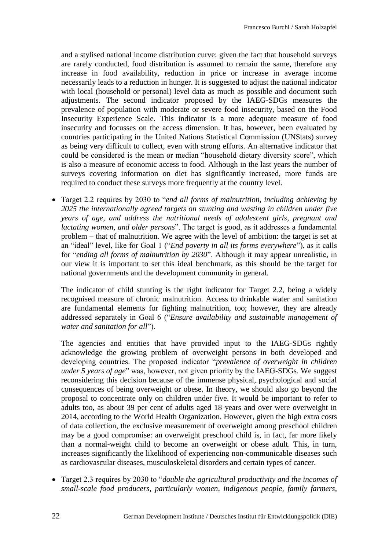and a stylised national income distribution curve: given the fact that household surveys are rarely conducted, food distribution is assumed to remain the same, therefore any increase in food availability, reduction in price or increase in average income necessarily leads to a reduction in hunger. It is suggested to adjust the national indicator with local (household or personal) level data as much as possible and document such adjustments. The second indicator proposed by the IAEG-SDGs measures the prevalence of population with moderate or severe food insecurity, based on the Food Insecurity Experience Scale. This indicator is a more adequate measure of food insecurity and focusses on the access dimension. It has, however, been evaluated by countries participating in the United Nations Statistical Commission (UNStats) survey as being very difficult to collect, even with strong efforts. An alternative indicator that could be considered is the mean or median "household dietary diversity score", which is also a measure of economic access to food. Although in the last years the number of surveys covering information on diet has significantly increased, more funds are required to conduct these surveys more frequently at the country level.

 Target 2.2 requires by 2030 to "*end all forms of malnutrition, including achieving by 2025 the internationally agreed targets on stunting and wasting in children under five years of age, and address the nutritional needs of adolescent girls, pregnant and lactating women, and older persons*". The target is good, as it addresses a fundamental problem – that of malnutrition. We agree with the level of ambition: the target is set at an "ideal" level, like for Goal 1 ("*End poverty in all its forms everywhere*"), as it calls for "*ending all forms of malnutrition by 2030*". Although it may appear unrealistic, in our view it is important to set this ideal benchmark, as this should be the target for national governments and the development community in general.

The indicator of child stunting is the right indicator for Target 2.2, being a widely recognised measure of chronic malnutrition. Access to drinkable water and sanitation are fundamental elements for fighting malnutrition, too; however, they are already addressed separately in Goal 6 ("*Ensure availability and sustainable management of water and sanitation for all*").

The agencies and entities that have provided input to the IAEG-SDGs rightly acknowledge the growing problem of overweight persons in both developed and developing countries. The proposed indicator "*prevalence of overweight in children under 5 years of age*" was, however, not given priority by the IAEG-SDGs. We suggest reconsidering this decision because of the immense physical, psychological and social consequences of being overweight or obese. In theory, we should also go beyond the proposal to concentrate only on children under five. It would be important to refer to adults too, as about 39 per cent of adults aged 18 years and over were overweight in 2014, according to the World Health Organization. However, given the high extra costs of data collection, the exclusive measurement of overweight among preschool children may be a good compromise: an overweight preschool child is, in fact, far more likely than a normal-weight child to become an overweight or obese adult. This, in turn, increases significantly the likelihood of experiencing non-communicable diseases such as cardiovascular diseases, musculoskeletal disorders and certain types of cancer.

 Target 2.3 requires by 2030 to "*double the agricultural productivity and the incomes of small-scale food producers, particularly women, indigenous people, family farmers,*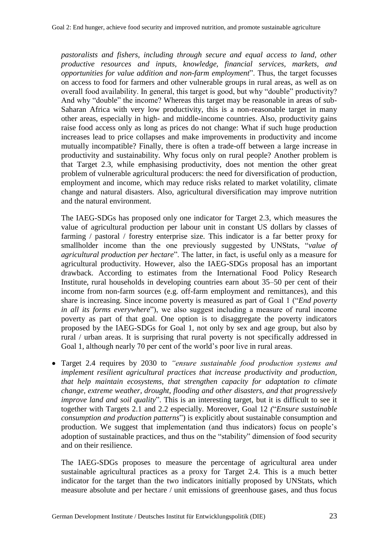*pastoralists and fishers, including through secure and equal access to land, other productive resources and inputs, knowledge, financial services, markets, and opportunities for value addition and non-farm employment*". Thus, the target focusses on access to food for farmers and other vulnerable groups in rural areas, as well as on overall food availability. In general, this target is good, but why "double" productivity? And why "double" the income? Whereas this target may be reasonable in areas of sub-Saharan Africa with very low productivity, this is a non-reasonable target in many other areas, especially in high- and middle-income countries. Also, productivity gains raise food access only as long as prices do not change: What if such huge production increases lead to price collapses and make improvements in productivity and income mutually incompatible? Finally, there is often a trade-off between a large increase in productivity and sustainability. Why focus only on rural people? Another problem is that Target 2.3, while emphasising productivity, does not mention the other great problem of vulnerable agricultural producers: the need for diversification of production, employment and income, which may reduce risks related to market volatility, climate change and natural disasters. Also, agricultural diversification may improve nutrition and the natural environment.

The IAEG-SDGs has proposed only one indicator for Target 2.3, which measures the value of agricultural production per labour unit in constant US dollars by classes of farming / pastoral / forestry enterprise size. This indicator is a far better proxy for smallholder income than the one previously suggested by UNStats, "*value of agricultural production per hectare*". The latter, in fact, is useful only as a measure for agricultural productivity. However, also the IAEG-SDGs proposal has an important drawback. According to estimates from the International Food Policy Research Institute, rural households in developing countries earn about 35–50 per cent of their income from non-farm sources (e.g. off-farm employment and remittances), and this share is increasing. Since income poverty is measured as part of Goal 1 ("*End poverty in all its forms everywhere*"), we also suggest including a measure of rural income poverty as part of that goal. One option is to disaggregate the poverty indicators proposed by the IAEG-SDGs for Goal 1, not only by sex and age group, but also by rural / urban areas. It is surprising that rural poverty is not specifically addressed in Goal 1, although nearly 70 per cent of the world's poor live in rural areas.

 Target 2.4 requires by 2030 to *"ensure sustainable food production systems and implement resilient agricultural practices that increase productivity and production, that help maintain ecosystems, that strengthen capacity for adaptation to climate change, extreme weather, drought, flooding and other disasters, and that progressively improve land and soil quality*". This is an interesting target, but it is difficult to see it together with Targets 2.1 and 2.2 especially. Moreover, Goal 12 *(*"*Ensure sustainable consumption and production patterns*") is explicitly about sustainable consumption and production. We suggest that implementation (and thus indicators) focus on people's adoption of sustainable practices, and thus on the "stability" dimension of food security and on their resilience.

The IAEG-SDGs proposes to measure the percentage of agricultural area under sustainable agricultural practices as a proxy for Target 2.4. This is a much better indicator for the target than the two indicators initially proposed by UNStats, which measure absolute and per hectare / unit emissions of greenhouse gases, and thus focus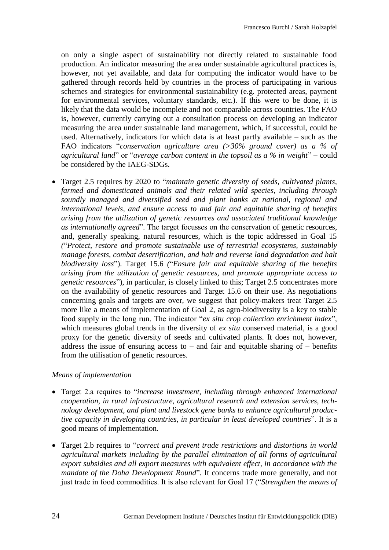on only a single aspect of sustainability not directly related to sustainable food production. An indicator measuring the area under sustainable agricultural practices is, however, not yet available, and data for computing the indicator would have to be gathered through records held by countries in the process of participating in various schemes and strategies for environmental sustainability (e.g. protected areas, payment for environmental services, voluntary standards, etc.). If this were to be done, it is likely that the data would be incomplete and not comparable across countries. The FAO is, however, currently carrying out a consultation process on developing an indicator measuring the area under sustainable land management, which, if successful, could be used. Alternatively, indicators for which data is at least partly available – such as the FAO indicators "*conservation agriculture area (>30% ground cover) as a % of agricultural land*" or "*average carbon content in the topsoil as a % in weight*" – could be considered by the IAEG-SDGs.

 Target 2.5 requires by 2020 to "*maintain genetic diversity of seeds, cultivated plants, farmed and domesticated animals and their related wild species, including through soundly managed and diversified seed and plant banks at national, regional and international levels, and ensure access to and fair and equitable sharing of benefits arising from the utilization of genetic resources and associated traditional knowledge as internationally agreed*". The target focusses on the conservation of genetic resources, and, generally speaking, natural resources, which is the topic addressed in Goal 15 *(*"*Protect, restore and promote sustainable use of terrestrial ecosystems, sustainably manage forests, combat desertification, and halt and reverse land degradation and halt biodiversity loss*"). Target 15.6 *(*"*Ensure fair and equitable sharing of the benefits arising from the utilization of genetic resources, and promote appropriate access to genetic resources*"), in particular, is closely linked to this; Target 2.5 concentrates more on the availability of genetic resources and Target 15.6 on their use. As negotiations concerning goals and targets are over, we suggest that policy-makers treat Target 2.5 more like a means of implementation of Goal 2, as agro-biodiversity is a key to stable food supply in the long run. The indicator "*ex situ crop collection enrichment index*", which measures global trends in the diversity of *ex situ* conserved material, is a good proxy for the genetic diversity of seeds and cultivated plants. It does not, however, address the issue of ensuring access to – and fair and equitable sharing of – benefits from the utilisation of genetic resources.

#### *Means of implementation*

- Target 2.a requires to "*increase investment, including through enhanced international cooperation, in rural infrastructure, agricultural research and extension services, technology development, and plant and livestock gene banks to enhance agricultural productive capacity in developing countries, in particular in least developed countries*". It is a good means of implementation.
- Target 2.b requires to "*correct and prevent trade restrictions and distortions in world agricultural markets including by the parallel elimination of all forms of agricultural export subsidies and all export measures with equivalent effect, in accordance with the mandate of the Doha Development Round*". It concerns trade more generally, and not just trade in food commodities. It is also relevant for Goal 17 ("*Strengthen the means of*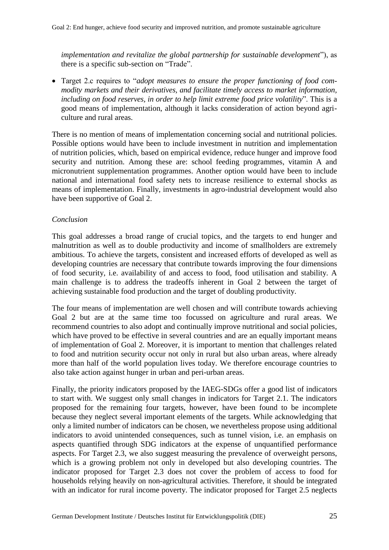*implementation and revitalize the global partnership for sustainable development*"), as there is a specific sub-section on "Trade".

 Target 2.c requires to "*adopt measures to ensure the proper functioning of food commodity markets and their derivatives, and facilitate timely access to market information, including on food reserves, in order to help limit extreme food price volatility*". This is a good means of implementation, although it lacks consideration of action beyond agriculture and rural areas.

There is no mention of means of implementation concerning social and nutritional policies. Possible options would have been to include investment in nutrition and implementation of nutrition policies, which, based on empirical evidence, reduce hunger and improve food security and nutrition. Among these are: school feeding programmes, vitamin A and micronutrient supplementation programmes. Another option would have been to include national and international food safety nets to increase resilience to external shocks as means of implementation. Finally, investments in agro-industrial development would also have been supportive of Goal 2.

#### *Conclusion*

This goal addresses a broad range of crucial topics, and the targets to end hunger and malnutrition as well as to double productivity and income of smallholders are extremely ambitious. To achieve the targets, consistent and increased efforts of developed as well as developing countries are necessary that contribute towards improving the four dimensions of food security, i.e. availability of and access to food, food utilisation and stability. A main challenge is to address the tradeoffs inherent in Goal 2 between the target of achieving sustainable food production and the target of doubling productivity.

The four means of implementation are well chosen and will contribute towards achieving Goal 2 but are at the same time too focussed on agriculture and rural areas. We recommend countries to also adopt and continually improve nutritional and social policies, which have proved to be effective in several countries and are an equally important means of implementation of Goal 2. Moreover, it is important to mention that challenges related to food and nutrition security occur not only in rural but also urban areas, where already more than half of the world population lives today. We therefore encourage countries to also take action against hunger in urban and peri-urban areas.

Finally, the priority indicators proposed by the IAEG-SDGs offer a good list of indicators to start with. We suggest only small changes in indicators for Target 2.1. The indicators proposed for the remaining four targets, however, have been found to be incomplete because they neglect several important elements of the targets. While acknowledging that only a limited number of indicators can be chosen, we nevertheless propose using additional indicators to avoid unintended consequences, such as tunnel vision, i.e. an emphasis on aspects quantified through SDG indicators at the expense of unquantified performance aspects. For Target 2.3, we also suggest measuring the prevalence of overweight persons, which is a growing problem not only in developed but also developing countries. The indicator proposed for Target 2.3 does not cover the problem of access to food for households relying heavily on non-agricultural activities. Therefore, it should be integrated with an indicator for rural income poverty. The indicator proposed for Target 2.5 neglects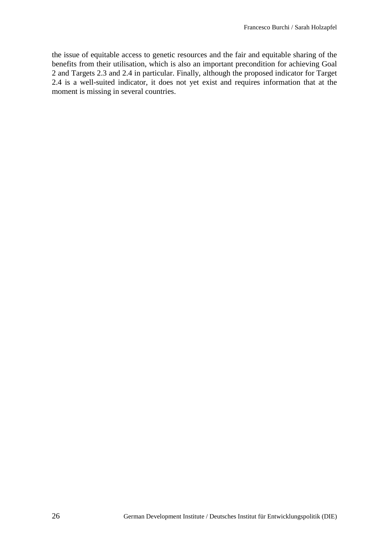the issue of equitable access to genetic resources and the fair and equitable sharing of the benefits from their utilisation, which is also an important precondition for achieving Goal 2 and Targets 2.3 and 2.4 in particular. Finally, although the proposed indicator for Target 2.4 is a well-suited indicator, it does not yet exist and requires information that at the moment is missing in several countries.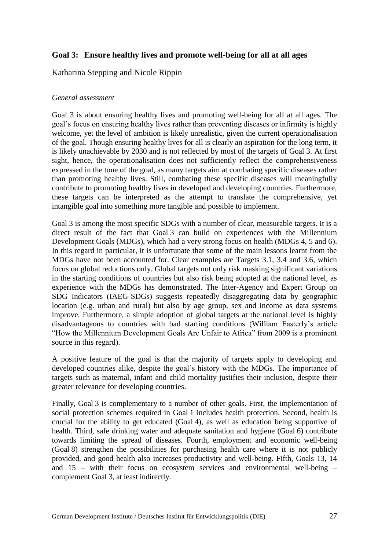# **Goal 3: Ensure healthy lives and promote well-being for all at all ages**

Katharina Stepping and Nicole Rippin

### *General assessment*

Goal 3 is about ensuring healthy lives and promoting well-being for all at all ages. The goal's focus on ensuring healthy lives rather than preventing diseases or infirmity is highly welcome, yet the level of ambition is likely unrealistic, given the current operationalisation of the goal. Though ensuring healthy lives for all is clearly an aspiration for the long term, it is likely unachievable by 2030 and is not reflected by most of the targets of Goal 3. At first sight, hence, the operationalisation does not sufficiently reflect the comprehensiveness expressed in the tone of the goal, as many targets aim at combating specific diseases rather than promoting healthy lives. Still, combating these specific diseases will meaningfully contribute to promoting healthy lives in developed and developing countries. Furthermore, these targets can be interpreted as the attempt to translate the comprehensive, yet intangible goal into something more tangible and possible to implement.

Goal 3 is among the most specific SDGs with a number of clear, measurable targets. It is a direct result of the fact that Goal 3 can build on experiences with the Millennium Development Goals (MDGs), which had a very strong focus on health (MDGs 4, 5 and 6). In this regard in particular, it is unfortunate that some of the main lessons learnt from the MDGs have not been accounted for. Clear examples are Targets 3.1, 3.4 and 3.6, which focus on global reductions only. Global targets not only risk masking significant variations in the starting conditions of countries but also risk being adopted at the national level, as experience with the MDGs has demonstrated. The Inter-Agency and Expert Group on SDG Indicators (IAEG-SDGs) suggests repeatedly disaggregating data by geographic location (e.g. urban and rural) but also by age group, sex and income as data systems improve. Furthermore, a simple adoption of global targets at the national level is highly disadvantageous to countries with bad starting conditions (William Easterly's article "How the Millennium Development Goals Are Unfair to Africa" from 2009 is a prominent source in this regard).

A positive feature of the goal is that the majority of targets apply to developing and developed countries alike, despite the goal's history with the MDGs. The importance of targets such as maternal, infant and child mortality justifies their inclusion, despite their greater relevance for developing countries.

Finally, Goal 3 is complementary to a number of other goals. First, the implementation of social protection schemes required in Goal 1 includes health protection. Second, health is crucial for the ability to get educated (Goal 4), as well as education being supportive of health. Third, safe drinking water and adequate sanitation and hygiene (Goal 6) contribute towards limiting the spread of diseases. Fourth, employment and economic well-being (Goal 8) strengthen the possibilities for purchasing health care where it is not publicly provided, and good health also increases productivity and well-being. Fifth, Goals 13, 14 and  $15$  – with their focus on ecosystem services and environmental well-being – complement Goal 3, at least indirectly.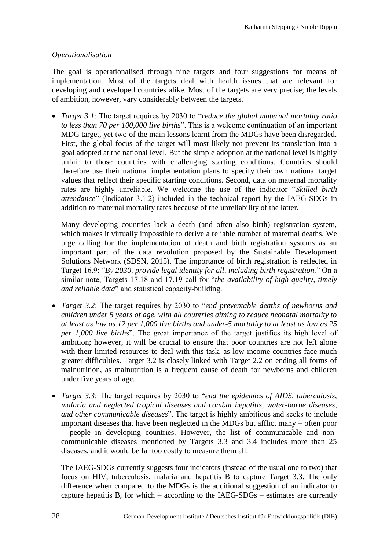### *Operationalisation*

The goal is operationalised through nine targets and four suggestions for means of implementation. Most of the targets deal with health issues that are relevant for developing and developed countries alike. Most of the targets are very precise; the levels of ambition, however, vary considerably between the targets.

 *Target 3.1*: The target requires by 2030 to "*reduce the global maternal mortality ratio to less than 70 per 100,000 live births*". This is a welcome continuation of an important MDG target, yet two of the main lessons learnt from the MDGs have been disregarded. First, the global focus of the target will most likely not prevent its translation into a goal adopted at the national level. But the simple adoption at the national level is highly unfair to those countries with challenging starting conditions. Countries should therefore use their national implementation plans to specify their own national target values that reflect their specific starting conditions. Second, data on maternal mortality rates are highly unreliable. We welcome the use of the indicator "*Skilled birth attendance*" (Indicator 3.1.2) included in the technical report by the IAEG-SDGs in addition to maternal mortality rates because of the unreliability of the latter.

Many developing countries lack a death (and often also birth) registration system, which makes it virtually impossible to derive a reliable number of maternal deaths. We urge calling for the implementation of death and birth registration systems as an important part of the data revolution proposed by the Sustainable Development Solutions Network (SDSN, 2015). The importance of birth registration is reflected in Target 16.9: "*By 2030, provide legal identity for all, including birth registration.*" On a similar note, Targets 17.18 and 17.19 call for "*the availability of high-quality, timely and reliable data*" and statistical capacity-building.

- *Target 3.2*: The target requires by 2030 to "*end preventable deaths of newborns and children under 5 years of age, with all countries aiming to reduce neonatal mortality to at least as low as 12 per 1,000 live births and under-5 mortality to at least as low as 25 per 1,000 live births*". The great importance of the target justifies its high level of ambition; however, it will be crucial to ensure that poor countries are not left alone with their limited resources to deal with this task, as low-income countries face much greater difficulties. Target 3.2 is closely linked with Target 2.2 on ending all forms of malnutrition, as malnutrition is a frequent cause of death for newborns and children under five years of age.
- *Target 3*.*3*: The target requires by 2030 to "*end the epidemics of AIDS, tuberculosis, malaria and neglected tropical diseases and combat hepatitis, water-borne diseases, and other communicable diseases*". The target is highly ambitious and seeks to include important diseases that have been neglected in the MDGs but afflict many – often poor – people in developing countries. However, the list of communicable and noncommunicable diseases mentioned by Targets 3.3 and 3.4 includes more than 25 diseases, and it would be far too costly to measure them all.

The IAEG-SDGs currently suggests four indicators (instead of the usual one to two) that focus on HIV, tuberculosis, malaria and hepatitis B to capture Target 3.3. The only difference when compared to the MDGs is the additional suggestion of an indicator to capture hepatitis B, for which – according to the IAEG-SDGs – estimates are currently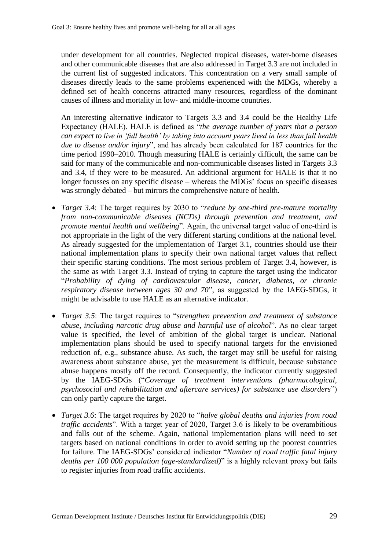under development for all countries. Neglected tropical diseases, water-borne diseases and other communicable diseases that are also addressed in Target 3.3 are not included in the current list of suggested indicators. This concentration on a very small sample of diseases directly leads to the same problems experienced with the MDGs, whereby a defined set of health concerns attracted many resources, regardless of the dominant causes of illness and mortality in low- and middle-income countries.

An interesting alternative indicator to Targets 3.3 and 3.4 could be the Healthy Life Expectancy (HALE). HALE is defined as "*the average number of years that a person can expect to live in 'full health' by taking into account years lived in less than full health due to disease and/or injury*", and has already been calculated for 187 countries for the time period 1990–2010. Though measuring HALE is certainly difficult, the same can be said for many of the communicable and non-communicable diseases listed in Targets 3.3 and 3.4, if they were to be measured. An additional argument for HALE is that it no longer focusses on any specific disease – whereas the MDGs' focus on specific diseases was strongly debated – but mirrors the comprehensive nature of health.

- *Target 3.4*: The target requires by 2030 to "*reduce by one-third pre-mature mortality from non-communicable diseases (NCDs) through prevention and treatment, and promote mental health and wellbeing*". Again, the universal target value of one-third is not appropriate in the light of the very different starting conditions at the national level. As already suggested for the implementation of Target 3.1, countries should use their national implementation plans to specify their own national target values that reflect their specific starting conditions. The most serious problem of Target 3.4, however, is the same as with Target 3.3. Instead of trying to capture the target using the indicator "*Probability of dying of cardiovascular disease, cancer, diabetes, or chronic respiratory disease between ages 30 and 70*", as suggested by the IAEG-SDGs, it might be advisable to use HALE as an alternative indicator.
- *Target 3.5*: The target requires to "*strengthen prevention and treatment of substance abuse, including narcotic drug abuse and harmful use of alcohol*". As no clear target value is specified, the level of ambition of the global target is unclear. National implementation plans should be used to specify national targets for the envisioned reduction of, e.g., substance abuse. As such, the target may still be useful for raising awareness about substance abuse, yet the measurement is difficult, because substance abuse happens mostly off the record. Consequently, the indicator currently suggested by the IAEG-SDGs ("*Coverage of treatment interventions (pharmacological, psychosocial and rehabilitation and aftercare services) for substance use disorders*") can only partly capture the target.
- *Target 3.6*: The target requires by 2020 to "*halve global deaths and injuries from road traffic accidents*". With a target year of 2020, Target 3.6 is likely to be overambitious and falls out of the scheme. Again, national implementation plans will need to set targets based on national conditions in order to avoid setting up the poorest countries for failure. The IAEG-SDGs' considered indicator "*Number of road traffic fatal injury deaths per 100 000 population (age-standardized)*" is a highly relevant proxy but fails to register injuries from road traffic accidents.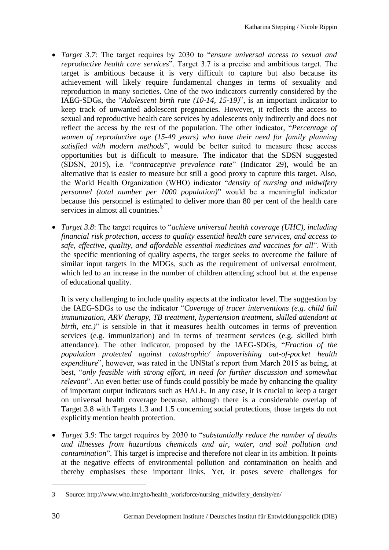- *Target 3.7*: The target requires by 2030 to "*ensure universal access to sexual and reproductive health care services*". Target 3.7 is a precise and ambitious target. The target is ambitious because it is very difficult to capture but also because its achievement will likely require fundamental changes in terms of sexuality and reproduction in many societies. One of the two indicators currently considered by the IAEG-SDGs, the "*Adolescent birth rate (10-14, 15-19)*", is an important indicator to keep track of unwanted adolescent pregnancies. However, it reflects the access to sexual and reproductive health care services by adolescents only indirectly and does not reflect the access by the rest of the population. The other indicator, "*Percentage of women of reproductive age (15-49 years) who have their need for family planning satisfied with modern methods*", would be better suited to measure these access opportunities but is difficult to measure. The indicator that the SDSN suggested (SDSN, 2015), i.e. "*contraceptive prevalence rate*" (Indicator 29), would be an alternative that is easier to measure but still a good proxy to capture this target. Also, the World Health Organization (WHO) indicator "*density of nursing and midwifery personnel (total number per 1000 population)*" would be a meaningful indicator because this personnel is estimated to deliver more than 80 per cent of the health care services in almost all countries.<sup>3</sup>
- *Target 3.8*: The target requires to "*achieve universal health coverage (UHC), including financial risk protection, access to quality essential health care services, and access to safe, effective, quality, and affordable essential medicines and vaccines for all*". With the specific mentioning of quality aspects, the target seeks to overcome the failure of similar input targets in the MDGs, such as the requirement of universal enrolment, which led to an increase in the number of children attending school but at the expense of educational quality.

It is very challenging to include quality aspects at the indicator level. The suggestion by the IAEG-SDGs to use the indicator "*Coverage of tracer interventions (e.g. child full immunization, ARV therapy, TB treatment, hypertension treatment, skilled attendant at birth, etc.*)" is sensible in that it measures health outcomes in terms of prevention services (e.g. immunization) and in terms of treatment services (e.g. skilled birth attendance). The other indicator, proposed by the IAEG-SDGs, "*Fraction of the population protected against catastrophic/ impoverishing out-of-pocket health expenditure*", however, was rated in the UNStat's report from March 2015 as being, at best, "*only feasible with strong effort, in need for further discussion and somewhat relevant*". An even better use of funds could possibly be made by enhancing the quality of important output indicators such as HALE. In any case, it is crucial to keep a target on universal health coverage because, although there is a considerable overlap of Target 3.8 with Targets 1.3 and 1.5 concerning social protections, those targets do not explicitly mention health protection.

 *Target 3.9*: The target requires by 2030 to "*substantially reduce the number of deaths and illnesses from hazardous chemicals and air, water, and soil pollution and contamination*". This target is imprecise and therefore not clear in its ambition. It points at the negative effects of environmental pollution and contamination on health and thereby emphasises these important links. Yet, it poses severe challenges for

**.** 

<sup>33</sup> Source: http://www.who.int/gho/health\_workforce/nursing\_midwifery\_density/en/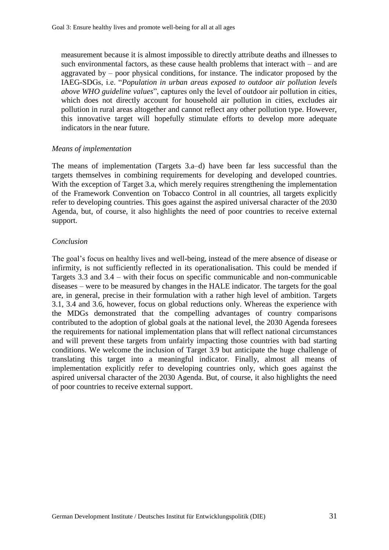measurement because it is almost impossible to directly attribute deaths and illnesses to such environmental factors, as these cause health problems that interact with – and are aggravated by – poor physical conditions, for instance. The indicator proposed by the IAEG-SDGs, i.e. "*Population in urban areas exposed to outdoor air pollution levels above WHO guideline values*", captures only the level of outdoor air pollution in cities, which does not directly account for household air pollution in cities, excludes air pollution in rural areas altogether and cannot reflect any other pollution type. However, this innovative target will hopefully stimulate efforts to develop more adequate indicators in the near future.

### *Means of implementation*

The means of implementation (Targets 3.a–d) have been far less successful than the targets themselves in combining requirements for developing and developed countries. With the exception of Target 3.a, which merely requires strengthening the implementation of the Framework Convention on Tobacco Control in all countries, all targets explicitly refer to developing countries. This goes against the aspired universal character of the 2030 Agenda, but, of course, it also highlights the need of poor countries to receive external support.

### *Conclusion*

The goal's focus on healthy lives and well-being, instead of the mere absence of disease or infirmity, is not sufficiently reflected in its operationalisation. This could be mended if Targets 3.3 and 3.4 – with their focus on specific communicable and non-communicable diseases – were to be measured by changes in the HALE indicator. The targets for the goal are, in general, precise in their formulation with a rather high level of ambition. Targets 3.1, 3.4 and 3.6, however, focus on global reductions only. Whereas the experience with the MDGs demonstrated that the compelling advantages of country comparisons contributed to the adoption of global goals at the national level, the 2030 Agenda foresees the requirements for national implementation plans that will reflect national circumstances and will prevent these targets from unfairly impacting those countries with bad starting conditions. We welcome the inclusion of Target 3.9 but anticipate the huge challenge of translating this target into a meaningful indicator. Finally, almost all means of implementation explicitly refer to developing countries only, which goes against the aspired universal character of the 2030 Agenda. But, of course, it also highlights the need of poor countries to receive external support.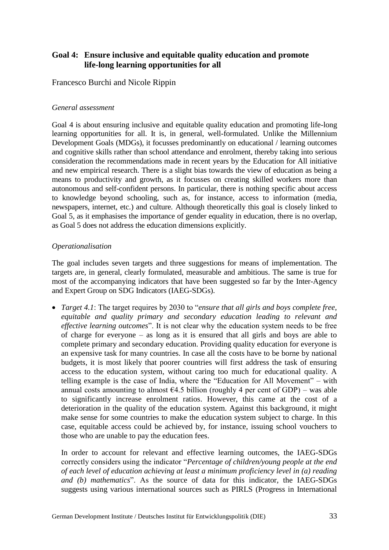# **Goal 4: Ensure inclusive and equitable quality education and promote life-long learning opportunities for all**

Francesco Burchi and Nicole Rippin

#### *General assessment*

Goal 4 is about ensuring inclusive and equitable quality education and promoting life-long learning opportunities for all. It is, in general, well-formulated. Unlike the Millennium Development Goals (MDGs), it focusses predominantly on educational / learning outcomes and cognitive skills rather than school attendance and enrolment, thereby taking into serious consideration the recommendations made in recent years by the Education for All initiative and new empirical research. There is a slight bias towards the view of education as being a means to productivity and growth, as it focusses on creating skilled workers more than autonomous and self-confident persons. In particular, there is nothing specific about access to knowledge beyond schooling, such as, for instance, access to information (media, newspapers, internet, etc.) and culture. Although theoretically this goal is closely linked to Goal 5, as it emphasises the importance of gender equality in education, there is no overlap, as Goal 5 does not address the education dimensions explicitly.

### *Operationalisation*

The goal includes seven targets and three suggestions for means of implementation. The targets are, in general, clearly formulated, measurable and ambitious. The same is true for most of the accompanying indicators that have been suggested so far by the Inter-Agency and Expert Group on SDG Indicators (IAEG-SDGs).

 *Target 4.1*: The target requires by 2030 to "*ensure that all girls and boys complete free, equitable and quality primary and secondary education leading to relevant and effective learning outcomes*". It is not clear why the education system needs to be free of charge for everyone – as long as it is ensured that all girls and boys are able to complete primary and secondary education. Providing quality education for everyone is an expensive task for many countries. In case all the costs have to be borne by national budgets, it is most likely that poorer countries will first address the task of ensuring access to the education system, without caring too much for educational quality. A telling example is the case of India, where the "Education for All Movement" – with annual costs amounting to almost  $64.5$  billion (roughly 4 per cent of GDP) – was able to significantly increase enrolment ratios. However, this came at the cost of a deterioration in the quality of the education system. Against this background, it might make sense for some countries to make the education system subject to charge. In this case, equitable access could be achieved by, for instance, issuing school vouchers to those who are unable to pay the education fees.

In order to account for relevant and effective learning outcomes, the IAEG-SDGs correctly considers using the indicator "*Percentage of children/young people at the end of each level of education achieving at least a minimum proficiency level in (a) reading and (b) mathematics*". As the source of data for this indicator, the IAEG-SDGs suggests using various international sources such as PIRLS (Progress in International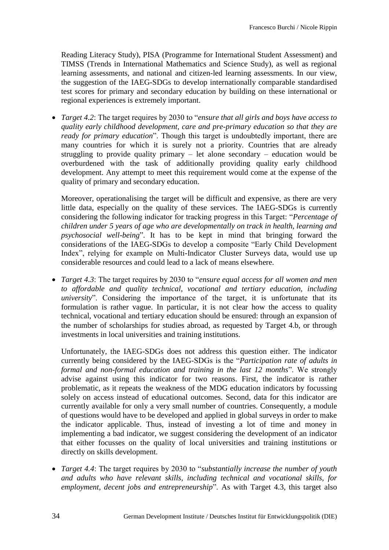Reading Literacy Study), PISA (Programme for International Student Assessment) and TIMSS (Trends in International Mathematics and Science Study), as well as regional learning assessments, and national and citizen-led learning assessments. In our view, the suggestion of the IAEG-SDGs to develop internationally comparable standardised test scores for primary and secondary education by building on these international or regional experiences is extremely important.

 *Target 4.2*: The target requires by 2030 to "*ensure that all girls and boys have access to quality early childhood development, care and pre-primary education so that they are ready for primary education*". Though this target is undoubtedly important, there are many countries for which it is surely not a priority. Countries that are already struggling to provide quality primary – let alone secondary – education would be overburdened with the task of additionally providing quality early childhood development. Any attempt to meet this requirement would come at the expense of the quality of primary and secondary education.

Moreover, operationalising the target will be difficult and expensive, as there are very little data, especially on the quality of these services. The IAEG-SDGs is currently considering the following indicator for tracking progress in this Target: "*Percentage of children under 5 years of age who are developmentally on track in health, learning and psychosocial well-being*". It has to be kept in mind that bringing forward the considerations of the IAEG-SDGs to develop a composite "Early Child Development Index", relying for example on Multi-Indicator Cluster Surveys data, would use up considerable resources and could lead to a lack of means elsewhere.

 *Target 4.3*: The target requires by 2030 to "*ensure equal access for all women and men to affordable and quality technical, vocational and tertiary education, including university*". Considering the importance of the target, it is unfortunate that its formulation is rather vague. In particular, it is not clear how the access to quality technical, vocational and tertiary education should be ensured: through an expansion of the number of scholarships for studies abroad, as requested by Target 4.b, or through investments in local universities and training institutions.

Unfortunately, the IAEG-SDGs does not address this question either. The indicator currently being considered by the IAEG-SDGs is the "*Participation rate of adults in formal and non-formal education and training in the last 12 months*". We strongly advise against using this indicator for two reasons. First, the indicator is rather problematic, as it repeats the weakness of the MDG education indicators by focussing solely on access instead of educational outcomes. Second, data for this indicator are currently available for only a very small number of countries. Consequently, a module of questions would have to be developed and applied in global surveys in order to make the indicator applicable. Thus, instead of investing a lot of time and money in implementing a bad indicator, we suggest considering the development of an indicator that either focusses on the quality of local universities and training institutions or directly on skills development.

 *Target 4.4*: The target requires by 2030 to "*substantially increase the number of youth and adults who have relevant skills, including technical and vocational skills, for employment, decent jobs and entrepreneurship*". As with Target 4.3, this target also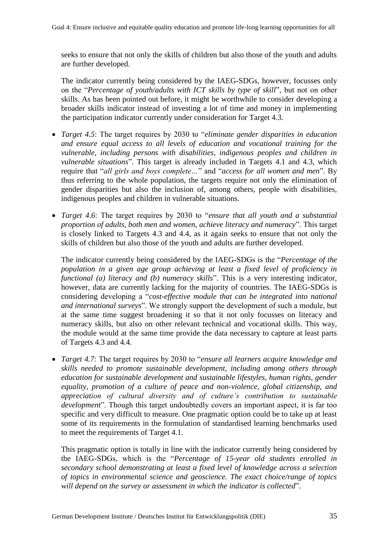seeks to ensure that not only the skills of children but also those of the youth and adults are further developed.

The indicator currently being considered by the IAEG-SDGs, however, focusses only on the "*Percentage of youth/adults with ICT skills by type of skill*", but not on other skills. As has been pointed out before, it might be worthwhile to consider developing a broader skills indicator instead of investing a lot of time and money in implementing the participation indicator currently under consideration for Target 4.3.

- *Target 4*.*5*: The target requires by 2030 to "*eliminate gender disparities in education and ensure equal access to all levels of education and vocational training for the vulnerable, including persons with disabilities, indigenous peoples and children in vulnerable situations*". This target is already included in Targets 4.1 and 4.3, which require that "*all girls and boys complete…*" and "*access for all women and men*". By thus referring to the whole population, the targets require not only the elimination of gender disparities but also the inclusion of, among others, people with disabilities, indigenous peoples and children in vulnerable situations.
- *Target 4*.*6*: The target requires by 2030 to "*ensure that all youth and a substantial proportion of adults, both men and women, achieve literacy and numeracy*". This target is closely linked to Targets 4.3 and 4.4, as it again seeks to ensure that not only the skills of children but also those of the youth and adults are further developed.

The indicator currently being considered by the IAEG-SDGs is the "*Percentage of the population in a given age group achieving at least a fixed level of proficiency in functional (a) literacy and (b) numeracy skills*". This is a very interesting indicator, however, data are currently lacking for the majority of countries. The IAEG-SDGs is considering developing a "*cost-effective module that can be integrated into national and international surveys*". We strongly support the development of such a module, but at the same time suggest broadening it so that it not only focusses on literacy and numeracy skills, but also on other relevant technical and vocational skills. This way, the module would at the same time provide the data necessary to capture at least parts of Targets 4.3 and 4.4.

 *Target 4.7*: The target requires by 2030 to "*ensure all learners acquire knowledge and skills needed to promote sustainable development, including among others through education for sustainable development and sustainable lifestyles, human rights, gender equality, promotion of a culture of peace and non-violence, global citizenship, and appreciation of cultural diversity and of culture's contribution to sustainable development*". Though this target undoubtedly covers an important aspect, it is far too specific and very difficult to measure. One pragmatic option could be to take up at least some of its requirements in the formulation of standardised learning benchmarks used to meet the requirements of Target 4.1.

This pragmatic option is totally in line with the indicator currently being considered by the IAEG-SDGs, which is the "*Percentage of 15-year old students enrolled in secondary school demonstrating at least a fixed level of knowledge across a selection of topics in environmental science and geoscience. The exact choice/range of topics will depend on the survey or assessment in which the indicator is collected*".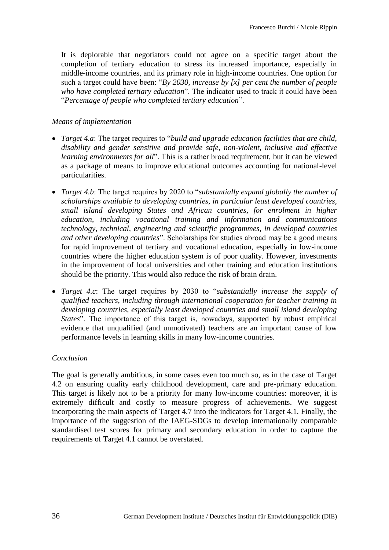It is deplorable that negotiators could not agree on a specific target about the completion of tertiary education to stress its increased importance, especially in middle-income countries, and its primary role in high-income countries. One option for such a target could have been: "*By 2030, increase by [x] per cent the number of people who have completed tertiary education*". The indicator used to track it could have been "*Percentage of people who completed tertiary education*".

### *Means of implementation*

- *Target 4.a*: The target requires to "*build and upgrade education facilities that are child, disability and gender sensitive and provide safe, non-violent, inclusive and effective learning environments for all*". This is a rather broad requirement, but it can be viewed as a package of means to improve educational outcomes accounting for national-level particularities.
- *Target 4.b*: The target requires by 2020 to "*substantially expand globally the number of scholarships available to developing countries, in particular least developed countries, small island developing States and African countries, for enrolment in higher education, including vocational training and information and communications technology, technical, engineering and scientific programmes, in developed countries and other developing countries*". Scholarships for studies abroad may be a good means for rapid improvement of tertiary and vocational education, especially in low-income countries where the higher education system is of poor quality. However, investments in the improvement of local universities and other training and education institutions should be the priority. This would also reduce the risk of brain drain.
- *Target 4.c*: The target requires by 2030 to "*substantially increase the supply of qualified teachers, including through international cooperation for teacher training in developing countries, especially least developed countries and small island developing States*". The importance of this target is, nowadays, supported by robust empirical evidence that unqualified (and unmotivated) teachers are an important cause of low performance levels in learning skills in many low-income countries.

### *Conclusion*

The goal is generally ambitious, in some cases even too much so, as in the case of Target 4.2 on ensuring quality early childhood development, care and pre-primary education. This target is likely not to be a priority for many low-income countries: moreover, it is extremely difficult and costly to measure progress of achievements. We suggest incorporating the main aspects of Target 4.7 into the indicators for Target 4.1. Finally, the importance of the suggestion of the IAEG-SDGs to develop internationally comparable standardised test scores for primary and secondary education in order to capture the requirements of Target 4.1 cannot be overstated.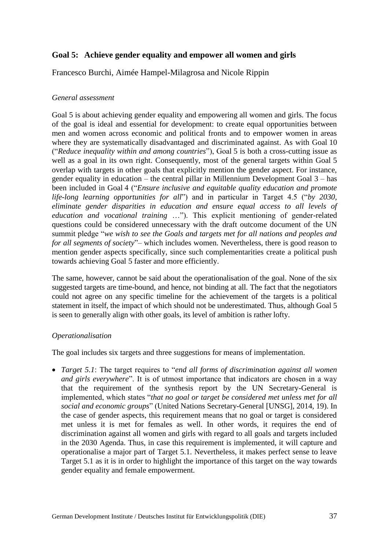## **Goal 5: Achieve gender equality and empower all women and girls**

Francesco Burchi, Aimée Hampel-Milagrosa and Nicole Rippin

### *General assessment*

Goal 5 is about achieving gender equality and empowering all women and girls. The focus of the goal is ideal and essential for development: to create equal opportunities between men and women across economic and political fronts and to empower women in areas where they are systematically disadvantaged and discriminated against. As with Goal 10 ("*Reduce inequality within and among countries*"), Goal 5 is both a cross-cutting issue as well as a goal in its own right. Consequently, most of the general targets within Goal 5 overlap with targets in other goals that explicitly mention the gender aspect. For instance, gender equality in education – the central pillar in Millennium Development Goal 3 – has been included in Goal 4 ("*Ensure inclusive and equitable quality education and promote life-long learning opportunities for all*") and in particular in Target 4.5 ("*by 2030, eliminate gender disparities in education and ensure equal access to all levels of education and vocational training* …"). This explicit mentioning of gender-related questions could be considered unnecessary with the draft outcome document of the UN summit pledge "*we wish to see the Goals and targets met for all nations and peoples and for all segments of society*"– which includes women. Nevertheless, there is good reason to mention gender aspects specifically, since such complementarities create a political push towards achieving Goal 5 faster and more efficiently.

The same, however, cannot be said about the operationalisation of the goal. None of the six suggested targets are time-bound, and hence, not binding at all. The fact that the negotiators could not agree on any specific timeline for the achievement of the targets is a political statement in itself, the impact of which should not be underestimated. Thus, although Goal 5 is seen to generally align with other goals, its level of ambition is rather lofty.

### *Operationalisation*

The goal includes six targets and three suggestions for means of implementation.

 *Target 5.1*: The target requires to "*end all forms of discrimination against all women and girls everywhere*". It is of utmost importance that indicators are chosen in a way that the requirement of the synthesis report by the UN Secretary-General is implemented, which states "*that no goal or target be considered met unless met for all social and economic groups*" (United Nations Secretary-General [UNSG], 2014, 19). In the case of gender aspects, this requirement means that no goal or target is considered met unless it is met for females as well. In other words, it requires the end of discrimination against all women and girls with regard to all goals and targets included in the 2030 Agenda. Thus, in case this requirement is implemented, it will capture and operationalise a major part of Target 5.1. Nevertheless, it makes perfect sense to leave Target 5.1 as it is in order to highlight the importance of this target on the way towards gender equality and female empowerment.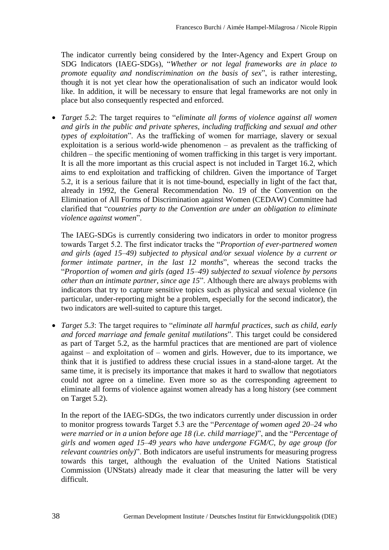The indicator currently being considered by the Inter-Agency and Expert Group on SDG Indicators (IAEG-SDGs), "*Whether or not legal frameworks are in place to promote equality and nondiscrimination on the basis of sex*", is rather interesting, though it is not yet clear how the operationalisation of such an indicator would look like. In addition, it will be necessary to ensure that legal frameworks are not only in place but also consequently respected and enforced.

 *Target 5.2*: The target requires to "*eliminate all forms of violence against all women and girls in the public and private spheres, including trafficking and sexual and other types of exploitation*". As the trafficking of women for marriage, slavery or sexual exploitation is a serious world-wide phenomenon – as prevalent as the trafficking of children – the specific mentioning of women trafficking in this target is very important. It is all the more important as this crucial aspect is not included in Target 16.2, which aims to end exploitation and trafficking of children. Given the importance of Target 5.2, it is a serious failure that it is not time-bound, especially in light of the fact that, already in 1992, the General Recommendation No. 19 of the Convention on the Elimination of All Forms of Discrimination against Women (CEDAW) Committee had clarified that "*countries party to the Convention are under an obligation to eliminate violence against women*".

The IAEG-SDGs is currently considering two indicators in order to monitor progress towards Target 5.2. The first indicator tracks the "*Proportion of ever-partnered women and girls (aged 15–49) subjected to physical and/or sexual violence by a current or former intimate partner, in the last 12 months*", whereas the second tracks the "*Proportion of women and girls (aged 15–49) subjected to sexual violence by persons other than an intimate partner, since age 15*". Although there are always problems with indicators that try to capture sensitive topics such as physical and sexual violence (in particular, under-reporting might be a problem, especially for the second indicator), the two indicators are well-suited to capture this target.

 *Target 5.3*: The target requires to "*eliminate all harmful practices, such as child, early and forced marriage and female genital mutilations*". This target could be considered as part of Target 5.2, as the harmful practices that are mentioned are part of violence against – and exploitation of – women and girls. However, due to its importance, we think that it is justified to address these crucial issues in a stand-alone target. At the same time, it is precisely its importance that makes it hard to swallow that negotiators could not agree on a timeline. Even more so as the corresponding agreement to eliminate all forms of violence against women already has a long history (see comment on Target 5.2).

In the report of the IAEG-SDGs, the two indicators currently under discussion in order to monitor progress towards Target 5.3 are the "*Percentage of women aged 20–24 who were married or in a union before age 18 (i.e. child marriage)*", and the "*Percentage of girls and women aged 15–49 years who have undergone FGM/C, by age group (for relevant countries only)*". Both indicators are useful instruments for measuring progress towards this target, although the evaluation of the United Nations Statistical Commission (UNStats) already made it clear that measuring the latter will be very difficult.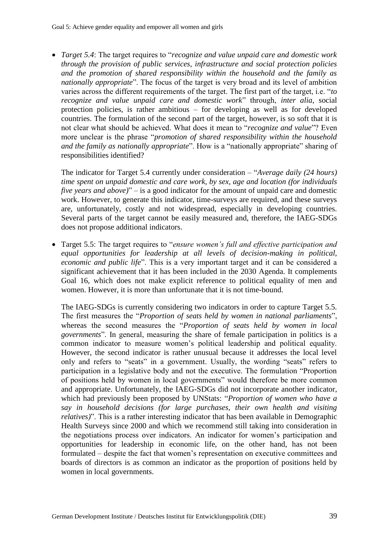*Target 5.4*: The target requires to "*recognize and value unpaid care and domestic work through the provision of public services, infrastructure and social protection policies and the promotion of shared responsibility within the household and the family as nationally appropriate*". The focus of the target is very broad and its level of ambition varies across the different requirements of the target. The first part of the target, i.e. "*to recognize and value unpaid care and domestic work*" through, *inter alia*, social protection policies, is rather ambitious – for developing as well as for developed countries. The formulation of the second part of the target, however, is so soft that it is not clear what should be achieved. What does it mean to "*recognize and value*"? Even more unclear is the phrase "*promotion of shared responsibility within the household and the family as nationally appropriate*". How is a "nationally appropriate" sharing of responsibilities identified?

The indicator for Target 5.4 currently under consideration – "*Average daily (24 hours) time spent on unpaid domestic and care work, by sex, age and location (for individuals five years and above)*" – is a good indicator for the amount of unpaid care and domestic work. However, to generate this indicator, time-surveys are required, and these surveys are, unfortunately, costly and not widespread, especially in developing countries. Several parts of the target cannot be easily measured and, therefore, the IAEG-SDGs does not propose additional indicators.

 Target 5.5: The target requires to "*ensure women's full and effective participation and equal opportunities for leadership at all levels of decision-making in political, economic and public life*". This is a very important target and it can be considered a significant achievement that it has been included in the 2030 Agenda. It complements Goal 16, which does not make explicit reference to political equality of men and women. However, it is more than unfortunate that it is not time-bound.

The IAEG-SDGs is currently considering two indicators in order to capture Target 5.5. The first measures the "*Proportion of seats held by women in national parliaments*", whereas the second measures the "*Proportion of seats held by women in local governments*". In general, measuring the share of female participation in politics is a common indicator to measure women's political leadership and political equality. However, the second indicator is rather unusual because it addresses the local level only and refers to "seats" in a government. Usually, the wording "seats" refers to participation in a legislative body and not the executive. The formulation "Proportion of positions held by women in local governments" would therefore be more common and appropriate. Unfortunately, the IAEG-SDGs did not incorporate another indicator, which had previously been proposed by UNStats: "*Proportion of women who have a say in household decisions (for large purchases, their own health and visiting relatives)*". This is a rather interesting indicator that has been available in Demographic Health Surveys since 2000 and which we recommend still taking into consideration in the negotiations process over indicators. An indicator for women's participation and opportunities for leadership in economic life, on the other hand, has not been formulated – despite the fact that women's representation on executive committees and boards of directors is as common an indicator as the proportion of positions held by women in local governments.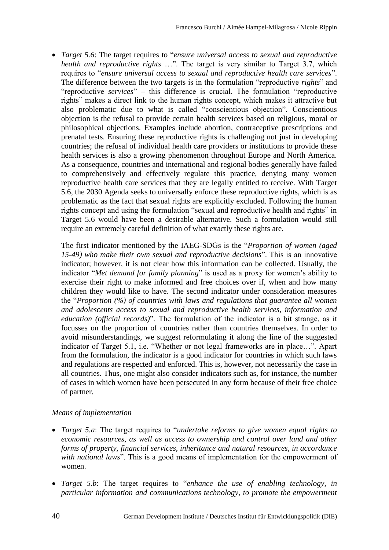*Target 5.6*: The target requires to "*ensure universal access to sexual and reproductive health and reproductive rights* …". The target is very similar to Target 3.7, which requires to "*ensure universal access to sexual and reproductive health care services*". The difference between the two targets is in the formulation "reproductive *rights*" and "reproductive *services*" – this difference is crucial. The formulation "reproductive rights" makes a direct link to the human rights concept, which makes it attractive but also problematic due to what is called "conscientious objection". Conscientious objection is the refusal to provide certain health services based on religious, moral or philosophical objections. Examples include abortion, contraceptive prescriptions and prenatal tests. Ensuring these reproductive rights is challenging not just in developing countries; the refusal of individual health care providers or institutions to provide these health services is also a growing phenomenon throughout Europe and North America. As a consequence, countries and international and regional bodies generally have failed to comprehensively and effectively regulate this practice, denying many women reproductive health care services that they are legally entitled to receive. With Target 5.6, the 2030 Agenda seeks to universally enforce these reproductive rights, which is as problematic as the fact that sexual rights are explicitly excluded. Following the human rights concept and using the formulation "sexual and reproductive health and rights" in Target 5.6 would have been a desirable alternative. Such a formulation would still require an extremely careful definition of what exactly these rights are.

The first indicator mentioned by the IAEG-SDGs is the "*Proportion of women (aged 15-49) who make their own sexual and reproductive decisions*". This is an innovative indicator; however, it is not clear how this information can be collected. Usually, the indicator "*Met demand for family planning*" is used as a proxy for women's ability to exercise their right to make informed and free choices over if, when and how many children they would like to have. The second indicator under consideration measures the "*Proportion (%) of countries with laws and regulations that guarantee all women and adolescents access to sexual and reproductive health services, information and education (official records)*". The formulation of the indicator is a bit strange, as it focusses on the proportion of countries rather than countries themselves. In order to avoid misunderstandings, we suggest reformulating it along the line of the suggested indicator of Target 5.1, i.e. "Whether or not legal frameworks are in place…". Apart from the formulation, the indicator is a good indicator for countries in which such laws and regulations are respected and enforced. This is, however, not necessarily the case in all countries. Thus, one might also consider indicators such as, for instance, the number of cases in which women have been persecuted in any form because of their free choice of partner.

## *Means of implementation*

- *Target 5.a*: The target requires to "*undertake reforms to give women equal rights to economic resources, as well as access to ownership and control over land and other forms of property, financial services, inheritance and natural resources, in accordance with national laws*". This is a good means of implementation for the empowerment of women.
- *Target 5.b*: The target requires to "*enhance the use of enabling technology, in particular information and communications technology, to promote the empowerment*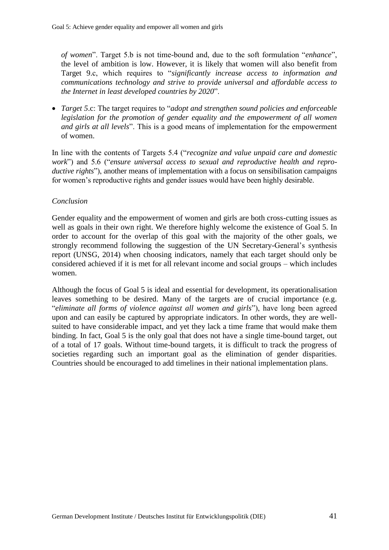*of women*". Target 5.b is not time-bound and, due to the soft formulation "*enhance*", the level of ambition is low. However, it is likely that women will also benefit from Target 9.c, which requires to "*significantly increase access to information and communications technology and strive to provide universal and affordable access to the Internet in least developed countries by 2020*".

 *Target 5*.c: The target requires to "*adopt and strengthen sound policies and enforceable legislation for the promotion of gender equality and the empowerment of all women and girls at all levels*". This is a good means of implementation for the empowerment of women.

In line with the contents of Targets 5.4 ("*recognize and value unpaid care and domestic work*") and 5.6 ("*ensure universal access to sexual and reproductive health and reproductive rights*"), another means of implementation with a focus on sensibilisation campaigns for women's reproductive rights and gender issues would have been highly desirable.

## *Conclusion*

Gender equality and the empowerment of women and girls are both cross-cutting issues as well as goals in their own right. We therefore highly welcome the existence of Goal 5. In order to account for the overlap of this goal with the majority of the other goals, we strongly recommend following the suggestion of the UN Secretary-General's synthesis report (UNSG, 2014) when choosing indicators, namely that each target should only be considered achieved if it is met for all relevant income and social groups – which includes women.

Although the focus of Goal 5 is ideal and essential for development, its operationalisation leaves something to be desired. Many of the targets are of crucial importance (e.g. "*eliminate all forms of violence against all women and girls*"), have long been agreed upon and can easily be captured by appropriate indicators. In other words, they are wellsuited to have considerable impact, and yet they lack a time frame that would make them binding. In fact, Goal 5 is the only goal that does not have a single time-bound target, out of a total of 17 goals. Without time-bound targets, it is difficult to track the progress of societies regarding such an important goal as the elimination of gender disparities. Countries should be encouraged to add timelines in their national implementation plans.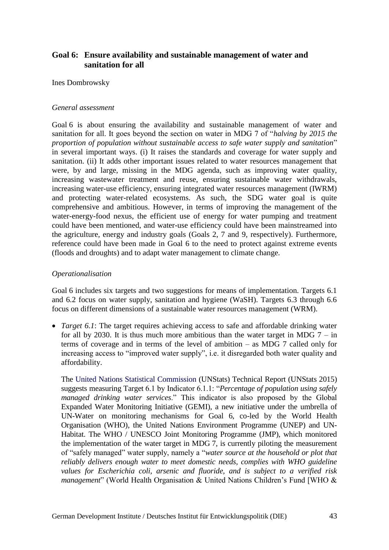# **Goal 6: Ensure availability and sustainable management of water and sanitation for all**

Ines Dombrowsky

### *General assessment*

Goal 6 is about ensuring the availability and sustainable management of water and sanitation for all. It goes beyond the section on water in MDG 7 of "*halving by 2015 the proportion of population without sustainable access to safe water supply and sanitation*" in several important ways. (i) It raises the standards and coverage for water supply and sanitation. (ii) It adds other important issues related to water resources management that were, by and large, missing in the MDG agenda, such as improving water quality, increasing wastewater treatment and reuse, ensuring sustainable water withdrawals, increasing water-use efficiency, ensuring integrated water resources management (IWRM) and protecting water-related ecosystems. As such, the SDG water goal is quite comprehensive and ambitious. However, in terms of improving the management of the water-energy-food nexus, the efficient use of energy for water pumping and treatment could have been mentioned, and water-use efficiency could have been mainstreamed into the agriculture, energy and industry goals (Goals 2, 7 and 9, respectively). Furthermore, reference could have been made in Goal 6 to the need to protect against extreme events (floods and droughts) and to adapt water management to climate change.

## *Operationalisation*

Goal 6 includes six targets and two suggestions for means of implementation. Targets 6.1 and 6.2 focus on water supply, sanitation and hygiene (WaSH). Targets 6.3 through 6.6 focus on different dimensions of a sustainable water resources management (WRM).

• *Target 6.1*: The target requires achieving access to safe and affordable drinking water for all by 2030. It is thus much more ambitious than the water target in MDG  $7 - in$ terms of coverage and in terms of the level of ambition – as MDG 7 called only for increasing access to "improved water supply", i.e. it disregarded both water quality and affordability.

The United Nations Statistical Commission (UNStats) Technical Report (UNStats 2015) suggests measuring Target 6.1 by Indicator 6.1.1: "*Percentage of population using safely managed drinking water services*." This indicator is also proposed by the Global Expanded Water Monitoring Initiative (GEMI), a new initiative under the umbrella of UN-Water on monitoring mechanisms for Goal 6, co-led by the World Health Organisation (WHO), the United Nations Environment Programme (UNEP) and UN-Habitat. The WHO / UNESCO Joint Monitoring Programme (JMP), which monitored the implementation of the water target in MDG 7, is currently piloting the measurement of "safely managed" water supply, namely a "*water source at the household or plot that reliably delivers enough water to meet domestic needs, complies with WHO guideline values for Escherichia coli, arsenic and fluoride, and is subject to a verified risk management*" (World Health Organisation & United Nations Children's Fund [WHO &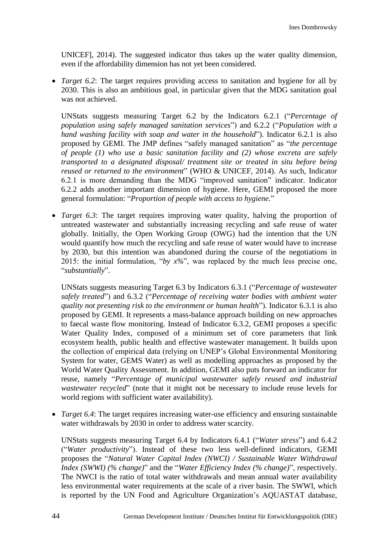UNICEF], 2014). The suggested indicator thus takes up the water quality dimension, even if the affordability dimension has not yet been considered.

• *Target 6.2*: The target requires providing access to sanitation and hygiene for all by 2030. This is also an ambitious goal, in particular given that the MDG sanitation goal was not achieved.

UNStats suggests measuring Target 6.2 by the Indicators 6.2.1 ("*Percentage of population using safely managed sanitation services*") and 6.2.2 ("*Population with a hand washing facility with soap and water in the household*"). Indicator 6.2.1 is also proposed by GEMI. The JMP defines "safely managed sanitation" as "*the percentage of people (1) who use a basic sanitation facility and (2) whose excreta are safely transported to a designated disposal/ treatment site or treated in situ before being reused or returned to the environment*" (WHO & UNICEF, 2014). As such, Indicator 6.2.1 is more demanding than the MDG "improved sanitation" indicator. Indicator 6.2.2 adds another important dimension of hygiene. Here, GEMI proposed the more general formulation: "*Proportion of people with access to hygiene.*"

 *Target 6.3*: The target requires improving water quality, halving the proportion of untreated wastewater and substantially increasing recycling and safe reuse of water globally. Initially, the Open Working Group (OWG) had the intention that the UN would quantify how much the recycling and safe reuse of water would have to increase by 2030, but this intention was abandoned during the course of the negotiations in 2015: the initial formulation, "*by x%*", was replaced by the much less precise one, "*substantially*".

UNStats suggests measuring Target 6.3 by Indicators 6.3.1 ("*Percentage of wastewater safely treated*") and 6.3.2 ("*Percentage of receiving water bodies with ambient water quality not presenting risk to the environment or human health*")*.* Indicator 6.3.1 is also proposed by GEMI. It represents a mass-balance approach building on new approaches to faecal waste flow monitoring. Instead of Indicator 6.3.2, GEMI proposes a specific Water Quality Index, composed of a minimum set of core parameters that link ecosystem health, public health and effective wastewater management. It builds upon the collection of empirical data (relying on UNEP's Global Environmental Monitoring System for water, GEMS Water) as well as modelling approaches as proposed by the World Water Quality Assessment. In addition, GEMI also puts forward an indicator for reuse, namely "*Percentage of municipal wastewater safely reused and industrial wastewater recycled*" (note that it might not be necessary to include reuse levels for world regions with sufficient water availability).

 *Target 6.4*: The target requires increasing water-use efficiency and ensuring sustainable water withdrawals by 2030 in order to address water scarcity.

UNStats suggests measuring Target 6.4 by Indicators 6.4.1 ("*Water stress*") and 6.4.2 ("*Water productivity*"). Instead of these two less well-defined indicators, GEMI proposes the "*Natural Water Capital Index (NWCI) / Sustainable Water Withdrawal Index (SWWI) (% change)*" and the "*Water Efficiency Index (% change)*", respectively. The NWCI is the ratio of total water withdrawals and mean annual water availability less environmental water requirements at the scale of a river basin. The SWWI, which is reported by the UN Food and Agriculture Organization's AQUASTAT database,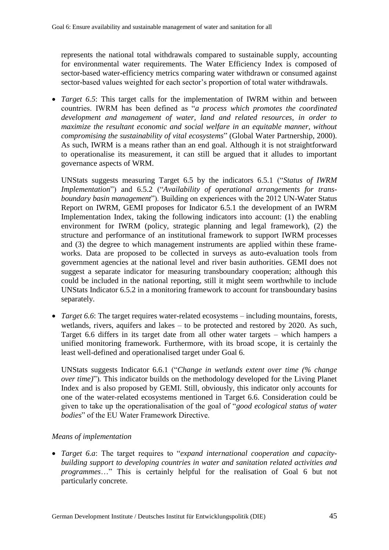represents the national total withdrawals compared to sustainable supply, accounting for environmental water requirements. The Water Efficiency Index is composed of sector-based water-efficiency metrics comparing water withdrawn or consumed against sector-based values weighted for each sector's proportion of total water withdrawals.

 *Target 6.5*: This target calls for the implementation of IWRM within and between countries. IWRM has been defined as "*a process which promotes the coordinated development and management of water, land and related resources, in order to maximize the resultant economic and social welfare in an equitable manner, without compromising the sustainability of vital ecosystems*" (Global Water Partnership, 2000). As such, IWRM is a means rather than an end goal. Although it is not straightforward to operationalise its measurement, it can still be argued that it alludes to important governance aspects of WRM.

UNStats suggests measuring Target 6.5 by the indicators 6.5.1 ("*Status of IWRM Implementation*") and 6.5.2 ("*Availability of operational arrangements for transboundary basin management*"). Building on experiences with the 2012 UN-Water Status Report on IWRM, GEMI proposes for Indicator 6.5.1 the development of an IWRM Implementation Index, taking the following indicators into account: (1) the enabling environment for IWRM (policy, strategic planning and legal framework), (2) the structure and performance of an institutional framework to support IWRM processes and (3) the degree to which management instruments are applied within these frameworks. Data are proposed to be collected in surveys as auto-evaluation tools from government agencies at the national level and river basin authorities. GEMI does not suggest a separate indicator for measuring transboundary cooperation; although this could be included in the national reporting, still it might seem worthwhile to include UNStats Indicator 6.5.2 in a monitoring framework to account for transboundary basins separately.

 *Target 6.6*: The target requires water-related ecosystems – including mountains, forests, wetlands, rivers, aquifers and lakes – to be protected and restored by 2020. As such, Target 6.6 differs in its target date from all other water targets – which hampers a unified monitoring framework. Furthermore, with its broad scope, it is certainly the least well-defined and operationalised target under Goal 6.

UNStats suggests Indicator 6.6.1 ("*Change in wetlands extent over time (% change over time)*")*.* This indicator builds on the methodology developed for the Living Planet Index and is also proposed by GEMI. Still, obviously, this indicator only accounts for one of the water-related ecosystems mentioned in Target 6.6. Consideration could be given to take up the operationalisation of the goal of "*good ecological status of water bodies*" of the EU Water Framework Directive.

## *Means of implementation*

 *Target 6.a*: The target requires to "*expand international cooperation and capacitybuilding support to developing countries in water and sanitation related activities and programmes*…" This is certainly helpful for the realisation of Goal 6 but not particularly concrete.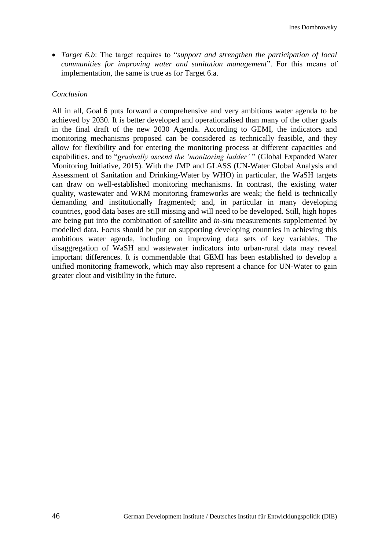*Target 6.b*: The target requires to "*support and strengthen the participation of local communities for improving water and sanitation management*". For this means of implementation, the same is true as for Target 6.a.

#### *Conclusion*

All in all, Goal 6 puts forward a comprehensive and very ambitious water agenda to be achieved by 2030. It is better developed and operationalised than many of the other goals in the final draft of the new 2030 Agenda. According to GEMI, the indicators and monitoring mechanisms proposed can be considered as technically feasible, and they allow for flexibility and for entering the monitoring process at different capacities and capabilities, and to "*gradually ascend the 'monitoring ladder'* " (Global Expanded Water Monitoring Initiative, 2015). With the JMP and GLASS (UN-Water Global Analysis and Assessment of Sanitation and Drinking-Water by WHO) in particular, the WaSH targets can draw on well-established monitoring mechanisms. In contrast, the existing water quality, wastewater and WRM monitoring frameworks are weak; the field is technically demanding and institutionally fragmented; and, in particular in many developing countries, good data bases are still missing and will need to be developed. Still, high hopes are being put into the combination of satellite and *in-situ* measurements supplemented by modelled data. Focus should be put on supporting developing countries in achieving this ambitious water agenda, including on improving data sets of key variables. The disaggregation of WaSH and wastewater indicators into urban-rural data may reveal important differences. It is commendable that GEMI has been established to develop a unified monitoring framework, which may also represent a chance for UN-Water to gain greater clout and visibility in the future.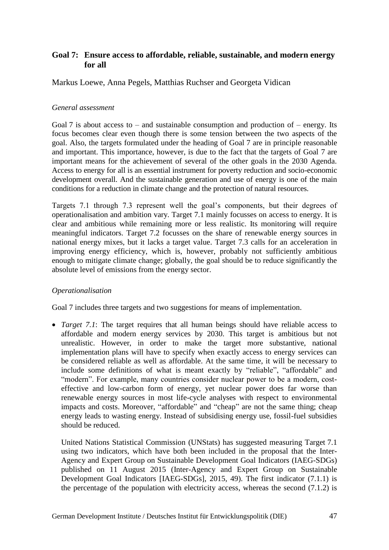# **Goal 7: Ensure access to affordable, reliable, sustainable, and modern energy for all**

Markus Loewe, Anna Pegels, Matthias Ruchser and Georgeta Vidican

### *General assessment*

Goal 7 is about access to – and sustainable consumption and production of – energy. Its focus becomes clear even though there is some tension between the two aspects of the goal. Also, the targets formulated under the heading of Goal 7 are in principle reasonable and important. This importance, however, is due to the fact that the targets of Goal 7 are important means for the achievement of several of the other goals in the 2030 Agenda. Access to energy for all is an essential instrument for poverty reduction and socio-economic development overall. And the sustainable generation and use of energy is one of the main conditions for a reduction in climate change and the protection of natural resources.

Targets 7.1 through 7.3 represent well the goal's components, but their degrees of operationalisation and ambition vary. Target 7.1 mainly focusses on access to energy. It is clear and ambitious while remaining more or less realistic. Its monitoring will require meaningful indicators. Target 7.2 focusses on the share of renewable energy sources in national energy mixes, but it lacks a target value. Target 7.3 calls for an acceleration in improving energy efficiency, which is, however, probably not sufficiently ambitious enough to mitigate climate change; globally, the goal should be to reduce significantly the absolute level of emissions from the energy sector.

## *Operationalisation*

Goal 7 includes three targets and two suggestions for means of implementation.

 *Target 7.1*: The target requires that all human beings should have reliable access to affordable and modern energy services by 2030. This target is ambitious but not unrealistic. However, in order to make the target more substantive, national implementation plans will have to specify when exactly access to energy services can be considered reliable as well as affordable. At the same time, it will be necessary to include some definitions of what is meant exactly by "reliable", "affordable" and "modern". For example, many countries consider nuclear power to be a modern, costeffective and low-carbon form of energy, yet nuclear power does far worse than renewable energy sources in most life-cycle analyses with respect to environmental impacts and costs. Moreover, "affordable" and "cheap" are not the same thing; cheap energy leads to wasting energy. Instead of subsidising energy use, fossil-fuel subsidies should be reduced.

United Nations Statistical Commission (UNStats) has suggested measuring Target 7.1 using two indicators, which have both been included in the proposal that the Inter-Agency and Expert Group on Sustainable Development Goal Indicators (IAEG-SDGs) published on 11 August 2015 (Inter-Agency and Expert Group on Sustainable Development Goal Indicators [IAEG-SDGs], 2015, 49). The first indicator (7.1.1) is the percentage of the population with electricity access, whereas the second (7.1.2) is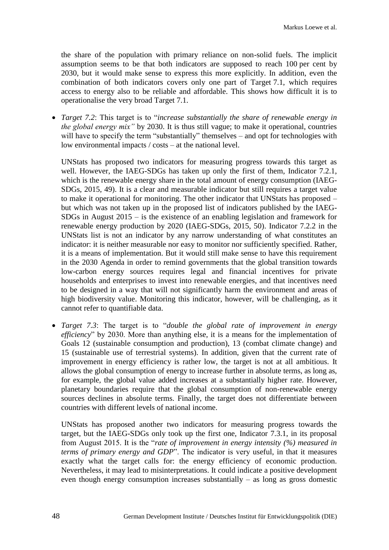the share of the population with primary reliance on non-solid fuels. The implicit assumption seems to be that both indicators are supposed to reach 100 per cent by 2030, but it would make sense to express this more explicitly. In addition, even the combination of both indicators covers only one part of Target 7.1, which requires access to energy also to be reliable and affordable. This shows how difficult it is to operationalise the very broad Target 7.1.

 *Target 7.2*: This target is to "*increase substantially the share of renewable energy in the global energy mix*" by 2030. It is thus still vague; to make it operational, countries will have to specify the term "substantially" themselves – and opt for technologies with low environmental impacts / costs – at the national level.

UNStats has proposed two indicators for measuring progress towards this target as well. However, the IAEG-SDGs has taken up only the first of them, Indicator 7.2.1, which is the renewable energy share in the total amount of energy consumption (IAEG-SDGs, 2015, 49). It is a clear and measurable indicator but still requires a target value to make it operational for monitoring. The other indicator that UNStats has proposed – but which was not taken up in the proposed list of indicators published by the IAEG-SDGs in August 2015 – is the existence of an enabling legislation and framework for renewable energy production by 2020 (IAEG-SDGs, 2015, 50). Indicator 7.2.2 in the UNStats list is not an indicator by any narrow understanding of what constitutes an indicator: it is neither measurable nor easy to monitor nor sufficiently specified. Rather, it is a means of implementation. But it would still make sense to have this requirement in the 2030 Agenda in order to remind governments that the global transition towards low-carbon energy sources requires legal and financial incentives for private households and enterprises to invest into renewable energies, and that incentives need to be designed in a way that will not significantly harm the environment and areas of high biodiversity value. Monitoring this indicator, however, will be challenging, as it cannot refer to quantifiable data.

 *Target 7.3*: The target is to "*double the global rate of improvement in energy efficiency*" by 2030. More than anything else, it is a means for the implementation of Goals 12 (sustainable consumption and production), 13 (combat climate change) and 15 (sustainable use of terrestrial systems). In addition, given that the current rate of improvement in energy efficiency is rather low, the target is not at all ambitious. It allows the global consumption of energy to increase further in absolute terms, as long as, for example, the global value added increases at a substantially higher rate. However, planetary boundaries require that the global consumption of non-renewable energy sources declines in absolute terms. Finally, the target does not differentiate between countries with different levels of national income.

UNStats has proposed another two indicators for measuring progress towards the target, but the IAEG-SDGs only took up the first one, Indicator 7.3.1, in its proposal from August 2015. It is the "*rate of improvement in energy intensity (%) measured in terms of primary energy and GDP*". The indicator is very useful, in that it measures exactly what the target calls for: the energy efficiency of economic production. Nevertheless, it may lead to misinterpretations. It could indicate a positive development even though energy consumption increases substantially – as long as gross domestic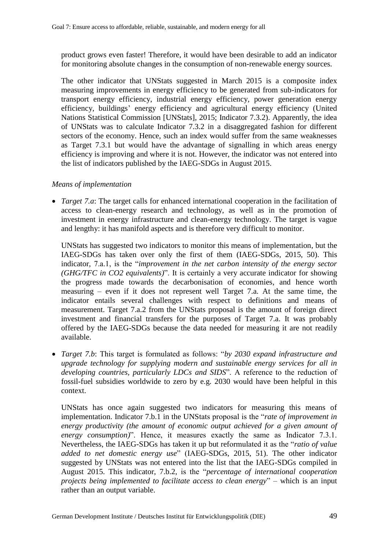product grows even faster! Therefore, it would have been desirable to add an indicator for monitoring absolute changes in the consumption of non-renewable energy sources.

The other indicator that UNStats suggested in March 2015 is a composite index measuring improvements in energy efficiency to be generated from sub-indicators for transport energy efficiency, industrial energy efficiency, power generation energy efficiency, buildings' energy efficiency and agricultural energy efficiency (United Nations Statistical Commission [UNStats], 2015; Indicator 7.3.2). Apparently, the idea of UNStats was to calculate Indicator 7.3.2 in a disaggregated fashion for different sectors of the economy. Hence, such an index would suffer from the same weaknesses as Target 7.3.1 but would have the advantage of signalling in which areas energy efficiency is improving and where it is not. However, the indicator was not entered into the list of indicators published by the IAEG-SDGs in August 2015.

### *Means of implementation*

• *Target 7.a*: The target calls for enhanced international cooperation in the facilitation of access to clean-energy research and technology, as well as in the promotion of investment in energy infrastructure and clean-energy technology. The target is vague and lengthy: it has manifold aspects and is therefore very difficult to monitor.

UNStats has suggested two indicators to monitor this means of implementation, but the IAEG-SDGs has taken over only the first of them (IAEG-SDGs, 2015, 50). This indicator, 7.a.1, is the "*improvement in the net carbon intensity of the energy sector (GHG/TFC in CO2 equivalents)*". It is certainly a very accurate indicator for showing the progress made towards the decarbonisation of economies, and hence worth measuring – even if it does not represent well Target 7.a. At the same time, the indicator entails several challenges with respect to definitions and means of measurement. Target 7.a.2 from the UNStats proposal is the amount of foreign direct investment and financial transfers for the purposes of Target 7.a. It was probably offered by the IAEG-SDGs because the data needed for measuring it are not readily available.

 *Target 7.b*: This target is formulated as follows: "*by 2030 expand infrastructure and upgrade technology for supplying modern and sustainable energy services for all in developing countries, particularly LDCs and SIDS*". A reference to the reduction of fossil-fuel subsidies worldwide to zero by e.g. 2030 would have been helpful in this context.

UNStats has once again suggested two indicators for measuring this means of implementation. Indicator 7.b.1 in the UNStats proposal is the "*rate of improvement in energy productivity (the amount of economic output achieved for a given amount of energy consumption*)". Hence, it measures exactly the same as Indicator 7.3.1. Nevertheless, the IAEG-SDGs has taken it up but reformulated it as the "*ratio of value added to net domestic energy use*" (IAEG-SDGs, 2015, 51). The other indicator suggested by UNStats was not entered into the list that the IAEG-SDGs compiled in August 2015. This indicator, 7.b.2, is the "*percentage of international cooperation projects being implemented to facilitate access to clean energy*" – which is an input rather than an output variable.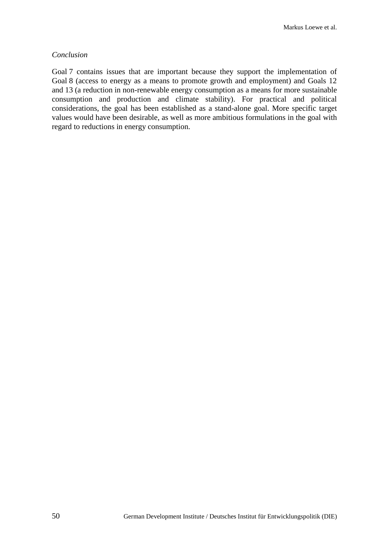#### *Conclusion*

Goal 7 contains issues that are important because they support the implementation of Goal 8 (access to energy as a means to promote growth and employment) and Goals 12 and 13 (a reduction in non-renewable energy consumption as a means for more sustainable consumption and production and climate stability). For practical and political considerations, the goal has been established as a stand-alone goal. More specific target values would have been desirable, as well as more ambitious formulations in the goal with regard to reductions in energy consumption.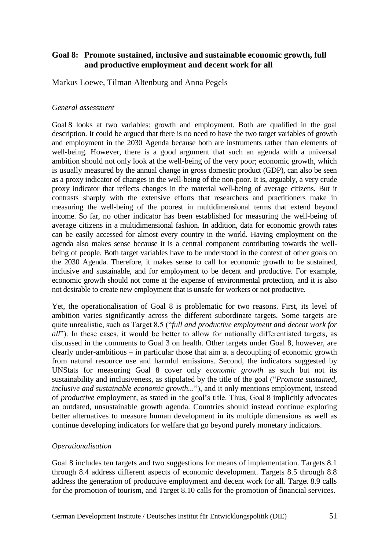# **Goal 8: Promote sustained, inclusive and sustainable economic growth, full and productive employment and decent work for all**

Markus Loewe, Tilman Altenburg and Anna Pegels

### *General assessment*

Goal 8 looks at two variables: growth and employment. Both are qualified in the goal description. It could be argued that there is no need to have the two target variables of growth and employment in the 2030 Agenda because both are instruments rather than elements of well-being. However, there is a good argument that such an agenda with a universal ambition should not only look at the well-being of the very poor; economic growth, which is usually measured by the annual change in gross domestic product (GDP), can also be seen as a proxy indicator of changes in the well-being of the non-poor. It is, arguably, a very crude proxy indicator that reflects changes in the material well-being of average citizens. But it contrasts sharply with the extensive efforts that researchers and practitioners make in measuring the well-being of the poorest in multidimensional terms that extend beyond income. So far, no other indicator has been established for measuring the well-being of average citizens in a multidimensional fashion. In addition, data for economic growth rates can be easily accessed for almost every country in the world. Having employment on the agenda also makes sense because it is a central component contributing towards the wellbeing of people. Both target variables have to be understood in the context of other goals on the 2030 Agenda. Therefore, it makes sense to call for economic growth to be sustained, inclusive and sustainable, and for employment to be decent and productive. For example, economic growth should not come at the expense of environmental protection, and it is also not desirable to create new employment that is unsafe for workers or not productive.

Yet, the operationalisation of Goal 8 is problematic for two reasons. First, its level of ambition varies significantly across the different subordinate targets. Some targets are quite unrealistic, such as Target 8.5 ("*full and productive employment and decent work for all*"). In these cases, it would be better to allow for nationally differentiated targets, as discussed in the comments to Goal 3 on health. Other targets under Goal 8, however, are clearly under-ambitious – in particular those that aim at a decoupling of economic growth from natural resource use and harmful emissions. Second, the indicators suggested by UNStats for measuring Goal 8 cover only *economic growth* as such but not its sustainability and inclusiveness, as stipulated by the title of the goal ("*Promote sustained, inclusive and sustainable economic growth...*"), and it only mentions employment, instead of *productive* employment, as stated in the goal's title. Thus, Goal 8 implicitly advocates an outdated, unsustainable growth agenda. Countries should instead continue exploring better alternatives to measure human development in its multiple dimensions as well as continue developing indicators for welfare that go beyond purely monetary indicators.

### *Operationalisation*

Goal 8 includes ten targets and two suggestions for means of implementation. Targets 8.1 through 8.4 address different aspects of economic development. Targets 8.5 through 8.8 address the generation of productive employment and decent work for all. Target 8.9 calls for the promotion of tourism, and Target 8.10 calls for the promotion of financial services.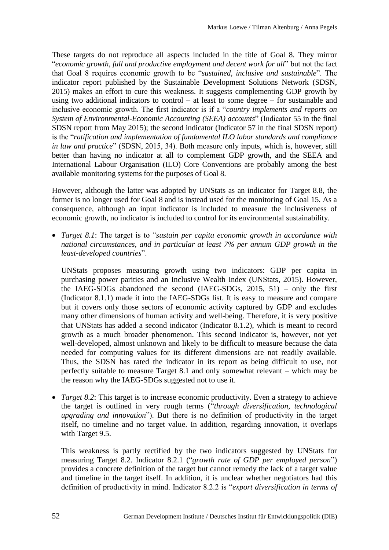These targets do not reproduce all aspects included in the title of Goal 8. They mirror "*economic growth, full and productive employment and decent work for all*" but not the fact that Goal 8 requires economic growth to be "*sustained, inclusive and sustainable*". The indicator report published by the Sustainable Development Solutions Network (SDSN, 2015) makes an effort to cure this weakness. It suggests complementing GDP growth by using two additional indicators to control – at least to some degree – for sustainable and inclusive economic growth. The first indicator is if a "*country implements and reports on System of Environmental-Economic Accounting (SEEA) accounts*" (Indicator 55 in the final SDSN report from May 2015); the second indicator (Indicator 57 in the final SDSN report) is the "*ratification and implementation of fundamental ILO labor standards and compliance in law and practice*" (SDSN, 2015, 34). Both measure only inputs, which is, however, still better than having no indicator at all to complement GDP growth, and the SEEA and International Labour Organisation (ILO) Core Conventions are probably among the best available monitoring systems for the purposes of Goal 8.

However, although the latter was adopted by UNStats as an indicator for Target 8.8, the former is no longer used for Goal 8 and is instead used for the monitoring of Goal 15. As a consequence, although an input indicator is included to measure the inclusiveness of economic growth, no indicator is included to control for its environmental sustainability.

 *Target 8.1*: The target is to "*sustain per capita economic growth in accordance with national circumstances, and in particular at least 7% per annum GDP growth in the least-developed countries*".

UNStats proposes measuring growth using two indicators: GDP per capita in purchasing power parities and an Inclusive Wealth Index (UNStats, 2015). However, the IAEG-SDGs abandoned the second (IAEG-SDGs, 2015, 51) – only the first (Indicator 8.1.1) made it into the IAEG-SDGs list. It is easy to measure and compare but it covers only those sectors of economic activity captured by GDP and excludes many other dimensions of human activity and well-being. Therefore, it is very positive that UNStats has added a second indicator (Indicator 8.1.2), which is meant to record growth as a much broader phenomenon. This second indicator is, however, not yet well-developed, almost unknown and likely to be difficult to measure because the data needed for computing values for its different dimensions are not readily available. Thus, the SDSN has rated the indicator in its report as being difficult to use, not perfectly suitable to measure Target 8.1 and only somewhat relevant – which may be the reason why the IAEG-SDGs suggested not to use it.

• *Target 8.2*: This target is to increase economic productivity. Even a strategy to achieve the target is outlined in very rough terms ("*through diversification, technological upgrading and innovation*"). But there is no definition of productivity in the target itself, no timeline and no target value. In addition, regarding innovation, it overlaps with Target 9.5.

This weakness is partly rectified by the two indicators suggested by UNStats for measuring Target 8.2. Indicator 8.2.1 ("*growth rate of GDP per employed person*") provides a concrete definition of the target but cannot remedy the lack of a target value and timeline in the target itself. In addition, it is unclear whether negotiators had this definition of productivity in mind. Indicator 8.2.2 is "*export diversification in terms of*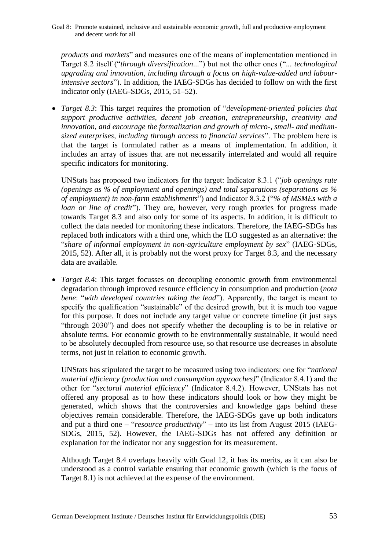Goal 8: Promote sustained, inclusive and sustainable economic growth, full and productive employment and decent work for all

*products and markets*" and measures one of the means of implementation mentioned in Target 8.2 itself ("*through diversification*...") but not the other ones ("*... technological upgrading and innovation, including through a focus on high-value-added and labourintensive sectors*"). In addition, the IAEG-SDGs has decided to follow on with the first indicator only (IAEG-SDGs, 2015, 51–52).

 *Target 8.3*: This target requires the promotion of "*development-oriented policies that support productive activities, decent job creation, entrepreneurship, creativity and innovation, and encourage the formalization and growth of micro-, small- and mediumsized enterprises, including through access to financial services*". The problem here is that the target is formulated rather as a means of implementation. In addition, it includes an array of issues that are not necessarily interrelated and would all require specific indicators for monitoring.

UNStats has proposed two indicators for the target: Indicator 8.3.1 ("*job openings rate (openings as % of employment and openings) and total separations (separations as % of employment) in non-farm establishments*") and Indicator 8.3.2 ("*% of MSMEs with a loan or line of credit*"). They are, however, very rough proxies for progress made towards Target 8.3 and also only for some of its aspects. In addition, it is difficult to collect the data needed for monitoring these indicators. Therefore, the IAEG-SDGs has replaced both indicators with a third one, which the ILO suggested as an alternative: the "*share of informal employment in non-agriculture employment by sex*" (IAEG-SDGs, 2015, 52). After all, it is probably not the worst proxy for Target 8.3, and the necessary data are available.

 *Target 8.4*: This target focusses on decoupling economic growth from environmental degradation through improved resource efficiency in consumption and production (*nota bene*: "*with developed countries taking the lead*"). Apparently, the target is meant to specify the qualification "sustainable" of the desired growth, but it is much too vague for this purpose. It does not include any target value or concrete timeline (it just says "through 2030") and does not specify whether the decoupling is to be in relative or absolute terms. For economic growth to be environmentally sustainable, it would need to be absolutely decoupled from resource use, so that resource use decreases in absolute terms, not just in relation to economic growth.

UNStats has stipulated the target to be measured using two indicators: one for "*national material efficiency (production and consumption approaches)*" (Indicator 8.4.1) and the other for "*sectoral material efficiency*" (Indicator 8.4.2). However, UNStats has not offered any proposal as to how these indicators should look or how they might be generated, which shows that the controversies and knowledge gaps behind these objectives remain considerable. Therefore, the IAEG-SDGs gave up both indicators and put a third one – "*resource productivity*" – into its list from August 2015 (IAEG-SDGs, 2015, 52). However, the IAEG-SDGs has not offered any definition or explanation for the indicator nor any suggestion for its measurement.

Although Target 8.4 overlaps heavily with Goal 12, it has its merits, as it can also be understood as a control variable ensuring that economic growth (which is the focus of Target 8.1) is not achieved at the expense of the environment.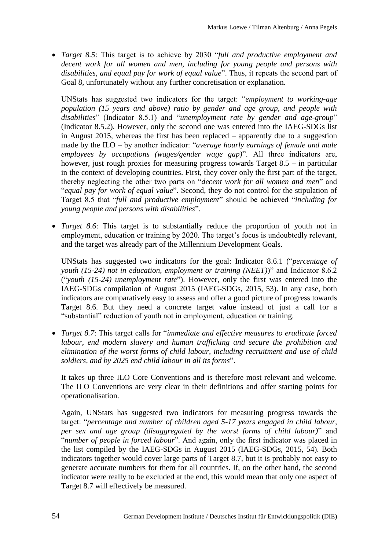*Target 8.5*: This target is to achieve by 2030 "*full and productive employment and decent work for all women and men, including for young people and persons with disabilities, and equal pay for work of equal value*". Thus, it repeats the second part of Goal 8, unfortunately without any further concretisation or explanation.

UNStats has suggested two indicators for the target: "*employment to working-age population (15 years and above) ratio by gender and age group, and people with disabilities*" (Indicator 8.5.1) and "*unemployment rate by gender and age-group*" (Indicator 8.5.2). However, only the second one was entered into the IAEG-SDGs list in August 2015, whereas the first has been replaced – apparently due to a suggestion made by the ILO – by another indicator: "*average hourly earnings of female and male employees by occupations (wages/gender wage gap)*". All three indicators are, however, just rough proxies for measuring progress towards Target 8.5 – in particular in the context of developing countries. First, they cover only the first part of the target, thereby neglecting the other two parts on "*decent work for all women and men*" and "*equal pay for work of equal value*". Second, they do not control for the stipulation of Target 8.5 that "*full and productive employment*" should be achieved "*including for young people and persons with disabilities*".

• *Target 8.6*: This target is to substantially reduce the proportion of youth not in employment, education or training by 2020. The target's focus is undoubtedly relevant, and the target was already part of the Millennium Development Goals.

UNStats has suggested two indicators for the goal: Indicator 8.6.1 ("*percentage of youth (15-24) not in education, employment or training (NEET)*)" and Indicator 8.6.2 ("*youth (15-24) unemployment rate*"). However, only the first was entered into the IAEG-SDGs compilation of August 2015 (IAEG-SDGs, 2015, 53). In any case, both indicators are comparatively easy to assess and offer a good picture of progress towards Target 8.6. But they need a concrete target value instead of just a call for a "substantial" reduction of youth not in employment, education or training.

 *Target 8.7*: This target calls for "*immediate and effective measures to eradicate forced labour, end modern slavery and human trafficking and secure the prohibition and elimination of the worst forms of child labour, including recruitment and use of child soldiers, and by 2025 end child labour in all its forms*".

It takes up three ILO Core Conventions and is therefore most relevant and welcome. The ILO Conventions are very clear in their definitions and offer starting points for operationalisation.

Again, UNStats has suggested two indicators for measuring progress towards the target: "*percentage and number of children aged 5-17 years engaged in child labour, per sex and age group (disaggregated by the worst forms of child labour)*" and "*number of people in forced labour*". And again, only the first indicator was placed in the list compiled by the IAEG-SDGs in August 2015 (IAEG-SDGs, 2015, 54). Both indicators together would cover large parts of Target 8.7, but it is probably not easy to generate accurate numbers for them for all countries. If, on the other hand, the second indicator were really to be excluded at the end, this would mean that only one aspect of Target 8.7 will effectively be measured.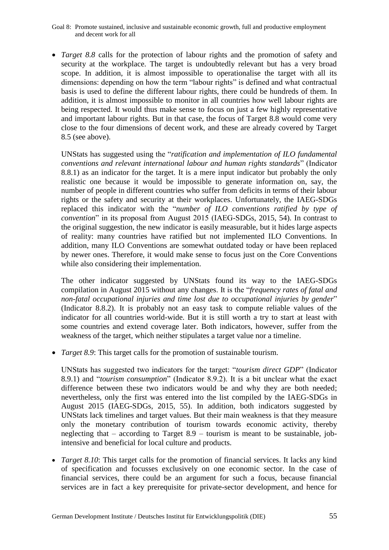Goal 8: Promote sustained, inclusive and sustainable economic growth, full and productive employment and decent work for all

 *Target 8.8* calls for the protection of labour rights and the promotion of safety and security at the workplace. The target is undoubtedly relevant but has a very broad scope. In addition, it is almost impossible to operationalise the target with all its dimensions: depending on how the term "labour rights" is defined and what contractual basis is used to define the different labour rights, there could be hundreds of them. In addition, it is almost impossible to monitor in all countries how well labour rights are being respected. It would thus make sense to focus on just a few highly representative and important labour rights. But in that case, the focus of Target 8.8 would come very close to the four dimensions of decent work, and these are already covered by Target 8.5 (see above).

UNStats has suggested using the "*ratification and implementation of ILO fundamental conventions and relevant international labour and human rights standards*" (Indicator 8.8.1) as an indicator for the target. It is a mere input indicator but probably the only realistic one because it would be impossible to generate information on, say, the number of people in different countries who suffer from deficits in terms of their labour rights or the safety and security at their workplaces. Unfortunately, the IAEG-SDGs replaced this indicator with the "*number of ILO conventions ratified by type of convention*" in its proposal from August 2015 (IAEG-SDGs, 2015, 54). In contrast to the original suggestion, the new indicator is easily measurable, but it hides large aspects of reality: many countries have ratified but not implemented ILO Conventions. In addition, many ILO Conventions are somewhat outdated today or have been replaced by newer ones. Therefore, it would make sense to focus just on the Core Conventions while also considering their implementation.

The other indicator suggested by UNStats found its way to the IAEG-SDGs compilation in August 2015 without any changes. It is the "*frequency rates of fatal and non-fatal occupational injuries and time lost due to occupational injuries by gender*" (Indicator 8.8.2). It is probably not an easy task to compute reliable values of the indicator for all countries world-wide. But it is still worth a try to start at least with some countries and extend coverage later. Both indicators, however, suffer from the weakness of the target, which neither stipulates a target value nor a timeline.

*Target 8.9*: This target calls for the promotion of sustainable tourism.

UNStats has suggested two indicators for the target: "*tourism direct GDP*" (Indicator 8.9.1) and "*tourism consumption*" (Indicator 8.9.2). It is a bit unclear what the exact difference between these two indicators would be and why they are both needed; nevertheless, only the first was entered into the list compiled by the IAEG-SDGs in August 2015 (IAEG-SDGs, 2015, 55). In addition, both indicators suggested by UNStats lack timelines and target values. But their main weakness is that they measure only the monetary contribution of tourism towards economic activity, thereby neglecting that – according to Target 8.9 – tourism is meant to be sustainable, jobintensive and beneficial for local culture and products.

 *Target 8.10*: This target calls for the promotion of financial services. It lacks any kind of specification and focusses exclusively on one economic sector. In the case of financial services, there could be an argument for such a focus, because financial services are in fact a key prerequisite for private-sector development, and hence for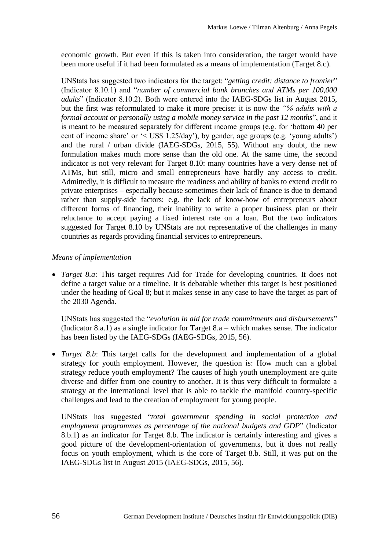economic growth. But even if this is taken into consideration, the target would have been more useful if it had been formulated as a means of implementation (Target 8.c).

UNStats has suggested two indicators for the target: "*getting credit: distance to frontier*" (Indicator 8.10.1) and "*number of commercial bank branches and ATMs per 100,000 adults*" (Indicator 8.10.2). Both were entered into the IAEG-SDGs list in August 2015, but the first was reformulated to make it more precise: it is now the *"% adults with a formal account or personally using a mobile money service in the past 12 months*", and it is meant to be measured separately for different income groups (e.g. for 'bottom 40 per cent of income share' or '< US\$ 1.25/day'), by gender, age groups (e.g. 'young adults') and the rural / urban divide (IAEG-SDGs, 2015, 55). Without any doubt, the new formulation makes much more sense than the old one. At the same time, the second indicator is not very relevant for Target 8.10: many countries have a very dense net of ATMs, but still, micro and small entrepreneurs have hardly any access to credit. Admittedly, it is difficult to measure the readiness and ability of banks to extend credit to private enterprises – especially because sometimes their lack of finance is due to demand rather than supply-side factors: e.g. the lack of know-how of entrepreneurs about different forms of financing, their inability to write a proper business plan or their reluctance to accept paying a fixed interest rate on a loan. But the two indicators suggested for Target 8.10 by UNStats are not representative of the challenges in many countries as regards providing financial services to entrepreneurs.

### *Means of implementation*

 *Target 8.a*: This target requires Aid for Trade for developing countries. It does not define a target value or a timeline. It is debatable whether this target is best positioned under the heading of Goal 8; but it makes sense in any case to have the target as part of the 2030 Agenda.

UNStats has suggested the "*evolution in aid for trade commitments and disbursements*" (Indicator 8.a.1) as a single indicator for Target 8.a – which makes sense. The indicator has been listed by the IAEG-SDGs (IAEG-SDGs, 2015, 56).

 *Target 8.b*: This target calls for the development and implementation of a global strategy for youth employment. However, the question is: How much can a global strategy reduce youth employment? The causes of high youth unemployment are quite diverse and differ from one country to another. It is thus very difficult to formulate a strategy at the international level that is able to tackle the manifold country-specific challenges and lead to the creation of employment for young people.

UNStats has suggested "*total government spending in social protection and employment programmes as percentage of the national budgets and GDP*" (Indicator 8.b.1) as an indicator for Target 8.b. The indicator is certainly interesting and gives a good picture of the development-orientation of governments, but it does not really focus on youth employment, which is the core of Target 8.b. Still, it was put on the IAEG-SDGs list in August 2015 (IAEG-SDGs, 2015, 56).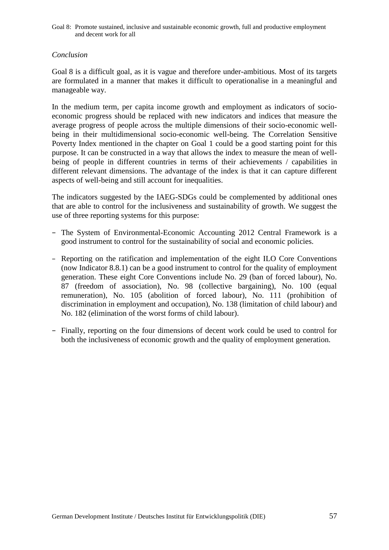Goal 8: Promote sustained, inclusive and sustainable economic growth, full and productive employment and decent work for all

#### *Conclusion*

Goal 8 is a difficult goal, as it is vague and therefore under-ambitious. Most of its targets are formulated in a manner that makes it difficult to operationalise in a meaningful and manageable way.

In the medium term, per capita income growth and employment as indicators of socioeconomic progress should be replaced with new indicators and indices that measure the average progress of people across the multiple dimensions of their socio-economic wellbeing in their multidimensional socio-economic well-being. The Correlation Sensitive Poverty Index mentioned in the chapter on Goal 1 could be a good starting point for this purpose. It can be constructed in a way that allows the index to measure the mean of wellbeing of people in different countries in terms of their achievements / capabilities in different relevant dimensions. The advantage of the index is that it can capture different aspects of well-being and still account for inequalities.

The indicators suggested by the IAEG-SDGs could be complemented by additional ones that are able to control for the inclusiveness and sustainability of growth. We suggest the use of three reporting systems for this purpose:

- − The System of Environmental-Economic Accounting 2012 Central Framework is a good instrument to control for the sustainability of social and economic policies.
- − Reporting on the ratification and implementation of the eight ILO Core Conventions (now Indicator 8.8.1) can be a good instrument to control for the quality of employment generation. These eight Core Conventions include No. 29 (ban of forced labour), No. 87 (freedom of association), No. 98 (collective bargaining), No. 100 (equal remuneration), No. 105 (abolition of forced labour), No. 111 (prohibition of discrimination in employment and occupation), No. 138 (limitation of child labour) and No. 182 (elimination of the worst forms of child labour).
- − Finally, reporting on the four dimensions of decent work could be used to control for both the inclusiveness of economic growth and the quality of employment generation.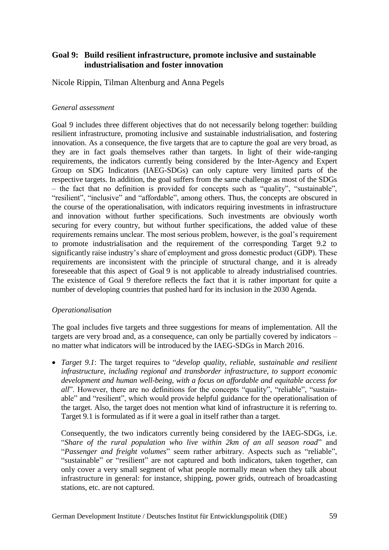# **Goal 9: Build resilient infrastructure, promote inclusive and sustainable industrialisation and foster innovation**

Nicole Rippin, Tilman Altenburg and Anna Pegels

### *General assessment*

Goal 9 includes three different objectives that do not necessarily belong together: building resilient infrastructure, promoting inclusive and sustainable industrialisation, and fostering innovation. As a consequence, the five targets that are to capture the goal are very broad, as they are in fact goals themselves rather than targets. In light of their wide-ranging requirements, the indicators currently being considered by the Inter-Agency and Expert Group on SDG Indicators (IAEG-SDGs) can only capture very limited parts of the respective targets. In addition, the goal suffers from the same challenge as most of the SDGs – the fact that no definition is provided for concepts such as "quality", "sustainable", "resilient", "inclusive" and "affordable", among others. Thus, the concepts are obscured in the course of the operationalisation, with indicators requiring investments in infrastructure and innovation without further specifications. Such investments are obviously worth securing for every country, but without further specifications, the added value of these requirements remains unclear. The most serious problem, however, is the goal's requirement to promote industrialisation and the requirement of the corresponding Target 9.2 to significantly raise industry's share of employment and gross domestic product (GDP). These requirements are inconsistent with the principle of structural change, and it is already foreseeable that this aspect of Goal 9 is not applicable to already industrialised countries. The existence of Goal 9 therefore reflects the fact that it is rather important for quite a number of developing countries that pushed hard for its inclusion in the 2030 Agenda.

## *Operationalisation*

The goal includes five targets and three suggestions for means of implementation. All the targets are very broad and, as a consequence, can only be partially covered by indicators – no matter what indicators will be introduced by the IAEG-SDGs in March 2016.

 *Target 9.1*: The target requires to "*develop quality, reliable, sustainable and resilient infrastructure, including regional and transborder infrastructure, to support economic development and human well-being, with a focus on affordable and equitable access for all*". However, there are no definitions for the concepts "quality", "reliable", "sustainable" and "resilient", which would provide helpful guidance for the operationalisation of the target. Also, the target does not mention what kind of infrastructure it is referring to. Target 9.1 is formulated as if it were a goal in itself rather than a target.

Consequently, the two indicators currently being considered by the IAEG-SDGs, i.e. "*Share of the rural population who live within 2km of an all season road*" and "*Passenger and freight volumes*" seem rather arbitrary. Aspects such as "reliable", "sustainable" or "resilient" are not captured and both indicators, taken together, can only cover a very small segment of what people normally mean when they talk about infrastructure in general: for instance, shipping, power grids, outreach of broadcasting stations, etc. are not captured.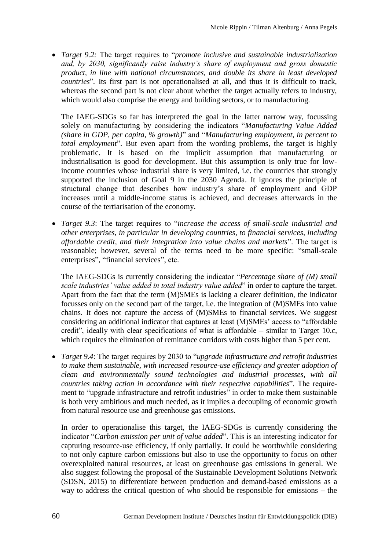*Target 9.2:* The target requires to "*promote inclusive and sustainable industrialization and, by 2030, significantly raise industry's share of employment and gross domestic product, in line with national circumstances, and double its share in least developed countries*". Its first part is not operationalised at all, and thus it is difficult to track, whereas the second part is not clear about whether the target actually refers to industry, which would also comprise the energy and building sectors, or to manufacturing.

The IAEG-SDGs so far has interpreted the goal in the latter narrow way, focussing solely on manufacturing by considering the indicators "*Manufacturing Value Added (share in GDP, per capita, % growth)*" and "*Manufacturing employment, in percent to total employment*". But even apart from the wording problems, the target is highly problematic. It is based on the implicit assumption that manufacturing or industrialisation is good for development. But this assumption is only true for lowincome countries whose industrial share is very limited, i.e. the countries that strongly supported the inclusion of Goal 9 in the 2030 Agenda. It ignores the principle of structural change that describes how industry's share of employment and GDP increases until a middle-income status is achieved, and decreases afterwards in the course of the tertiarisation of the economy.

 *Target 9.3*: The target requires to "*increase the access of small-scale industrial and other enterprises, in particular in developing countries, to financial services, including affordable credit, and their integration into value chains and markets*". The target is reasonable; however, several of the terms need to be more specific: "small-scale enterprises", "financial services", etc.

The IAEG-SDGs is currently considering the indicator "*Percentage share of (M) small scale industries' value added in total industry value added*" in order to capture the target. Apart from the fact that the term (M)SMEs is lacking a clearer definition, the indicator focusses only on the second part of the target, i.e. the integration of (M)SMEs into value chains. It does not capture the access of (M)SMEs to financial services. We suggest considering an additional indicator that captures at least (M)SMEs' access to "affordable credit", ideally with clear specifications of what is affordable – similar to Target 10.c, which requires the elimination of remittance corridors with costs higher than 5 per cent.

 *Target 9.4*: The target requires by 2030 to "*upgrade infrastructure and retrofit industries to make them sustainable, with increased resource-use efficiency and greater adoption of clean and environmentally sound technologies and industrial processes, with all countries taking action in accordance with their respective capabilities*". The requirement to "upgrade infrastructure and retrofit industries" in order to make them sustainable is both very ambitious and much needed, as it implies a decoupling of economic growth from natural resource use and greenhouse gas emissions.

In order to operationalise this target, the IAEG-SDGs is currently considering the indicator "*Carbon emission per unit of value added*". This is an interesting indicator for capturing resource-use efficiency, if only partially. It could be worthwhile considering to not only capture carbon emissions but also to use the opportunity to focus on other overexploited natural resources, at least on greenhouse gas emissions in general. We also suggest following the proposal of the Sustainable Development Solutions Network (SDSN, 2015) to differentiate between production and demand-based emissions as a way to address the critical question of who should be responsible for emissions – the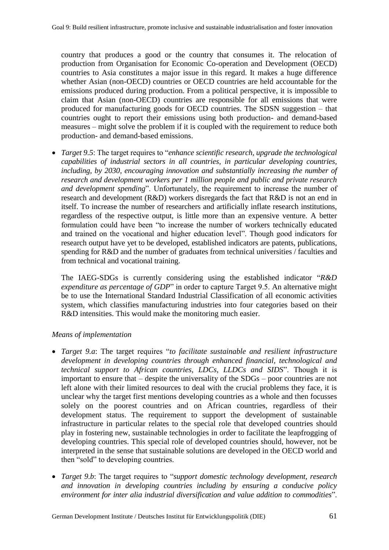country that produces a good or the country that consumes it. The relocation of production from Organisation for Economic Co-operation and Development (OECD) countries to Asia constitutes a major issue in this regard. It makes a huge difference whether Asian (non-OECD) countries or OECD countries are held accountable for the emissions produced during production. From a political perspective, it is impossible to claim that Asian (non-OECD) countries are responsible for all emissions that were produced for manufacturing goods for OECD countries. The SDSN suggestion – that countries ought to report their emissions using both production- and demand-based measures – might solve the problem if it is coupled with the requirement to reduce both production- and demand-based emissions.

 *Target 9.5*: The target requires to "*enhance scientific research, upgrade the technological capabilities of industrial sectors in all countries, in particular developing countries, including, by 2030, encouraging innovation and substantially increasing the number of research and development workers per 1 million people and public and private research and development spending*". Unfortunately, the requirement to increase the number of research and development (R&D) workers disregards the fact that R&D is not an end in itself. To increase the number of researchers and artificially inflate research institutions, regardless of the respective output, is little more than an expensive venture. A better formulation could have been "to increase the number of workers technically educated and trained on the vocational and higher education level". Though good indicators for research output have yet to be developed, established indicators are patents, publications, spending for R&D and the number of graduates from technical universities / faculties and from technical and vocational training.

The IAEG-SDGs is currently considering using the established indicator "*R&D expenditure as percentage of GDP*" in order to capture Target 9.5. An alternative might be to use the International Standard Industrial Classification of all economic activities system, which classifies manufacturing industries into four categories based on their R&D intensities. This would make the monitoring much easier.

### *Means of implementation*

- *Target 9.a*: The target requires "*to facilitate sustainable and resilient infrastructure development in developing countries through enhanced financial, technological and technical support to African countries, LDCs, LLDCs and SIDS*". Though it is important to ensure that – despite the universality of the SDGs – poor countries are not left alone with their limited resources to deal with the crucial problems they face, it is unclear why the target first mentions developing countries as a whole and then focusses solely on the poorest countries and on African countries, regardless of their development status. The requirement to support the development of sustainable infrastructure in particular relates to the special role that developed countries should play in fostering new, sustainable technologies in order to facilitate the leapfrogging of developing countries. This special role of developed countries should, however, not be interpreted in the sense that sustainable solutions are developed in the OECD world and then "sold" to developing countries.
- *Target 9.b*: The target requires to "*support domestic technology development, research and innovation in developing countries including by ensuring a conducive policy environment for inter alia industrial diversification and value addition to commodities*".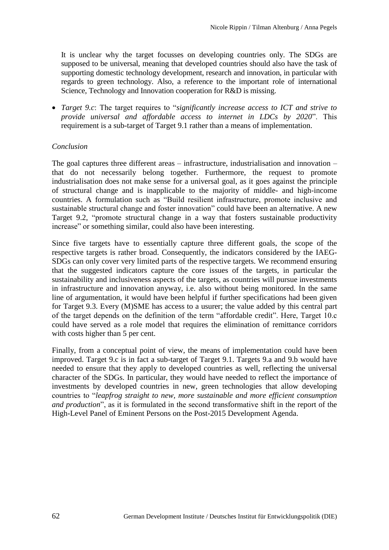It is unclear why the target focusses on developing countries only. The SDGs are supposed to be universal, meaning that developed countries should also have the task of supporting domestic technology development, research and innovation, in particular with regards to green technology. Also, a reference to the important role of international Science, Technology and Innovation cooperation for R&D is missing.

 *Target 9.c*: The target requires to "*significantly increase access to ICT and strive to provide universal and affordable access to internet in LDCs by 2020*". This requirement is a sub-target of Target 9.1 rather than a means of implementation.

#### *Conclusion*

The goal captures three different areas – infrastructure, industrialisation and innovation – that do not necessarily belong together. Furthermore, the request to promote industrialisation does not make sense for a universal goal, as it goes against the principle of structural change and is inapplicable to the majority of middle- and high-income countries. A formulation such as "Build resilient infrastructure, promote inclusive and sustainable structural change and foster innovation" could have been an alternative. A new Target 9.2, "promote structural change in a way that fosters sustainable productivity increase" or something similar, could also have been interesting.

Since five targets have to essentially capture three different goals, the scope of the respective targets is rather broad. Consequently, the indicators considered by the IAEG-SDGs can only cover very limited parts of the respective targets. We recommend ensuring that the suggested indicators capture the core issues of the targets, in particular the sustainability and inclusiveness aspects of the targets, as countries will pursue investments in infrastructure and innovation anyway, i.e. also without being monitored. In the same line of argumentation, it would have been helpful if further specifications had been given for Target 9.3. Every (M)SME has access to a usurer; the value added by this central part of the target depends on the definition of the term "affordable credit". Here, Target 10.c could have served as a role model that requires the elimination of remittance corridors with costs higher than 5 per cent.

Finally, from a conceptual point of view, the means of implementation could have been improved. Target 9.c is in fact a sub-target of Target 9.1. Targets 9.a and 9.b would have needed to ensure that they apply to developed countries as well, reflecting the universal character of the SDGs. In particular, they would have needed to reflect the importance of investments by developed countries in new, green technologies that allow developing countries to "*leapfrog straight to new, more sustainable and more efficient consumption and production*", as it is formulated in the second transformative shift in the report of the High-Level Panel of Eminent Persons on the Post-2015 Development Agenda.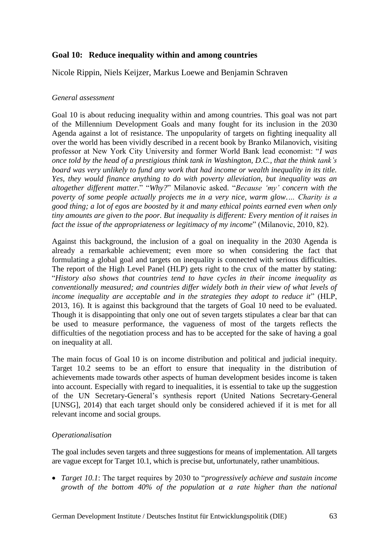# **Goal 10: Reduce inequality within and among countries**

Nicole Rippin, Niels Keijzer, Markus Loewe and Benjamin Schraven

### *General assessment*

Goal 10 is about reducing inequality within and among countries. This goal was not part of the Millennium Development Goals and many fought for its inclusion in the 2030 Agenda against a lot of resistance. The unpopularity of targets on fighting inequality all over the world has been vividly described in a recent book by Branko Milanovich, visiting professor at New York City University and former World Bank lead economist: "*I was once told by the head of a prestigious think tank in Washington, D.C., that the think tank's board was very unlikely to fund any work that had income or wealth inequality in its title. Yes, they would finance anything to do with poverty alleviation, but inequality was an altogether different matter*." "*Why?*" Milanovic asked. "*Because 'my' concern with the poverty of some people actually projects me in a very nice, warm glow.… Charity is a good thing; a lot of egos are boosted by it and many ethical points earned even when only tiny amounts are given to the poor. But inequality is different: Every mention of it raises in fact the issue of the appropriateness or legitimacy of my income*" (Milanovic, 2010, 82).

Against this background, the inclusion of a goal on inequality in the 2030 Agenda is already a remarkable achievement; even more so when considering the fact that formulating a global goal and targets on inequality is connected with serious difficulties. The report of the High Level Panel (HLP) gets right to the crux of the matter by stating: "*History also shows that countries tend to have cycles in their income inequality as conventionally measured; and countries differ widely both in their view of what levels of income inequality are acceptable and in the strategies they adopt to reduce it*" (HLP, 2013, 16). It is against this background that the targets of Goal 10 need to be evaluated. Though it is disappointing that only one out of seven targets stipulates a clear bar that can be used to measure performance, the vagueness of most of the targets reflects the difficulties of the negotiation process and has to be accepted for the sake of having a goal on inequality at all.

The main focus of Goal 10 is on income distribution and political and judicial inequity. Target 10.2 seems to be an effort to ensure that inequality in the distribution of achievements made towards other aspects of human development besides income is taken into account. Especially with regard to inequalities, it is essential to take up the suggestion of the UN Secretary-General's synthesis report (United Nations Secretary-General [UNSG], 2014) that each target should only be considered achieved if it is met for all relevant income and social groups.

## *Operationalisation*

The goal includes seven targets and three suggestions for means of implementation. All targets are vague except for Target 10.1, which is precise but, unfortunately, rather unambitious.

 *Target 10.1*: The target requires by 2030 to "*progressively achieve and sustain income growth of the bottom 40% of the population at a rate higher than the national*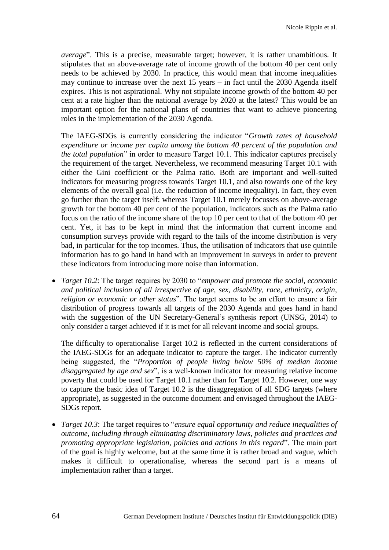*average*". This is a precise, measurable target; however, it is rather unambitious. It stipulates that an above-average rate of income growth of the bottom 40 per cent only needs to be achieved by 2030. In practice, this would mean that income inequalities may continue to increase over the next 15 years – in fact until the 2030 Agenda itself expires. This is not aspirational. Why not stipulate income growth of the bottom 40 per cent at a rate higher than the national average by 2020 at the latest? This would be an important option for the national plans of countries that want to achieve pioneering roles in the implementation of the 2030 Agenda.

The IAEG-SDGs is currently considering the indicator "*Growth rates of household expenditure or income per capita among the bottom 40 percent of the population and the total population*" in order to measure Target 10.1. This indicator captures precisely the requirement of the target. Nevertheless, we recommend measuring Target 10.1 with either the Gini coefficient or the Palma ratio. Both are important and well-suited indicators for measuring progress towards Target 10.1, and also towards one of the key elements of the overall goal (i.e. the reduction of income inequality). In fact, they even go further than the target itself: whereas Target 10.1 merely focusses on above-average growth for the bottom 40 per cent of the population, indicators such as the Palma ratio focus on the ratio of the income share of the top 10 per cent to that of the bottom 40 per cent. Yet, it has to be kept in mind that the information that current income and consumption surveys provide with regard to the tails of the income distribution is very bad, in particular for the top incomes. Thus, the utilisation of indicators that use quintile information has to go hand in hand with an improvement in surveys in order to prevent these indicators from introducing more noise than information.

 *Target 10.2*: The target requires by 2030 to "*empower and promote the social, economic and political inclusion of all irrespective of age, sex, disability, race, ethnicity, origin, religion or economic or other status*". The target seems to be an effort to ensure a fair distribution of progress towards all targets of the 2030 Agenda and goes hand in hand with the suggestion of the UN Secretary-General's synthesis report (UNSG, 2014) to only consider a target achieved if it is met for all relevant income and social groups.

The difficulty to operationalise Target 10.2 is reflected in the current considerations of the IAEG-SDGs for an adequate indicator to capture the target. The indicator currently being suggested, the "*Proportion of people living below 50% of median income disaggregated by age and sex*", is a well-known indicator for measuring relative income poverty that could be used for Target 10.1 rather than for Target 10.2. However, one way to capture the basic idea of Target 10.2 is the disaggregation of all SDG targets (where appropriate), as suggested in the outcome document and envisaged throughout the IAEG-SDGs report.

 *Target 10.3*: The target requires to "*ensure equal opportunity and reduce inequalities of outcome, including through eliminating discriminatory laws, policies and practices and promoting appropriate legislation, policies and actions in this regard*". The main part of the goal is highly welcome, but at the same time it is rather broad and vague, which makes it difficult to operationalise, whereas the second part is a means of implementation rather than a target.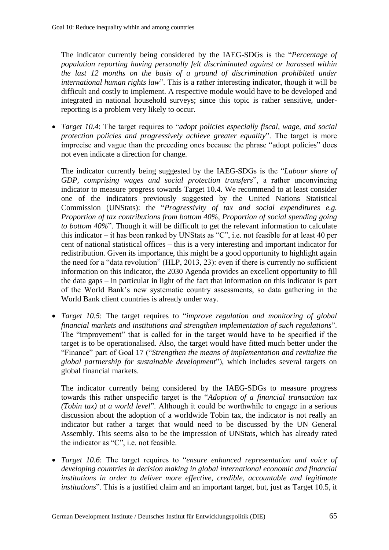The indicator currently being considered by the IAEG-SDGs is the "*Percentage of population reporting having personally felt discriminated against or harassed within the last 12 months on the basis of a ground of discrimination prohibited under international human rights law*". This is a rather interesting indicator, though it will be difficult and costly to implement. A respective module would have to be developed and integrated in national household surveys; since this topic is rather sensitive, underreporting is a problem very likely to occur.

 *Target 10.4*: The target requires to "*adopt policies especially fiscal, wage, and social protection policies and progressively achieve greater equality*". The target is more imprecise and vague than the preceding ones because the phrase "adopt policies" does not even indicate a direction for change.

The indicator currently being suggested by the IAEG-SDGs is the "*Labour share of GDP, comprising wages and social protection transfers*", a rather unconvincing indicator to measure progress towards Target 10.4. We recommend to at least consider one of the indicators previously suggested by the United Nations Statistical Commission (UNStats): the "*Progressivity of tax and social expenditures e.g. Proportion of tax contributions from bottom 40%, Proportion of social spending going to bottom 40%*". Though it will be difficult to get the relevant information to calculate this indicator – it has been ranked by UNStats as "C", i.e. not feasible for at least 40 per cent of national statistical offices – this is a very interesting and important indicator for redistribution. Given its importance, this might be a good opportunity to highlight again the need for a "data revolution" (HLP, 2013, 23): even if there is currently no sufficient information on this indicator, the 2030 Agenda provides an excellent opportunity to fill the data gaps – in particular in light of the fact that information on this indicator is part of the World Bank's new systematic country assessments, so data gathering in the World Bank client countries is already under way.

 *Target 10.5*: The target requires to "*improve regulation and monitoring of global financial markets and institutions and strengthen implementation of such regulations*". The "improvement" that is called for in the target would have to be specified if the target is to be operationalised. Also, the target would have fitted much better under the "Finance" part of Goal 17 ("*Strengthen the means of implementation and revitalize the global partnership for sustainable development*"), which includes several targets on global financial markets.

The indicator currently being considered by the IAEG-SDGs to measure progress towards this rather unspecific target is the "*Adoption of a financial transaction tax (Tobin tax) at a world level*". Although it could be worthwhile to engage in a serious discussion about the adoption of a worldwide Tobin tax, the indicator is not really an indicator but rather a target that would need to be discussed by the UN General Assembly. This seems also to be the impression of UNStats, which has already rated the indicator as "C", i.e. not feasible.

 *Target 10.6*: The target requires to "*ensure enhanced representation and voice of developing countries in decision making in global international economic and financial institutions in order to deliver more effective, credible, accountable and legitimate institutions*". This is a justified claim and an important target, but, just as Target 10.5, it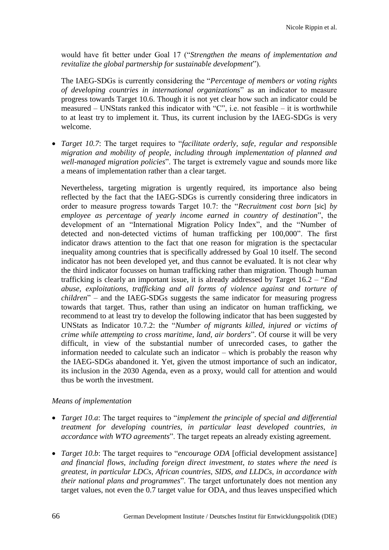would have fit better under Goal 17 ("*Strengthen the means of implementation and revitalize the global partnership for sustainable development*").

The IAEG-SDGs is currently considering the "*Percentage of members or voting rights of developing countries in international organizations*" as an indicator to measure progress towards Target 10.6. Though it is not yet clear how such an indicator could be measured – UNStats ranked this indicator with "C", i.e. not feasible – it is worthwhile to at least try to implement it. Thus, its current inclusion by the IAEG-SDGs is very welcome.

 *Target 10.7*: The target requires to "*facilitate orderly, safe, regular and responsible migration and mobility of people, including through implementation of planned and well-managed migration policies*". The target is extremely vague and sounds more like a means of implementation rather than a clear target.

Nevertheless, targeting migration is urgently required, its importance also being reflected by the fact that the IAEG-SDGs is currently considering three indicators in order to measure progress towards Target 10.7: the "*Recruitment cost born* [sic] *by employee as percentage of yearly income earned in country of destination*", the development of an "International Migration Policy Index", and the "Number of detected and non-detected victims of human trafficking per 100,000". The first indicator draws attention to the fact that one reason for migration is the spectacular inequality among countries that is specifically addressed by Goal 10 itself. The second indicator has not been developed yet, and thus cannot be evaluated. It is not clear why the third indicator focusses on human trafficking rather than migration. Though human trafficking is clearly an important issue, it is already addressed by Target 16.2 – "*End abuse, exploitations, trafficking and all forms of violence against and torture of children*" – and the IAEG-SDGs suggests the same indicator for measuring progress towards that target. Thus, rather than using an indicator on human trafficking, we recommend to at least try to develop the following indicator that has been suggested by UNStats as Indicator 10.7.2: the "*Number of migrants killed, injured or victims of crime while attempting to cross maritime, land, air borders*". Of course it will be very difficult, in view of the substantial number of unrecorded cases, to gather the information needed to calculate such an indicator – which is probably the reason why the IAEG-SDGs abandoned it. Yet, given the utmost importance of such an indicator, its inclusion in the 2030 Agenda, even as a proxy, would call for attention and would thus be worth the investment.

#### *Means of implementation*

- *Target 10.a*: The target requires to "*implement the principle of special and differential treatment for developing countries, in particular least developed countries, in accordance with WTO agreements*". The target repeats an already existing agreement.
- *Target 10.b*: The target requires to "*encourage ODA* [official development assistance] *and financial flows, including foreign direct investment, to states where the need is greatest, in particular LDCs, African countries, SIDS, and LLDCs, in accordance with their national plans and programmes*". The target unfortunately does not mention any target values, not even the 0.7 target value for ODA, and thus leaves unspecified which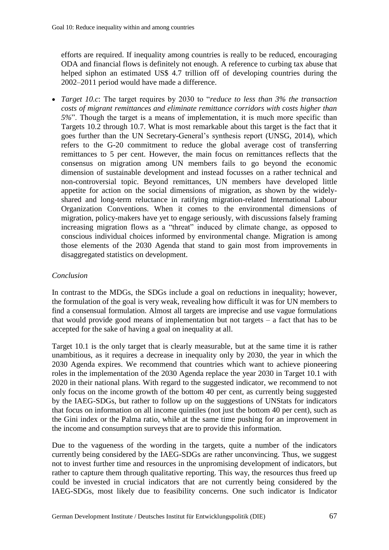efforts are required. If inequality among countries is really to be reduced, encouraging ODA and financial flows is definitely not enough. A reference to curbing tax abuse that helped siphon an estimated US\$ 4.7 trillion off of developing countries during the 2002–2011 period would have made a difference.

 *Target 10.c*: The target requires by 2030 to "*reduce to less than 3% the transaction costs of migrant remittances and eliminate remittance corridors with costs higher than 5%*". Though the target is a means of implementation, it is much more specific than Targets 10.2 through 10.7. What is most remarkable about this target is the fact that it goes further than the UN Secretary-General's synthesis report (UNSG, 2014), which refers to the G-20 commitment to reduce the global average cost of transferring remittances to 5 per cent. However, the main focus on remittances reflects that the consensus on migration among UN members fails to go beyond the economic dimension of sustainable development and instead focusses on a rather technical and non-controversial topic. Beyond remittances, UN members have developed little appetite for action on the social dimensions of migration, as shown by the widelyshared and long-term reluctance in ratifying migration-related International Labour Organization Conventions. When it comes to the environmental dimensions of migration, policy-makers have yet to engage seriously, with discussions falsely framing increasing migration flows as a "threat" induced by climate change, as opposed to conscious individual choices informed by environmental change. Migration is among those elements of the 2030 Agenda that stand to gain most from improvements in disaggregated statistics on development.

### *Conclusion*

In contrast to the MDGs, the SDGs include a goal on reductions in inequality; however, the formulation of the goal is very weak, revealing how difficult it was for UN members to find a consensual formulation. Almost all targets are imprecise and use vague formulations that would provide good means of implementation but not targets – a fact that has to be accepted for the sake of having a goal on inequality at all.

Target 10.1 is the only target that is clearly measurable, but at the same time it is rather unambitious, as it requires a decrease in inequality only by 2030, the year in which the 2030 Agenda expires. We recommend that countries which want to achieve pioneering roles in the implementation of the 2030 Agenda replace the year 2030 in Target 10.1 with 2020 in their national plans. With regard to the suggested indicator, we recommend to not only focus on the income growth of the bottom 40 per cent, as currently being suggested by the IAEG-SDGs, but rather to follow up on the suggestions of UNStats for indicators that focus on information on all income quintiles (not just the bottom 40 per cent), such as the Gini index or the Palma ratio, while at the same time pushing for an improvement in the income and consumption surveys that are to provide this information.

Due to the vagueness of the wording in the targets, quite a number of the indicators currently being considered by the IAEG-SDGs are rather unconvincing. Thus, we suggest not to invest further time and resources in the unpromising development of indicators, but rather to capture them through qualitative reporting. This way, the resources thus freed up could be invested in crucial indicators that are not currently being considered by the IAEG-SDGs, most likely due to feasibility concerns. One such indicator is Indicator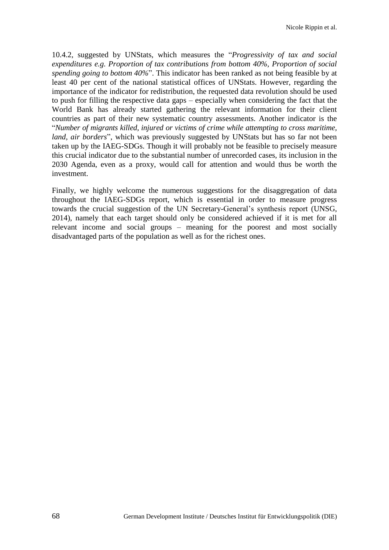10.4.2, suggested by UNStats, which measures the "*Progressivity of tax and social expenditures e.g. Proportion of tax contributions from bottom 40%, Proportion of social spending going to bottom 40%*". This indicator has been ranked as not being feasible by at least 40 per cent of the national statistical offices of UNStats. However, regarding the importance of the indicator for redistribution, the requested data revolution should be used to push for filling the respective data gaps – especially when considering the fact that the World Bank has already started gathering the relevant information for their client countries as part of their new systematic country assessments. Another indicator is the "*Number of migrants killed, injured or victims of crime while attempting to cross maritime, land, air borders*", which was previously suggested by UNStats but has so far not been taken up by the IAEG-SDGs. Though it will probably not be feasible to precisely measure this crucial indicator due to the substantial number of unrecorded cases, its inclusion in the 2030 Agenda, even as a proxy, would call for attention and would thus be worth the investment.

Finally, we highly welcome the numerous suggestions for the disaggregation of data throughout the IAEG-SDGs report, which is essential in order to measure progress towards the crucial suggestion of the UN Secretary-General's synthesis report (UNSG, 2014), namely that each target should only be considered achieved if it is met for all relevant income and social groups – meaning for the poorest and most socially disadvantaged parts of the population as well as for the richest ones.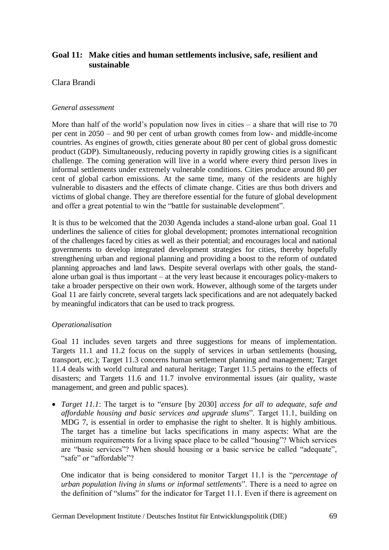# **Goal 11: Make cities and human settlements inclusive, safe, resilient and sustainable**

### Clara Brandi

#### *General assessment*

More than half of the world's population now lives in cities  $-$  a share that will rise to 70 per cent in 2050 – and 90 per cent of urban growth comes from low- and middle-income countries. As engines of growth, cities generate about 80 per cent of global gross domestic product (GDP). Simultaneously, reducing poverty in rapidly growing cities is a significant challenge. The coming generation will live in a world where every third person lives in informal settlements under extremely vulnerable conditions. Cities produce around 80 per cent of global carbon emissions. At the same time, many of the residents are highly vulnerable to disasters and the effects of climate change. Cities are thus both drivers and victims of global change. They are therefore essential for the future of global development and offer a great potential to win the "battle for sustainable development".

It is thus to be welcomed that the 2030 Agenda includes a stand-alone urban goal. Goal 11 underlines the salience of cities for global development; promotes international recognition of the challenges faced by cities as well as their potential; and encourages local and national governments to develop integrated development strategies for cities, thereby hopefully strengthening urban and regional planning and providing a boost to the reform of outdated planning approaches and land laws. Despite several overlaps with other goals, the standalone urban goal is thus important – at the very least because it encourages policy-makers to take a broader perspective on their own work. However, although some of the targets under Goal 11 are fairly concrete, several targets lack specifications and are not adequately backed by meaningful indicators that can be used to track progress.

#### *Operationalisation*

Goal 11 includes seven targets and three suggestions for means of implementation. Targets 11.1 and 11.2 focus on the supply of services in urban settlements (housing, transport, etc.); Target 11.3 concerns human settlement planning and management; Target 11.4 deals with world cultural and natural heritage; Target 11.5 pertains to the effects of disasters; and Targets 11.6 and 11.7 involve environmental issues (air quality, waste management, and green and public spaces).

 *Target 11.1*: The target is to "*ensure* [by 2030] *access for all to adequate, safe and affordable housing and basic services and upgrade slums*". Target 11.1, building on MDG 7, is essential in order to emphasise the right to shelter. It is highly ambitious. The target has a timeline but lacks specifications in many aspects: What are the minimum requirements for a living space place to be called "housing"? Which services are "basic services"? When should housing or a basic service be called "adequate", "safe" or "affordable"?

One indicator that is being considered to monitor Target 11.1 is the "*percentage of urban population living in slums or informal settlements*". There is a need to agree on the definition of "slums" for the indicator for Target 11.1. Even if there is agreement on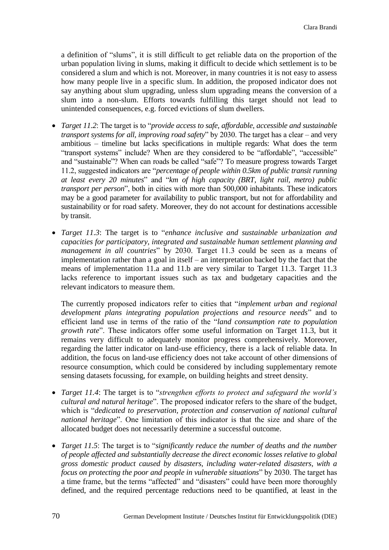a definition of "slums", it is still difficult to get reliable data on the proportion of the urban population living in slums, making it difficult to decide which settlement is to be considered a slum and which is not. Moreover, in many countries it is not easy to assess how many people live in a specific slum. In addition, the proposed indicator does not say anything about slum upgrading, unless slum upgrading means the conversion of a slum into a non-slum. Efforts towards fulfilling this target should not lead to unintended consequences, e.g. forced evictions of slum dwellers.

- *Target 11.2*: The target is to "*provide access to safe, affordable, accessible and sustainable transport systems for all, improving road safety*" by 2030. The target has a clear – and very ambitious – timeline but lacks specifications in multiple regards: What does the term "transport systems" include? When are they considered to be "affordable", "accessible" and "sustainable"? When can roads be called "safe"? To measure progress towards Target 11.2, suggested indicators are "*percentage of people within 0.5km of public transit running at least every 20 minutes*" and "*km of high capacity (BRT, light rail, metro) public transport per person*", both in cities with more than 500,000 inhabitants. These indicators may be a good parameter for availability to public transport, but not for affordability and sustainability or for road safety. Moreover, they do not account for destinations accessible by transit.
- *Target 11.3*: The target is to "*enhance inclusive and sustainable urbanization and capacities for participatory, integrated and sustainable human settlement planning and management in all countries*" by 2030. Target 11.3 could be seen as a means of implementation rather than a goal in itself – an interpretation backed by the fact that the means of implementation 11.a and 11.b are very similar to Target 11.3. Target 11.3 lacks reference to important issues such as tax and budgetary capacities and the relevant indicators to measure them.

The currently proposed indicators refer to cities that "*implement urban and regional development plans integrating population projections and resource needs*" and to efficient land use in terms of the ratio of the "*land consumption rate to population growth rate*". These indicators offer some useful information on Target 11.3, but it remains very difficult to adequately monitor progress comprehensively. Moreover, regarding the latter indicator on land-use efficiency, there is a lack of reliable data. In addition, the focus on land-use efficiency does not take account of other dimensions of resource consumption, which could be considered by including supplementary remote sensing datasets focussing, for example, on building heights and street density.

- *Target 11.4*: The target is to "*strengthen efforts to protect and safeguard the world's cultural and natural heritage*". The proposed indicator refers to the share of the budget, which is "*dedicated to preservation, protection and conservation of national cultural national heritage*". One limitation of this indicator is that the size and share of the allocated budget does not necessarily determine a successful outcome.
- *Target 11.5*: The target is to "*significantly reduce the number of deaths and the number of people affected and substantially decrease the direct economic losses relative to global gross domestic product caused by disasters, including water-related disasters, with a focus on protecting the poor and people in vulnerable situations*" by 2030. The target has a time frame, but the terms "affected" and "disasters" could have been more thoroughly defined, and the required percentage reductions need to be quantified, at least in the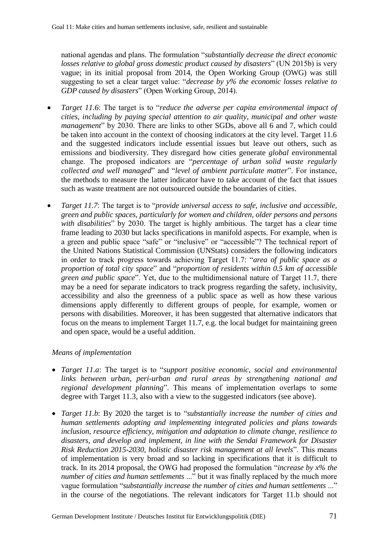national agendas and plans. The formulation "*substantially decrease the direct economic losses relative to global gross domestic product caused by disasters*" (UN 2015b) is very vague; in its initial proposal from 2014, the Open Working Group (OWG) was still suggesting to set a clear target value: "*decrease by y% the economic losses relative to GDP caused by disasters*" (Open Working Group, 2014).

- *Target 11.6*: The target is to "*reduce the adverse per capita environmental impact of cities, including by paying special attention to air quality, municipal and other waste management*" by 2030. There are links to other SGDs, above all 6 and 7, which could be taken into account in the context of choosing indicators at the city level. Target 11.6 and the suggested indicators include essential issues but leave out others, such as emissions and biodiversity. They disregard how cities generate *global* environmental change. The proposed indicators are "*percentage of urban solid waste regularly collected and well managed*" and "*level of ambient particulate matter*". For instance, the methods to measure the latter indicator have to take account of the fact that issues such as waste treatment are not outsourced outside the boundaries of cities.
- *Target 11.7*: The target is to "*provide universal access to safe, inclusive and accessible, green and public spaces, particularly for women and children, older persons and persons with disabilities*" by 2030. The target is highly ambitious. The target has a clear time frame leading to 2030 but lacks specifications in manifold aspects. For example, when is a green and public space "safe" or "inclusive" or "accessible"? The technical report of the United Nations Statistical Commission (UNStats) considers the following indicators in order to track progress towards achieving Target 11.7: "*area of public space as a proportion of total city space*" and "*proportion of residents within 0.5 km of accessible green and public space*". Yet, due to the multidimensional nature of Target 11.7, there may be a need for separate indicators to track progress regarding the safety, inclusivity, accessibility and also the greenness of a public space as well as how these various dimensions apply differently to different groups of people, for example, women or persons with disabilities. Moreover, it has been suggested that alternative indicators that focus on the means to implement Target 11.7, e.g. the local budget for maintaining green and open space, would be a useful addition.

## *Means of implementation*

- *Target 11.a*: The target is to "*support positive economic, social and environmental links between urban, peri-urban and rural areas by strengthening national and regional development planning*". This means of implementation overlaps to some degree with Target 11.3, also with a view to the suggested indicators (see above).
- *Target 11.b*: By 2020 the target is to "*substantially increase the number of cities and human settlements adopting and implementing integrated policies and plans towards inclusion, resource efficiency, mitigation and adaptation to climate change, resilience to disasters, and develop and implement, in line with the Sendai Framework for Disaster Risk Reduction 2015-2030, holistic disaster risk management at all levels*". This means of implementation is very broad and so lacking in specifications that it is difficult to track. In its 2014 proposal, the OWG had proposed the formulation "*increase by x% the number of cities and human settlements* ..." but it was finally replaced by the much more vague formulation "*substantially increase the number of cities and human settlements* ..." in the course of the negotiations. The relevant indicators for Target 11.b should not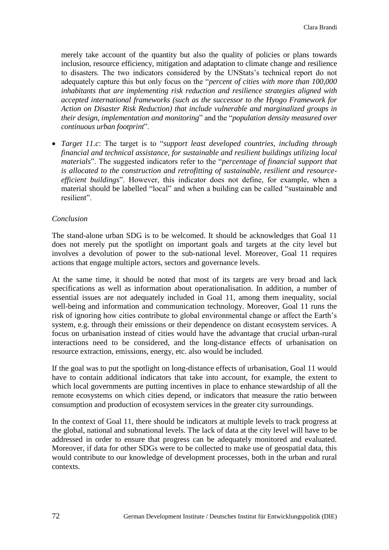merely take account of the quantity but also the quality of policies or plans towards inclusion, resource efficiency, mitigation and adaptation to climate change and resilience to disasters. The two indicators considered by the UNStats's technical report do not adequately capture this but only focus on the "*percent of cities with more than 100,000 inhabitants that are implementing risk reduction and resilience strategies aligned with accepted international frameworks (such as the successor to the Hyogo Framework for Action on Disaster Risk Reduction) that include vulnerable and marginalized groups in their design, implementation and monitoring*" and the "*population density measured over continuous urban footprint*".

 *Target 11.c*: The target is to "*support least developed countries, including through financial and technical assistance, for sustainable and resilient buildings utilizing local materials*". The suggested indicators refer to the "*percentage of financial support that is allocated to the construction and retrofitting of sustainable, resilient and resourceefficient buildings*". However, this indicator does not define, for example, when a material should be labelled "local" and when a building can be called "sustainable and resilient".

#### *Conclusion*

The stand-alone urban SDG is to be welcomed. It should be acknowledges that Goal 11 does not merely put the spotlight on important goals and targets at the city level but involves a devolution of power to the sub-national level. Moreover, Goal 11 requires actions that engage multiple actors, sectors and governance levels.

At the same time, it should be noted that most of its targets are very broad and lack specifications as well as information about operationalisation. In addition, a number of essential issues are not adequately included in Goal 11, among them inequality, social well-being and information and communication technology. Moreover, Goal 11 runs the risk of ignoring how cities contribute to global environmental change or affect the Earth's system, e.g. through their emissions or their dependence on distant ecosystem services. A focus on urbanisation instead of cities would have the advantage that crucial urban-rural interactions need to be considered, and the long-distance effects of urbanisation on resource extraction, emissions, energy, etc. also would be included.

If the goal was to put the spotlight on long-distance effects of urbanisation, Goal 11 would have to contain additional indicators that take into account, for example, the extent to which local governments are putting incentives in place to enhance stewardship of all the remote ecosystems on which cities depend, or indicators that measure the ratio between consumption and production of ecosystem services in the greater city surroundings.

In the context of Goal 11, there should be indicators at multiple levels to track progress at the global, national and subnational levels. The lack of data at the city level will have to be addressed in order to ensure that progress can be adequately monitored and evaluated. Moreover, if data for other SDGs were to be collected to make use of geospatial data, this would contribute to our knowledge of development processes, both in the urban and rural contexts.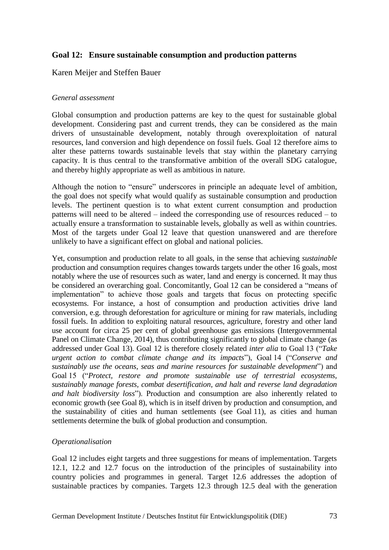# **Goal 12: Ensure sustainable consumption and production patterns**

### Karen Meijer and Steffen Bauer

#### *General assessment*

Global consumption and production patterns are key to the quest for sustainable global development. Considering past and current trends, they can be considered as the main drivers of unsustainable development, notably through overexploitation of natural resources, land conversion and high dependence on fossil fuels. Goal 12 therefore aims to alter these patterns towards sustainable levels that stay within the planetary carrying capacity. It is thus central to the transformative ambition of the overall SDG catalogue, and thereby highly appropriate as well as ambitious in nature.

Although the notion to "ensure" underscores in principle an adequate level of ambition, the goal does not specify what would qualify as sustainable consumption and production levels. The pertinent question is to what extent current consumption and production patterns will need to be altered – indeed the corresponding use of resources reduced – to actually ensure a transformation to sustainable levels, globally as well as within countries. Most of the targets under Goal 12 leave that question unanswered and are therefore unlikely to have a significant effect on global and national policies.

Yet, consumption and production relate to all goals, in the sense that achieving *sustainable* production and consumption requires changes towards targets under the other 16 goals, most notably where the use of resources such as water, land and energy is concerned. It may thus be considered an overarching goal. Concomitantly, Goal 12 can be considered a "means of implementation" to achieve those goals and targets that focus on protecting specific ecosystems. For instance, a host of consumption and production activities drive land conversion, e.g. through deforestation for agriculture or mining for raw materials, including fossil fuels. In addition to exploiting natural resources, agriculture, forestry and other land use account for circa 25 per cent of global greenhouse gas emissions (Intergovernmental Panel on Climate Change, 2014), thus contributing significantly to global climate change (as addressed under Goal 13). Goal 12 is therefore closely related *inter alia* to Goal 13 ("*Take urgent action to combat climate change and its impacts*"), Goal 14 ("*Conserve and sustainably use the oceans, seas and marine resources for sustainable development*") and Goal 15 ("*Protect, restore and promote sustainable use of terrestrial ecosystems, sustainably manage forests, combat desertification, and halt and reverse land degradation and halt biodiversity loss*"). Production and consumption are also inherently related to economic growth (see Goal 8), which is in itself driven by production and consumption, and the sustainability of cities and human settlements (see Goal 11), as cities and human settlements determine the bulk of global production and consumption.

#### *Operationalisation*

Goal 12 includes eight targets and three suggestions for means of implementation. Targets 12.1, 12.2 and 12.7 focus on the introduction of the principles of sustainability into country policies and programmes in general. Target 12.6 addresses the adoption of sustainable practices by companies. Targets 12.3 through 12.5 deal with the generation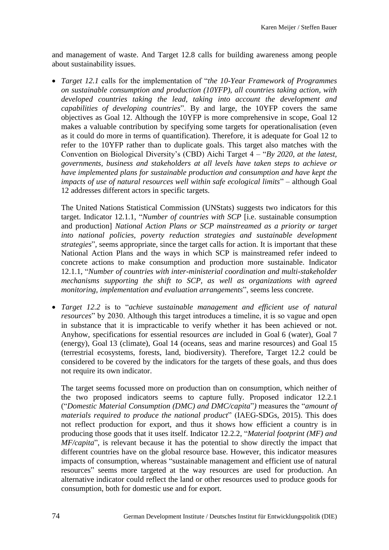and management of waste. And Target 12.8 calls for building awareness among people about sustainability issues.

 *Target 12.1* calls for the implementation of "*the 10-Year Framework of Programmes on sustainable consumption and production (10YFP), all countries taking action, with developed countries taking the lead, taking into account the development and capabilities of developing countries*". By and large, the 10YFP covers the same objectives as Goal 12. Although the 10YFP is more comprehensive in scope, Goal 12 makes a valuable contribution by specifying some targets for operationalisation (even as it could do more in terms of quantification). Therefore, it is adequate for Goal 12 to refer to the 10YFP rather than to duplicate goals. This target also matches with the Convention on Biological Diversity's (CBD) Aichi Target 4 – "*By 2020, at the latest, governments, business and stakeholders at all levels have taken steps to achieve or have implemented plans for sustainable production and consumption and have kept the impacts of use of natural resources well within safe ecological limits*" – although Goal 12 addresses different actors in specific targets.

The United Nations Statistical Commission (UNStats) suggests two indicators for this target. Indicator 12.1.1, "*Number of countries with SCP* [i.e. sustainable consumption and production] *National Action Plans or SCP mainstreamed as a priority or target into national policies, poverty reduction strategies and sustainable development strategies*", seems appropriate, since the target calls for action. It is important that these National Action Plans and the ways in which SCP is mainstreamed refer indeed to concrete actions to make consumption and production more sustainable. Indicator 12.1.1, "*Number of countries with inter-ministerial coordination and multi-stakeholder mechanisms supporting the shift to SCP, as well as organizations with agreed monitoring, implementation and evaluation arrangements*", seems less concrete.

 *Target 12.2* is to "*achieve sustainable management and efficient use of natural resources*" by 2030. Although this target introduces a timeline, it is so vague and open in substance that it is impracticable to verify whether it has been achieved or not. Anyhow, specifications for essential resources *are* included in Goal 6 (water), Goal 7 (energy), Goal 13 (climate), Goal 14 (oceans, seas and marine resources) and Goal 15 (terrestrial ecosystems, forests, land, biodiversity). Therefore, Target 12.2 could be considered to be covered by the indicators for the targets of these goals, and thus does not require its own indicator.

The target seems focussed more on production than on consumption, which neither of the two proposed indicators seems to capture fully. Proposed indicator 12.2.1 ("*Domestic Material Consumption (DMC) and DMC/capita*"*)* measures the "*amount of materials required to produce the national product*" (IAEG-SDGs, 2015). This does not reflect production for export, and thus it shows how efficient a country is in producing those goods that it uses itself. Indicator 12.2.2, "*Material footprint (MF) and MF/capita*", is relevant because it has the potential to show directly the impact that different countries have on the global resource base. However, this indicator measures impacts of consumption, whereas "sustainable management and efficient use of natural resources" seems more targeted at the way resources are used for production. An alternative indicator could reflect the land or other resources used to produce goods for consumption, both for domestic use and for export.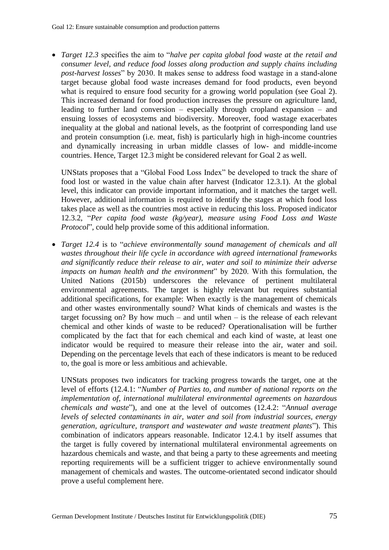*Target 12.3* specifies the aim to "*halve per capita global food waste at the retail and consumer level, and reduce food losses along production and supply chains including post-harvest losses*" by 2030. It makes sense to address food wastage in a stand-alone target because global food waste increases demand for food products, even beyond what is required to ensure food security for a growing world population (see Goal 2). This increased demand for food production increases the pressure on agriculture land, leading to further land conversion – especially through cropland expansion – and ensuing losses of ecosystems and biodiversity. Moreover, food wastage exacerbates inequality at the global and national levels, as the footprint of corresponding land use and protein consumption (i.e. meat, fish) is particularly high in high-income countries and dynamically increasing in urban middle classes of low- and middle-income countries. Hence, Target 12.3 might be considered relevant for Goal 2 as well.

UNStats proposes that a "Global Food Loss Index" be developed to track the share of food lost or wasted in the value chain after harvest (Indicator 12.3.1). At the global level, this indicator can provide important information, and it matches the target well. However, additional information is required to identify the stages at which food loss takes place as well as the countries most active in reducing this loss. Proposed indicator 12.3.2, "*Per capita food waste (kg/year), measure using Food Loss and Waste Protocol*", could help provide some of this additional information.

 *Target 12.4* is to "*achieve environmentally sound management of chemicals and all wastes throughout their life cycle in accordance with agreed international frameworks and significantly reduce their release to air, water and soil to minimize their adverse impacts on human health and the environment*" by 2020. With this formulation, the United Nations (2015b) underscores the relevance of pertinent multilateral environmental agreements. The target is highly relevant but requires substantial additional specifications, for example: When exactly is the management of chemicals and other wastes environmentally sound? What kinds of chemicals and wastes is the target focussing on? By how much – and until when – is the release of each relevant chemical and other kinds of waste to be reduced? Operationalisation will be further complicated by the fact that for each chemical and each kind of waste, at least one indicator would be required to measure their release into the air, water and soil. Depending on the percentage levels that each of these indicators is meant to be reduced to, the goal is more or less ambitious and achievable.

UNStats proposes two indicators for tracking progress towards the target, one at the level of efforts (12.4.1: "*Number of Parties to, and number of national reports on the implementation of, international multilateral environmental agreements on hazardous chemicals and waste*"), and one at the level of outcomes (12.4.2: "*Annual average levels of selected contaminants in air, water and soil from industrial sources, energy generation, agriculture, transport and wastewater and waste treatment plants*"). This combination of indicators appears reasonable. Indicator 12.4.1 by itself assumes that the target is fully covered by international multilateral environmental agreements on hazardous chemicals and waste, and that being a party to these agreements and meeting reporting requirements will be a sufficient trigger to achieve environmentally sound management of chemicals and wastes. The outcome-orientated second indicator should prove a useful complement here.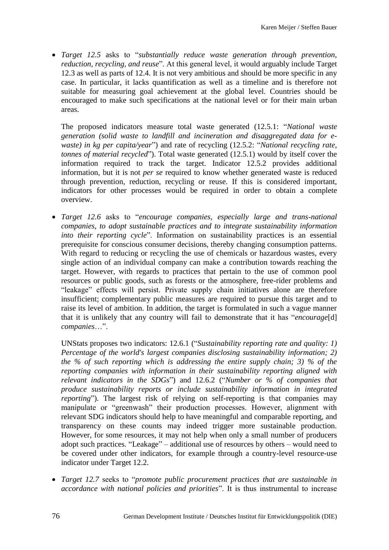*Target 12.5* asks to "*substantially reduce waste generation through prevention, reduction, recycling, and reuse*". At this general level, it would arguably include Target 12.3 as well as parts of 12.4. It is not very ambitious and should be more specific in any case. In particular, it lacks quantification as well as a timeline and is therefore not suitable for measuring goal achievement at the global level. Countries should be encouraged to make such specifications at the national level or for their main urban areas.

The proposed indicators measure total waste generated (12.5.1: "*National waste generation (solid waste to landfill and incineration and disaggregated data for ewaste) in kg per capita/year*") and rate of recycling (12.5.2: "*National recycling rate, tonnes of material recycled*"). Total waste generated (12.5.1) would by itself cover the information required to track the target. Indicator 12.5.2 provides additional information, but it is not *per se* required to know whether generated waste is reduced through prevention, reduction, recycling or reuse. If this is considered important, indicators for other processes would be required in order to obtain a complete overview.

 *Target 12.6* asks to "*encourage companies, especially large and trans-national companies, to adopt sustainable practices and to integrate sustainability information into their reporting cycle*". Information on sustainability practices is an essential prerequisite for conscious consumer decisions, thereby changing consumption patterns. With regard to reducing or recycling the use of chemicals or hazardous wastes, every single action of an individual company can make a contribution towards reaching the target. However, with regards to practices that pertain to the use of common pool resources or public goods, such as forests or the atmosphere, free-rider problems and "leakage" effects will persist. Private supply chain initiatives alone are therefore insufficient; complementary public measures are required to pursue this target and to raise its level of ambition. In addition, the target is formulated in such a vague manner that it is unlikely that any country will fail to demonstrate that it has "*encourage*[d] *companies*…".

UNStats proposes two indicators: 12.6.1 ("*Sustainability reporting rate and quality: 1) Percentage of the world's largest companies disclosing sustainability information; 2) the % of such reporting which is addressing the entire supply chain; 3) % of the reporting companies with information in their sustainability reporting aligned with relevant indicators in the SDGs*") and 12.6.2 ("*Number or % of companies that produce sustainability reports or include sustainability information in integrated reporting*"). The largest risk of relying on self-reporting is that companies may manipulate or "greenwash" their production processes. However, alignment with relevant SDG indicators should help to have meaningful and comparable reporting, and transparency on these counts may indeed trigger more sustainable production. However, for some resources, it may not help when only a small number of producers adopt such practices. "Leakage" – additional use of resources by others – would need to be covered under other indicators, for example through a country-level resource-use indicator under Target 12.2.

 *Target 12.7* seeks to "*promote public procurement practices that are sustainable in accordance with national policies and priorities*". It is thus instrumental to increase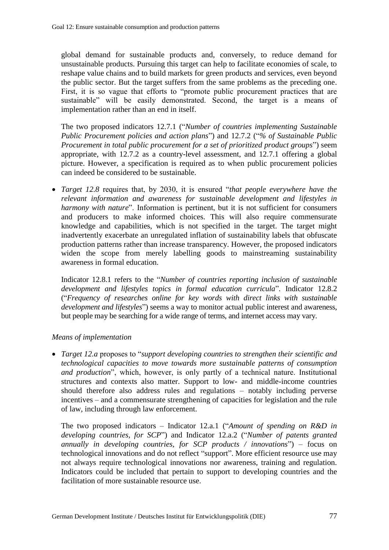global demand for sustainable products and, conversely, to reduce demand for unsustainable products. Pursuing this target can help to facilitate economies of scale, to reshape value chains and to build markets for green products and services, even beyond the public sector. But the target suffers from the same problems as the preceding one. First, it is so vague that efforts to "promote public procurement practices that are sustainable" will be easily demonstrated. Second, the target is a means of implementation rather than an end in itself.

The two proposed indicators 12.7.1 ("*Number of countries implementing Sustainable Public Procurement policies and action plans*") and 12.7.2 ("*% of Sustainable Public Procurement in total public procurement for a set of prioritized product groups*") seem appropriate, with 12.7.2 as a country-level assessment, and 12.7.1 offering a global picture. However, a specification is required as to when public procurement policies can indeed be considered to be sustainable.

 *Target 12.8* requires that, by 2030, it is ensured "*that people everywhere have the relevant information and awareness for sustainable development and lifestyles in harmony with nature*". Information is pertinent, but it is not sufficient for consumers and producers to make informed choices. This will also require commensurate knowledge and capabilities, which is not specified in the target. The target might inadvertently exacerbate an unregulated inflation of sustainability labels that obfuscate production patterns rather than increase transparency. However, the proposed indicators widen the scope from merely labelling goods to mainstreaming sustainability awareness in formal education.

Indicator 12.8.1 refers to the "*Number of countries reporting inclusion of sustainable development and lifestyles topics in formal education curricula*". Indicator 12.8.2 ("*Frequency of researches online for key words with direct links with sustainable development and lifestyles*") seems a way to monitor actual public interest and awareness, but people may be searching for a wide range of terms, and internet access may vary.

## *Means of implementation*

 *Target 12.a* proposes to "*support developing countries to strengthen their scientific and technological capacities to move towards more sustainable patterns of consumption and production*", which, however, is only partly of a technical nature. Institutional structures and contexts also matter. Support to low- and middle-income countries should therefore also address rules and regulations – notably including perverse incentives – and a commensurate strengthening of capacities for legislation and the rule of law, including through law enforcement.

The two proposed indicators – Indicator 12.a.1 ("*Amount of spending on R&D in developing countries, for SCP*") and Indicator 12.a.2 ("*Number of patents granted annually in developing countries, for SCP products / innovations*") – focus on technological innovations and do not reflect "support". More efficient resource use may not always require technological innovations nor awareness, training and regulation. Indicators could be included that pertain to support to developing countries and the facilitation of more sustainable resource use.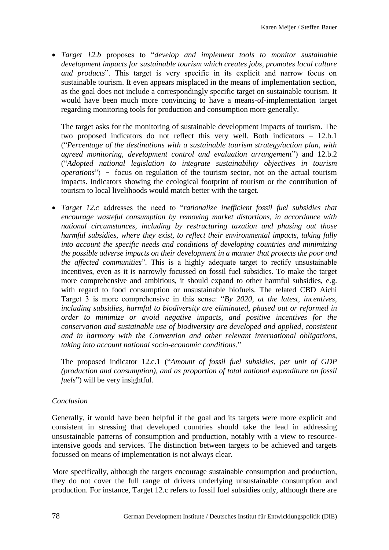*Target 12.b* proposes to "*develop and implement tools to monitor sustainable development impacts for sustainable tourism which creates jobs, promotes local culture and products*". This target is very specific in its explicit and narrow focus on sustainable tourism. It even appears misplaced in the means of implementation section, as the goal does not include a correspondingly specific target on sustainable tourism. It would have been much more convincing to have a means-of-implementation target regarding monitoring tools for production and consumption more generally.

The target asks for the monitoring of sustainable development impacts of tourism. The two proposed indicators do not reflect this very well. Both indicators – 12.b.1 ("*Percentage of the destinations with a sustainable tourism strategy/action plan, with agreed monitoring, development control and evaluation arrangement*") and 12.b.2 ("*Adopted national legislation to integrate sustainability objectives in tourism operations*") – focus on regulation of the tourism sector, not on the actual tourism impacts. Indicators showing the ecological footprint of tourism or the contribution of tourism to local livelihoods would match better with the target.

 *Target 12.c* addresses the need to "*rationalize inefficient fossil fuel subsidies that encourage wasteful consumption by removing market distortions, in accordance with national circumstances, including by restructuring taxation and phasing out those harmful subsidies, where they exist, to reflect their environmental impacts, taking fully into account the specific needs and conditions of developing countries and minimizing the possible adverse impacts on their development in a manner that protects the poor and the affected communities*". This is a highly adequate target to rectify unsustainable incentives, even as it is narrowly focussed on fossil fuel subsidies. To make the target more comprehensive and ambitious, it should expand to other harmful subsidies, e.g. with regard to food consumption or unsustainable biofuels. The related CBD Aichi Target 3 is more comprehensive in this sense: "*By 2020, at the latest, incentives, including subsidies, harmful to biodiversity are eliminated, phased out or reformed in order to minimize or avoid negative impacts, and positive incentives for the conservation and sustainable use of biodiversity are developed and applied, consistent and in harmony with the Convention and other relevant international obligations, taking into account national socio-economic conditions.*"

The proposed indicator 12.c.1 ("*Amount of fossil fuel subsidies, per unit of GDP (production and consumption), and as proportion of total national expenditure on fossil fuels*") will be very insightful.

#### *Conclusion*

Generally, it would have been helpful if the goal and its targets were more explicit and consistent in stressing that developed countries should take the lead in addressing unsustainable patterns of consumption and production, notably with a view to resourceintensive goods and services. The distinction between targets to be achieved and targets focussed on means of implementation is not always clear.

More specifically, although the targets encourage sustainable consumption and production, they do not cover the full range of drivers underlying unsustainable consumption and production. For instance, Target 12.c refers to fossil fuel subsidies only, although there are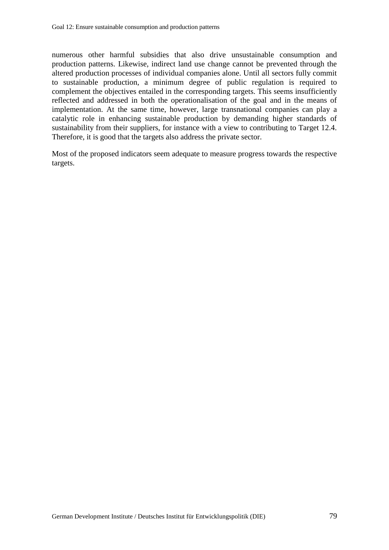numerous other harmful subsidies that also drive unsustainable consumption and production patterns. Likewise, indirect land use change cannot be prevented through the altered production processes of individual companies alone. Until all sectors fully commit to sustainable production, a minimum degree of public regulation is required to complement the objectives entailed in the corresponding targets. This seems insufficiently reflected and addressed in both the operationalisation of the goal and in the means of implementation. At the same time, however, large transnational companies can play a catalytic role in enhancing sustainable production by demanding higher standards of sustainability from their suppliers, for instance with a view to contributing to Target 12.4. Therefore, it is good that the targets also address the private sector.

Most of the proposed indicators seem adequate to measure progress towards the respective targets.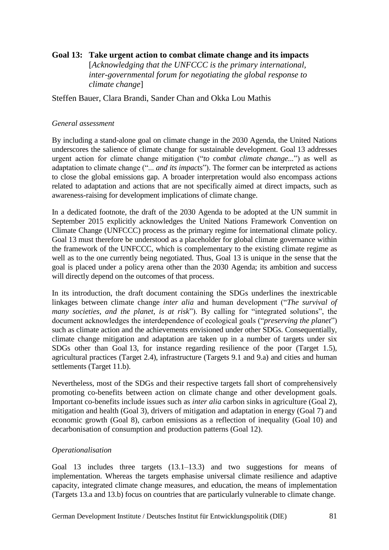## **Goal 13: Take urgent action to combat climate change and its impacts** [*Acknowledging that the UNFCCC is the primary international, inter-governmental forum for negotiating the global response to climate change*]

Steffen Bauer, Clara Brandi, Sander Chan and Okka Lou Mathis

### *General assessment*

By including a stand-alone goal on climate change in the 2030 Agenda, the United Nations underscores the salience of climate change for sustainable development. Goal 13 addresses urgent action for climate change mitigation ("*to combat climate change...*") as well as adaptation to climate change ("... *and its impacts*"). The former can be interpreted as actions to close the global emissions gap. A broader interpretation would also encompass actions related to adaptation and actions that are not specifically aimed at direct impacts, such as awareness-raising for development implications of climate change.

In a dedicated footnote, the draft of the 2030 Agenda to be adopted at the UN summit in September 2015 explicitly acknowledges the United Nations Framework Convention on Climate Change (UNFCCC) process as the primary regime for international climate policy. Goal 13 must therefore be understood as a placeholder for global climate governance within the framework of the UNFCCC, which is complementary to the existing climate regime as well as to the one currently being negotiated. Thus, Goal 13 is unique in the sense that the goal is placed under a policy arena other than the 2030 Agenda; its ambition and success will directly depend on the outcomes of that process.

In its introduction, the draft document containing the SDGs underlines the inextricable linkages between climate change *inter alia* and human development ("*The survival of many societies, and the planet, is at risk*"). By calling for "integrated solutions", the document acknowledges the interdependence of ecological goals ("*preserving the planet*") such as climate action and the achievements envisioned under other SDGs. Consequentially, climate change mitigation and adaptation are taken up in a number of targets under six SDGs other than Goal 13, for instance regarding resilience of the poor (Target 1.5), agricultural practices (Target 2.4), infrastructure (Targets 9.1 and 9.a) and cities and human settlements (Target 11.b).

Nevertheless, most of the SDGs and their respective targets fall short of comprehensively promoting co-benefits between action on climate change and other development goals. Important co-benefits include issues such as *inter alia* carbon sinks in agriculture (Goal 2), mitigation and health (Goal 3), drivers of mitigation and adaptation in energy (Goal 7) and economic growth (Goal 8), carbon emissions as a reflection of inequality (Goal 10) and decarbonisation of consumption and production patterns (Goal 12).

#### *Operationalisation*

Goal 13 includes three targets (13.1–13.3) and two suggestions for means of implementation. Whereas the targets emphasise universal climate resilience and adaptive capacity, integrated climate change measures, and education, the means of implementation (Targets 13.a and 13.b) focus on countries that are particularly vulnerable to climate change.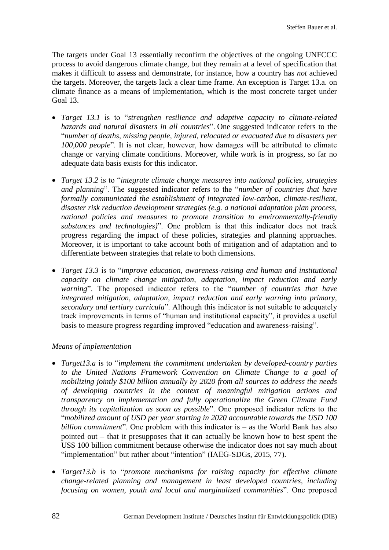The targets under Goal 13 essentially reconfirm the objectives of the ongoing UNFCCC process to avoid dangerous climate change, but they remain at a level of specification that makes it difficult to assess and demonstrate, for instance, how a country has *not* achieved the targets. Moreover, the targets lack a clear time frame. An exception is Target 13.a. on climate finance as a means of implementation, which is the most concrete target under Goal 13.

- *Target 13.1* is to "*strengthen resilience and adaptive capacity to climate-related hazards and natural disasters in all countries*". One suggested indicator refers to the "*number of deaths, missing people, injured, relocated or evacuated due to disasters per 100,000 people*". It is not clear, however, how damages will be attributed to climate change or varying climate conditions. Moreover, while work is in progress, so far no adequate data basis exists for this indicator.
- *Target 13.2* is to "*integrate climate change measures into national policies, strategies and planning*". The suggested indicator refers to the "*number of countries that have formally communicated the establishment of integrated low-carbon, climate-resilient, disaster risk reduction development strategies (e.g. a national adaptation plan process, national policies and measures to promote transition to environmentally-friendly substances and technologies)*". One problem is that this indicator does not track progress regarding the impact of these policies, strategies and planning approaches. Moreover, it is important to take account both of mitigation and of adaptation and to differentiate between strategies that relate to both dimensions.
- *Target 13.3* is to "*improve education, awareness-raising and human and institutional capacity on climate change mitigation, adaptation, impact reduction and early warning*". The proposed indicator refers to the "*number of countries that have integrated mitigation, adaptation, impact reduction and early warning into primary, secondary and tertiary curricula*". Although this indicator is not suitable to adequately track improvements in terms of "human and institutional capacity", it provides a useful basis to measure progress regarding improved "education and awareness-raising".

## *Means of implementation*

- *Target13.a* is to "*implement the commitment undertaken by developed-country parties to the United Nations Framework Convention on Climate Change to a goal of mobilizing jointly \$100 billion annually by 2020 from all sources to address the needs of developing countries in the context of meaningful mitigation actions and transparency on implementation and fully operationalize the Green Climate Fund through its capitalization as soon as possible*". One proposed indicator refers to the "*mobilized amount of USD per year starting in 2020 accountable towards the USD 100 billion commitment*". One problem with this indicator is – as the World Bank has also pointed out – that it presupposes that it can actually be known how to best spent the US\$ 100 billion commitment because otherwise the indicator does not say much about "implementation" but rather about "intention" (IAEG-SDGs, 2015, 77).
- *Target13.b* is to "*promote mechanisms for raising capacity for effective climate change-related planning and management in least developed countries, including focusing on women, youth and local and marginalized communities*". One proposed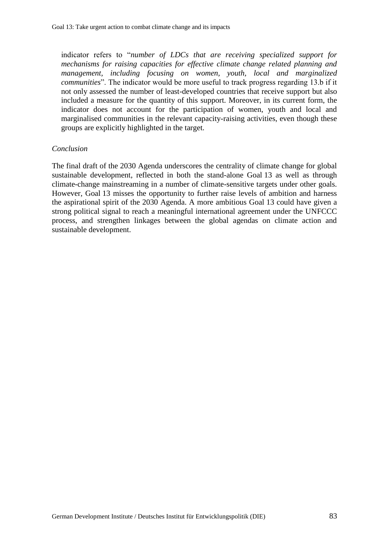indicator refers to "*number of LDCs that are receiving specialized support for mechanisms for raising capacities for effective climate change related planning and management, including focusing on women, youth, local and marginalized communities*". The indicator would be more useful to track progress regarding 13.b if it not only assessed the number of least-developed countries that receive support but also included a measure for the quantity of this support. Moreover, in its current form, the indicator does not account for the participation of women, youth and local and marginalised communities in the relevant capacity-raising activities, even though these groups are explicitly highlighted in the target.

#### *Conclusion*

The final draft of the 2030 Agenda underscores the centrality of climate change for global sustainable development, reflected in both the stand-alone Goal 13 as well as through climate-change mainstreaming in a number of climate-sensitive targets under other goals. However, Goal 13 misses the opportunity to further raise levels of ambition and harness the aspirational spirit of the 2030 Agenda. A more ambitious Goal 13 could have given a strong political signal to reach a meaningful international agreement under the UNFCCC process, and strengthen linkages between the global agendas on climate action and sustainable development.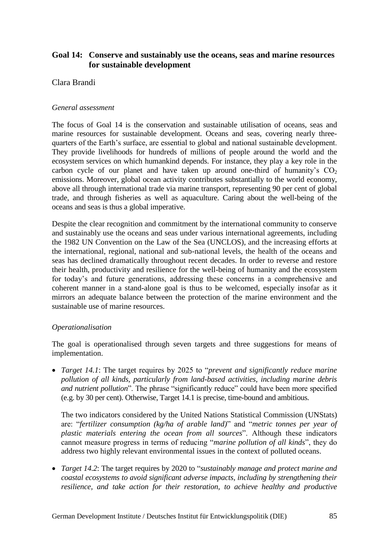# **Goal 14: Conserve and sustainably use the oceans, seas and marine resources for sustainable development**

### Clara Brandi

#### *General assessment*

The focus of Goal 14 is the conservation and sustainable utilisation of oceans, seas and marine resources for sustainable development. Oceans and seas, covering nearly threequarters of the Earth's surface, are essential to global and national sustainable development. They provide livelihoods for hundreds of millions of people around the world and the ecosystem services on which humankind depends. For instance, they play a key role in the carbon cycle of our planet and have taken up around one-third of humanity's  $CO<sub>2</sub>$ emissions. Moreover, global ocean activity contributes substantially to the world economy, above all through international trade via marine transport, representing 90 per cent of global trade, and through fisheries as well as aquaculture. Caring about the well-being of the oceans and seas is thus a global imperative.

Despite the clear recognition and commitment by the international community to conserve and sustainably use the oceans and seas under various international agreements, including the 1982 UN Convention on the Law of the Sea (UNCLOS), and the increasing efforts at the international, regional, national and sub-national levels, the health of the oceans and seas has declined dramatically throughout recent decades. In order to reverse and restore their health, productivity and resilience for the well-being of humanity and the ecosystem for today's and future generations, addressing these concerns in a comprehensive and coherent manner in a stand-alone goal is thus to be welcomed, especially insofar as it mirrors an adequate balance between the protection of the marine environment and the sustainable use of marine resources.

#### *Operationalisation*

The goal is operationalised through seven targets and three suggestions for means of implementation.

 *Target 14.1*: The target requires by 2025 to "*prevent and significantly reduce marine pollution of all kinds, particularly from land-based activities, including marine debris and nutrient pollution*". The phrase "significantly reduce" could have been more specified (e.g. by 30 per cent). Otherwise, Target 14.1 is precise, time-bound and ambitious.

The two indicators considered by the United Nations Statistical Commission (UNStats) are: "*fertilizer consumption (kg/ha of arable land)*" and "*metric tonnes per year of plastic materials entering the ocean from all sources*". Although these indicators cannot measure progress in terms of reducing "*marine pollution of all kinds*", they do address two highly relevant environmental issues in the context of polluted oceans.

 *Target 14.2*: The target requires by 2020 to "*sustainably manage and protect marine and coastal ecosystems to avoid significant adverse impacts, including by strengthening their resilience, and take action for their restoration, to achieve healthy and productive*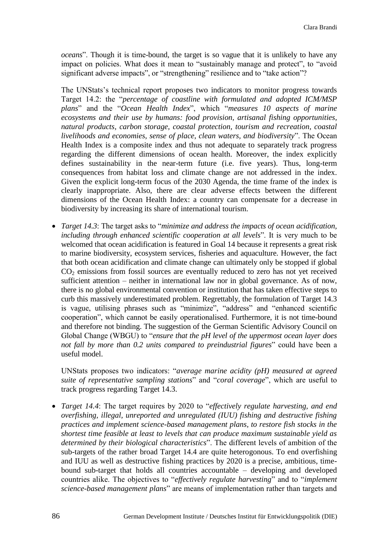*oceans*". Though it is time-bound, the target is so vague that it is unlikely to have any impact on policies. What does it mean to "sustainably manage and protect", to "avoid significant adverse impacts", or "strengthening" resilience and to "take action"?

The UNStats's technical report proposes two indicators to monitor progress towards Target 14.2: the "*percentage of coastline with formulated and adopted ICM/MSP plans*" and the "*Ocean Health Index*", which "*measures 10 aspects of marine ecosystems and their use by humans: food provision, artisanal fishing opportunities, natural products, carbon storage, coastal protection, tourism and recreation, coastal livelihoods and economies, sense of place, clean waters, and biodiversity*". The Ocean Health Index is a composite index and thus not adequate to separately track progress regarding the different dimensions of ocean health. Moreover, the index explicitly defines sustainability in the near-term future (i.e. five years). Thus, long-term consequences from habitat loss and climate change are not addressed in the index. Given the explicit long-term focus of the 2030 Agenda, the time frame of the index is clearly inappropriate. Also, there are clear adverse effects between the different dimensions of the Ocean Health Index: a country can compensate for a decrease in biodiversity by increasing its share of international tourism.

 *Target 14.3*: The target asks to "*minimize and address the impacts of ocean acidification, including through enhanced scientific cooperation at all levels*". It is very much to be welcomed that ocean acidification is featured in Goal 14 because it represents a great risk to marine biodiversity, ecosystem services, fisheries and aquaculture. However, the fact that both ocean acidification and climate change can ultimately only be stopped if global  $CO<sub>2</sub>$  emissions from fossil sources are eventually reduced to zero has not yet received sufficient attention – neither in international law nor in global governance. As of now, there is no global environmental convention or institution that has taken effective steps to curb this massively underestimated problem. Regrettably, the formulation of Target 14.3 is vague, utilising phrases such as "minimize", "address" and "enhanced scientific cooperation", which cannot be easily operationalised. Furthermore, it is not time-bound and therefore not binding. The suggestion of the German Scientific Advisory Council on Global Change (WBGU) to "*ensure that the pH level of the uppermost ocean layer does not fall by more than 0.2 units compared to preindustrial figures*" could have been a useful model.

UNStats proposes two indicators: "*average marine acidity (pH) measured at agreed suite of representative sampling stations*" and "*coral coverage*", which are useful to track progress regarding Target 14.3.

 *Target 14.4*: The target requires by 2020 to "*effectively regulate harvesting, and end overfishing, illegal, unreported and unregulated (IUU) fishing and destructive fishing practices and implement science-based management plans, to restore fish stocks in the shortest time feasible at least to levels that can produce maximum sustainable yield as determined by their biological characteristics*". The different levels of ambition of the sub-targets of the rather broad Target 14.4 are quite heterogonous. To end overfishing and IUU as well as destructive fishing practices by 2020 is a precise, ambitious, timebound sub-target that holds all countries accountable – developing and developed countries alike. The objectives to "*effectively regulate harvesting*" and to "*implement science-based management plans*" are means of implementation rather than targets and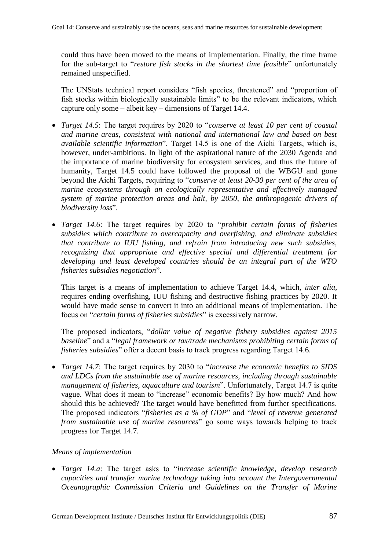could thus have been moved to the means of implementation. Finally, the time frame for the sub-target to "*restore fish stocks in the shortest time feasible*" unfortunately remained unspecified.

The UNStats technical report considers "fish species, threatened" and "proportion of fish stocks within biologically sustainable limits" to be the relevant indicators, which capture only some – albeit key – dimensions of Target 14.4.

- *Target 14.5*: The target requires by 2020 to "*conserve at least 10 per cent of coastal and marine areas, consistent with national and international law and based on best available scientific information*". Target 14.5 is one of the Aichi Targets, which is, however, under-ambitious. In light of the aspirational nature of the 2030 Agenda and the importance of marine biodiversity for ecosystem services, and thus the future of humanity, Target 14.5 could have followed the proposal of the WBGU and gone beyond the Aichi Targets, requiring to "*conserve at least 20-30 per cent of the area of marine ecosystems through an ecologically representative and effectively managed system of marine protection areas and halt, by 2050, the anthropogenic drivers of biodiversity loss*".
- *Target 14.6*: The target requires by 2020 to "*prohibit certain forms of fisheries subsidies which contribute to overcapacity and overfishing, and eliminate subsidies that contribute to IUU fishing, and refrain from introducing new such subsidies, recognizing that appropriate and effective special and differential treatment for developing and least developed countries should be an integral part of the WTO fisheries subsidies negotiation*".

This target is a means of implementation to achieve Target 14.4, which, *inter alia*, requires ending overfishing, IUU fishing and destructive fishing practices by 2020. It would have made sense to convert it into an additional means of implementation. The focus on "*certain forms of fisheries subsidies*" is excessively narrow.

The proposed indicators, "*dollar value of negative fishery subsidies against 2015 baseline*" and a "*legal framework or tax/trade mechanisms prohibiting certain forms of fisheries subsidies*" offer a decent basis to track progress regarding Target 14.6.

 *Target 14.7*: The target requires by 2030 to "*increase the economic benefits to SIDS and LDCs from the sustainable use of marine resources, including through sustainable management of fisheries, aquaculture and tourism*". Unfortunately, Target 14.7 is quite vague. What does it mean to "increase" economic benefits? By how much? And how should this be achieved? The target would have benefitted from further specifications. The proposed indicators "*fisheries as a % of GDP*" and "*level of revenue generated from sustainable use of marine resources*" go some ways towards helping to track progress for Target 14.7.

#### *Means of implementation*

 *Target 14.a*: The target asks to "*increase scientific knowledge, develop research capacities and transfer marine technology taking into account the Intergovernmental Oceanographic Commission Criteria and Guidelines on the Transfer of Marine*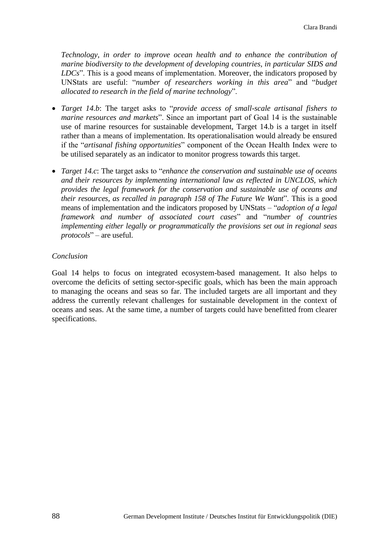*Technology, in order to improve ocean health and to enhance the contribution of marine biodiversity to the development of developing countries, in particular SIDS and LDCs*". This is a good means of implementation. Moreover, the indicators proposed by UNStats are useful: "*number of researchers working in this area*" and "*budget allocated to research in the field of marine technology*".

- *Target 14.b*: The target asks to "*provide access of small-scale artisanal fishers to marine resources and markets*". Since an important part of Goal 14 is the sustainable use of marine resources for sustainable development, Target 14.b is a target in itself rather than a means of implementation. Its operationalisation would already be ensured if the "*artisanal fishing opportunities*" component of the Ocean Health Index were to be utilised separately as an indicator to monitor progress towards this target.
- *Target 14.c*: The target asks to "*enhance the conservation and sustainable use of oceans and their resources by implementing international law as reflected in UNCLOS, which provides the legal framework for the conservation and sustainable use of oceans and their resources, as recalled in paragraph 158 of The Future We Want*". This is a good means of implementation and the indicators proposed by UNStats – "*adoption of a legal framework and number of associated court cases*" and "*number of countries implementing either legally or programmatically the provisions set out in regional seas protocols*" – are useful.

#### *Conclusion*

Goal 14 helps to focus on integrated ecosystem-based management. It also helps to overcome the deficits of setting sector-specific goals, which has been the main approach to managing the oceans and seas so far. The included targets are all important and they address the currently relevant challenges for sustainable development in the context of oceans and seas. At the same time, a number of targets could have benefitted from clearer specifications.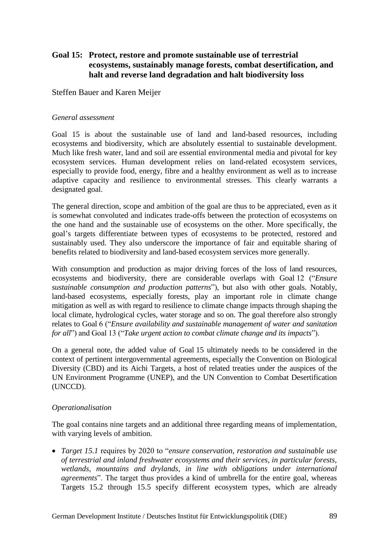# **Goal 15: Protect, restore and promote sustainable use of terrestrial ecosystems, sustainably manage forests, combat desertification, and halt and reverse land degradation and halt biodiversity loss**

## Steffen Bauer and Karen Meijer

### *General assessment*

Goal 15 is about the sustainable use of land and land-based resources, including ecosystems and biodiversity, which are absolutely essential to sustainable development. Much like fresh water, land and soil are essential environmental media and pivotal for key ecosystem services. Human development relies on land-related ecosystem services, especially to provide food, energy, fibre and a healthy environment as well as to increase adaptive capacity and resilience to environmental stresses. This clearly warrants a designated goal.

The general direction, scope and ambition of the goal are thus to be appreciated, even as it is somewhat convoluted and indicates trade-offs between the protection of ecosystems on the one hand and the sustainable use of ecosystems on the other. More specifically, the goal's targets differentiate between types of ecosystems to be protected, restored and sustainably used. They also underscore the importance of fair and equitable sharing of benefits related to biodiversity and land-based ecosystem services more generally.

With consumption and production as major driving forces of the loss of land resources, ecosystems and biodiversity, there are considerable overlaps with Goal 12 ("*Ensure sustainable consumption and production patterns*"), but also with other goals. Notably, land-based ecosystems, especially forests, play an important role in climate change mitigation as well as with regard to resilience to climate change impacts through shaping the local climate, hydrological cycles, water storage and so on. The goal therefore also strongly relates to Goal 6 ("*Ensure availability and sustainable management of water and sanitation for all*") and Goal 13 ("*Take urgent action to combat climate change and its impacts*").

On a general note, the added value of Goal 15 ultimately needs to be considered in the context of pertinent intergovernmental agreements, especially the Convention on Biological Diversity (CBD) and its Aichi Targets, a host of related treaties under the auspices of the UN Environment Programme (UNEP), and the UN Convention to Combat Desertification (UNCCD).

## *Operationalisation*

The goal contains nine targets and an additional three regarding means of implementation, with varying levels of ambition.

 *Target 15.1* requires by 2020 to "*ensure conservation, restoration and sustainable use of terrestrial and inland freshwater ecosystems and their services, in particular forests, wetlands, mountains and drylands, in line with obligations under international agreements*". The target thus provides a kind of umbrella for the entire goal, whereas Targets 15.2 through 15.5 specify different ecosystem types, which are already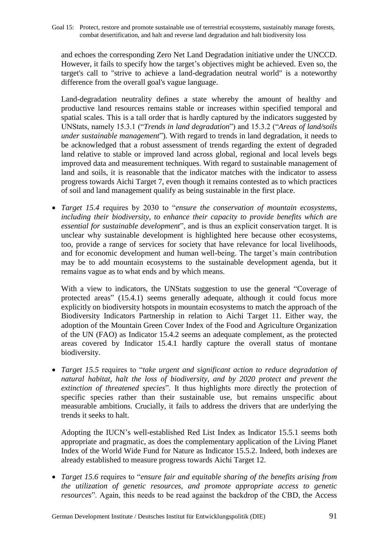Goal 15: Protect, restore and promote sustainable use of terrestrial ecosystems, sustainably manage forests, combat desertification, and halt and reverse land degradation and halt biodiversity loss

and echoes the corresponding Zero Net Land Degradation initiative under the UNCCD. However, it fails to specify how the target's objectives might be achieved. Even so, the target $\P$  call to  $\delta$ trive to achieve a land-degradation neutral world  $\delta$  is a noteworthy difference from the overall goal¶s vague language.

Land-degradation neutrality defines a state whereby the amount of healthy and productive land resources remains stable or increases within specified temporal and spatial scales. This is a tall order that is hardly captured by the indicators suggested by UNStats, namely 15.3.1 ("*Trends in land degradation*") and 15.3.2 ("*Areas of land/soils under sustainable management*"). With regard to trends in land degradation, it needs to be acknowledged that a robust assessment of trends regarding the extent of degraded land relative to stable or improved land across global, regional and local levels begs improved data and measurement techniques. With regard to sustainable management of land and soils, it is reasonable that the indicator matches with the indicator to assess progress towards Aichi Target 7, even though it remains contested as to which practices of soil and land management qualify as being sustainable in the first place.

 *Target 15.4* requires by 2030 to "*ensure the conservation of mountain ecosystems, including their biodiversity, to enhance their capacity to provide benefits which are essential for sustainable development*", and is thus an explicit conservation target. It is unclear why sustainable development is highlighted here because other ecosystems, too, provide a range of services for society that have relevance for local livelihoods, and for economic development and human well-being. The target's main contribution may be to add mountain ecosystems to the sustainable development agenda, but it remains vague as to what ends and by which means.

With a view to indicators, the UNStats suggestion to use the general "Coverage of protected areas" (15.4.1) seems generally adequate, although it could focus more explicitly on biodiversity hotspots in mountain ecosystems to match the approach of the Biodiversity Indicators Partnership in relation to Aichi Target 11. Either way, the adoption of the Mountain Green Cover Index of the Food and Agriculture Organization of the UN (FAO) as Indicator 15.4.2 seems an adequate complement, as the protected areas covered by Indicator 15.4.1 hardly capture the overall status of montane biodiversity.

 *Target 15.5* requires to "*take urgent and significant action to reduce degradation of natural habitat, halt the loss of biodiversity, and by 2020 protect and prevent the extinction of threatened species*". It thus highlights more directly the protection of specific species rather than their sustainable use, but remains unspecific about measurable ambitions. Crucially, it fails to address the drivers that are underlying the trends it seeks to halt.

Adopting the IUCN's well-established Red List Index as Indicator 15.5.1 seems both appropriate and pragmatic, as does the complementary application of the Living Planet Index of the World Wide Fund for Nature as Indicator 15.5.2. Indeed, both indexes are already established to measure progress towards Aichi Target 12.

 *Target 15.6* requires to "*ensure fair and equitable sharing of the benefits arising from the utilization of genetic resources, and promote appropriate access to genetic resources*". Again, this needs to be read against the backdrop of the CBD, the Access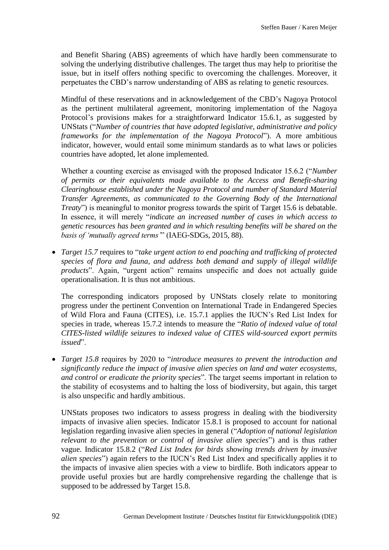and Benefit Sharing (ABS) agreements of which have hardly been commensurate to solving the underlying distributive challenges. The target thus may help to prioritise the issue, but in itself offers nothing specific to overcoming the challenges. Moreover, it perpetuates the CBD's narrow understanding of ABS as relating to genetic resources.

Mindful of these reservations and in acknowledgement of the CBD's Nagoya Protocol as the pertinent multilateral agreement, monitoring implementation of the Nagoya Protocol's provisions makes for a straightforward Indicator 15.6.1, as suggested by UNStats ("*Number of countries that have adopted legislative, administrative and policy frameworks for the implementation of the Nagoya Protocol*"). A more ambitious indicator, however, would entail some minimum standards as to what laws or policies countries have adopted, let alone implemented.

Whether a counting exercise as envisaged with the proposed Indicator 15.6.2 ("*Number of permits or their equivalents made available to the Access and Benefit-sharing Clearinghouse established under the Nagoya Protocol and number of Standard Material Transfer Agreements, as communicated to the Governing Body of the International Treaty*") is meaningful to monitor progress towards the spirit of Target 15.6 is debatable. In essence, it will merely "*indicate an increased number of cases in which access to genetic resources has been granted and in which resulting benefits will be shared on the basis of 'mutually agreed terms'*" (IAEG-SDGs, 2015, 88).

 *Target 15.7* requires to "*take urgent action to end poaching and trafficking of protected species of flora and fauna, and address both demand and supply of illegal wildlife products*". Again, "urgent action" remains unspecific and does not actually guide operationalisation. It is thus not ambitious.

The corresponding indicators proposed by UNStats closely relate to monitoring progress under the pertinent Convention on International Trade in Endangered Species of Wild Flora and Fauna (CITES), i.e. 15.7.1 applies the IUCN's Red List Index for species in trade, whereas 15.7.2 intends to measure the "*Ratio of indexed value of total CITES-listed wildlife seizures to indexed value of CITES wild-sourced export permits issued*".

 *Target 15.8* requires by 2020 to "*introduce measures to prevent the introduction and significantly reduce the impact of invasive alien species on land and water ecosystems, and control or eradicate the priority species*". The target seems important in relation to the stability of ecosystems and to halting the loss of biodiversity, but again, this target is also unspecific and hardly ambitious.

UNStats proposes two indicators to assess progress in dealing with the biodiversity impacts of invasive alien species. Indicator 15.8.1 is proposed to account for national legislation regarding invasive alien species in general ("*Adoption of national legislation relevant to the prevention or control of invasive alien species*") and is thus rather vague. Indicator 15.8.2 ("*Red List Index for birds showing trends driven by invasive alien species*") again refers to the IUCN's Red List Index and specifically applies it to the impacts of invasive alien species with a view to birdlife. Both indicators appear to provide useful proxies but are hardly comprehensive regarding the challenge that is supposed to be addressed by Target 15.8.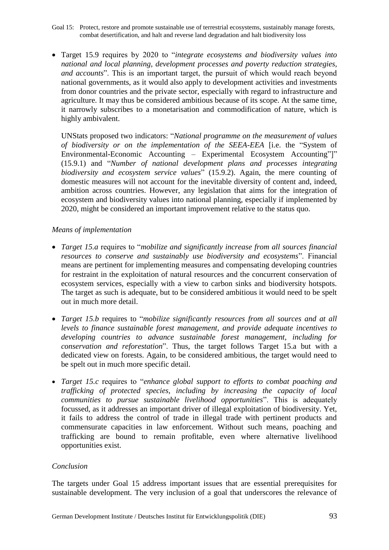- Goal 15: Protect, restore and promote sustainable use of terrestrial ecosystems, sustainably manage forests, combat desertification, and halt and reverse land degradation and halt biodiversity loss
- Target 15.9 requires by 2020 to "*integrate ecosystems and biodiversity values into national and local planning, development processes and poverty reduction strategies, and accounts*". This is an important target, the pursuit of which would reach beyond national governments, as it would also apply to development activities and investments from donor countries and the private sector, especially with regard to infrastructure and agriculture. It may thus be considered ambitious because of its scope. At the same time, it narrowly subscribes to a monetarisation and commodification of nature, which is highly ambivalent.

UNStats proposed two indicators: "*National programme on the measurement of values of biodiversity or on the implementation of the SEEA-EEA* [i.e. the "System of Environmental-Economic Accounting – Experimental Ecosystem Accounting"]" (15.9.1) and "*Number of national development plans and processes integrating biodiversity and ecosystem service values*" (15.9.2). Again, the mere counting of domestic measures will not account for the inevitable diversity of content and, indeed, ambition across countries. However, any legislation that aims for the integration of ecosystem and biodiversity values into national planning, especially if implemented by 2020, might be considered an important improvement relative to the status quo.

## *Means of implementation*

- *Target 15.a* requires to "*mobilize and significantly increase from all sources financial resources to conserve and sustainably use biodiversity and ecosystems*". Financial means are pertinent for implementing measures and compensating developing countries for restraint in the exploitation of natural resources and the concurrent conservation of ecosystem services, especially with a view to carbon sinks and biodiversity hotspots. The target as such is adequate, but to be considered ambitious it would need to be spelt out in much more detail.
- *Target 15.b* requires to "*mobilize significantly resources from all sources and at all levels to finance sustainable forest management, and provide adequate incentives to developing countries to advance sustainable forest management, including for conservation and reforestation*". Thus, the target follows Target 15.a but with a dedicated view on forests. Again, to be considered ambitious, the target would need to be spelt out in much more specific detail.
- *Target 15.c* requires to "*enhance global support to efforts to combat poaching and trafficking of protected species, including by increasing the capacity of local communities to pursue sustainable livelihood opportunities*". This is adequately focussed, as it addresses an important driver of illegal exploitation of biodiversity. Yet, it fails to address the control of trade in illegal trade with pertinent products and commensurate capacities in law enforcement. Without such means, poaching and trafficking are bound to remain profitable, even where alternative livelihood opportunities exist.

#### *Conclusion*

The targets under Goal 15 address important issues that are essential prerequisites for sustainable development. The very inclusion of a goal that underscores the relevance of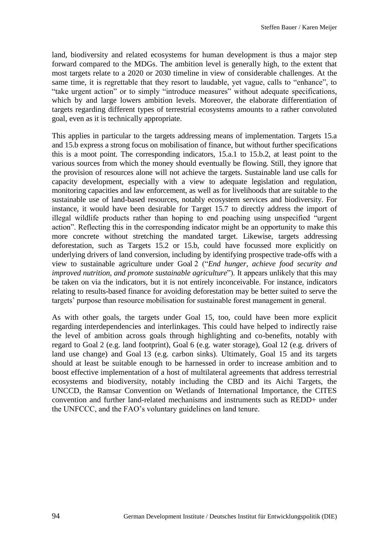land, biodiversity and related ecosystems for human development is thus a major step forward compared to the MDGs. The ambition level is generally high, to the extent that most targets relate to a 2020 or 2030 timeline in view of considerable challenges. At the same time, it is regrettable that they resort to laudable, yet vague, calls to "enhance", to "take urgent action" or to simply "introduce measures" without adequate specifications, which by and large lowers ambition levels. Moreover, the elaborate differentiation of targets regarding different types of terrestrial ecosystems amounts to a rather convoluted goal, even as it is technically appropriate.

This applies in particular to the targets addressing means of implementation. Targets 15.a and 15.b express a strong focus on mobilisation of finance, but without further specifications this is a moot point. The corresponding indicators, 15.a.1 to 15.b.2, at least point to the various sources from which the money should eventually be flowing. Still, they ignore that the provision of resources alone will not achieve the targets. Sustainable land use calls for capacity development, especially with a view to adequate legislation and regulation, monitoring capacities and law enforcement, as well as for livelihoods that are suitable to the sustainable use of land-based resources, notably ecosystem services and biodiversity. For instance, it would have been desirable for Target 15.7 to directly address the import of illegal wildlife products rather than hoping to end poaching using unspecified "urgent action". Reflecting this in the corresponding indicator might be an opportunity to make this more concrete without stretching the mandated target. Likewise, targets addressing deforestation, such as Targets 15.2 or 15.b, could have focussed more explicitly on underlying drivers of land conversion, including by identifying prospective trade-offs with a view to sustainable agriculture under Goal 2 ("*End hunger, achieve food security and improved nutrition, and promote sustainable agriculture*"). It appears unlikely that this may be taken on via the indicators, but it is not entirely inconceivable. For instance, indicators relating to results-based finance for avoiding deforestation may be better suited to serve the targets' purpose than resource mobilisation for sustainable forest management in general.

As with other goals, the targets under Goal 15, too, could have been more explicit regarding interdependencies and interlinkages. This could have helped to indirectly raise the level of ambition across goals through highlighting and co-benefits, notably with regard to Goal 2 (e.g. land footprint), Goal 6 (e.g. water storage), Goal 12 (e.g. drivers of land use change) and Goal 13 (e.g. carbon sinks). Ultimately, Goal 15 and its targets should at least be suitable enough to be harnessed in order to increase ambition and to boost effective implementation of a host of multilateral agreements that address terrestrial ecosystems and biodiversity, notably including the CBD and its Aichi Targets, the UNCCD, the Ramsar Convention on Wetlands of International Importance, the CITES convention and further land-related mechanisms and instruments such as REDD+ under the UNFCCC, and the FAO's voluntary guidelines on land tenure.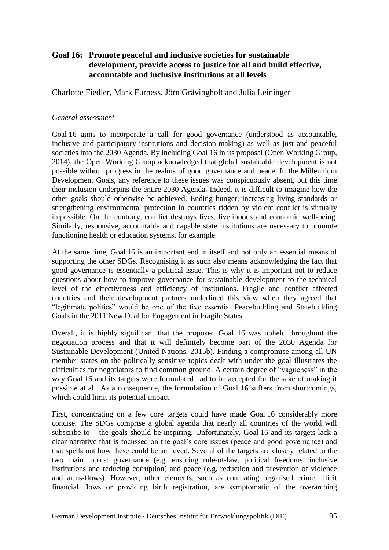# **Goal 16: Promote peaceful and inclusive societies for sustainable development, provide access to justice for all and build effective, accountable and inclusive institutions at all levels**

Charlotte Fiedler, Mark Furness, Jörn Grävingholt and Julia Leininger

#### *General assessment*

Goal 16 aims to incorporate a call for good governance (understood as accountable, inclusive and participatory institutions and decision-making) as well as just and peaceful societies into the 2030 Agenda. By including Goal 16 in its proposal (Open Working Group, 2014), the Open Working Group acknowledged that global sustainable development is not possible without progress in the realms of good governance and peace. In the Millennium Development Goals, any reference to these issues was conspicuously absent, but this time their inclusion underpins the entire 2030 Agenda. Indeed, it is difficult to imagine how the other goals should otherwise be achieved. Ending hunger, increasing living standards or strengthening environmental protection in countries ridden by violent conflict is virtually impossible. On the contrary, conflict destroys lives, livelihoods and economic well-being. Similarly, responsive, accountable and capable state institutions are necessary to promote functioning health or education systems, for example.

At the same time, Goal 16 is an important end in itself and not only an essential means of supporting the other SDGs. Recognising it as such also means acknowledging the fact that good governance is essentially a political issue. This is why it is important not to reduce questions about how to improve governance for sustainable development to the technical level of the effectiveness and efficiency of institutions. Fragile and conflict affected countries and their development partners underlined this view when they agreed that "legitimate politics" would be one of the five essential Peacebuilding and Statebuilding Goals in the 2011 New Deal for Engagement in Fragile States.

Overall, it is highly significant that the proposed Goal 16 was upheld throughout the negotiation process and that it will definitely become part of the 2030 Agenda for Sustainable Development (United Nations, 2015b). Finding a compromise among all UN member states on the politically sensitive topics dealt with under the goal illustrates the difficulties for negotiators to find common ground. A certain degree of "vagueness" in the way Goal 16 and its targets were formulated had to be accepted for the sake of making it possible at all. As a consequence, the formulation of Goal 16 suffers from shortcomings, which could limit its potential impact.

First, concentrating on a few core targets could have made Goal 16 considerably more concise. The SDGs comprise a global agenda that nearly all countries of the world will subscribe to – the goals should be inspiring. Unfortunately, Goal 16 and its targets lack a clear narrative that is focussed on the goal's core issues (peace and good governance) and that spells out how these could be achieved. Several of the targets are closely related to the two main topics: governance (e.g. ensuring rule-of-law, political freedoms, inclusive institutions and reducing corruption) and peace (e.g. reduction and prevention of violence and arms-flows). However, other elements, such as combating organised crime, illicit financial flows or providing birth registration, are symptomatic of the overarching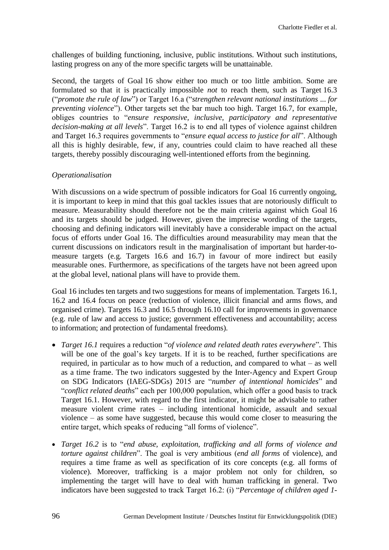challenges of building functioning, inclusive, public institutions. Without such institutions, lasting progress on any of the more specific targets will be unattainable.

Second, the targets of Goal 16 show either too much or too little ambition. Some are formulated so that it is practically impossible *not* to reach them, such as Target 16.3 ("*promote the rule of law*") or Target 16.a ("*strengthen relevant national institutions* ... *for preventing violence*"). Other targets set the bar much too high. Target 16.7, for example, obliges countries to "*ensure responsive, inclusive, participatory and representative decision-making at all levels*". Target 16.2 is to end all types of violence against children and Target 16.3 requires governments to "*ensure equal access to justice for all*". Although all this is highly desirable, few, if any, countries could claim to have reached all these targets, thereby possibly discouraging well-intentioned efforts from the beginning.

### *Operationalisation*

With discussions on a wide spectrum of possible indicators for Goal 16 currently ongoing, it is important to keep in mind that this goal tackles issues that are notoriously difficult to measure. Measurability should therefore not be the main criteria against which Goal 16 and its targets should be judged. However, given the imprecise wording of the targets, choosing and defining indicators will inevitably have a considerable impact on the actual focus of efforts under Goal 16. The difficulties around measurability may mean that the current discussions on indicators result in the marginalisation of important but harder-tomeasure targets (e.g. Targets 16.6 and 16.7) in favour of more indirect but easily measurable ones. Furthermore, as specifications of the targets have not been agreed upon at the global level, national plans will have to provide them.

Goal 16 includes ten targets and two suggestions for means of implementation. Targets 16.1, 16.2 and 16.4 focus on peace (reduction of violence, illicit financial and arms flows, and organised crime). Targets 16.3 and 16.5 through 16.10 call for improvements in governance (e.g. rule of law and access to justice; government effectiveness and accountability; access to information; and protection of fundamental freedoms).

- *Target 16.1* requires a reduction "*of violence and related death rates everywhere*"*.* This will be one of the goal's key targets. If it is to be reached, further specifications are required, in particular as to how much of a reduction, and compared to what – as well as a time frame. The two indicators suggested by the Inter-Agency and Expert Group on SDG Indicators (IAEG-SDGs) 2015 are "*number of intentional homicides*" and "*conflict related deaths*" each per 100,000 population, which offer a good basis to track Target 16.1. However, with regard to the first indicator, it might be advisable to rather measure violent crime rates – including intentional homicide, assault and sexual violence – as some have suggested, because this would come closer to measuring the entire target, which speaks of reducing "all forms of violence".
- *Target 16.2* is to "*end abuse, exploitation, trafficking and all forms of violence and torture against children*". The goal is very ambitious (*end all forms* of violence), and requires a time frame as well as specification of its core concepts (e.g. all forms of violence). Moreover, trafficking is a major problem not only for children, so implementing the target will have to deal with human trafficking in general. Two indicators have been suggested to track Target 16.2: (i) "*Percentage of children aged 1-*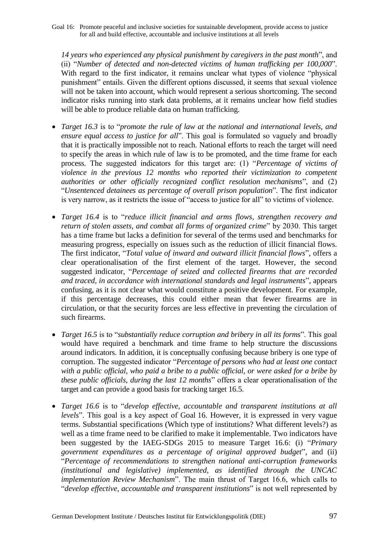Goal 16: Promote peaceful and inclusive societies for sustainable development, provide access to justice for all and build effective, accountable and inclusive institutions at all levels

*14 years who experienced any physical punishment by caregivers in the past month*", and (ii) "*Number of detected and non-detected victims of human trafficking per 100,000*". With regard to the first indicator, it remains unclear what types of violence "physical punishment" entails. Given the different options discussed, it seems that sexual violence will not be taken into account, which would represent a serious shortcoming. The second indicator risks running into stark data problems, at it remains unclear how field studies will be able to produce reliable data on human trafficking.

- *Target 16.3* is to "*promote the rule of law at the national and international levels, and ensure equal access to justice for all*". This goal is formulated so vaguely and broadly that it is practically impossible not to reach. National efforts to reach the target will need to specify the areas in which rule of law is to be promoted, and the time frame for each process. The suggested indicators for this target are: (1) "*Percentage of victims of violence in the previous 12 months who reported their victimization to competent authorities or other officially recognized conflict resolution mechanisms*", and (2) "*Unsentenced detainees as percentage of overall prison population*". The first indicator is very narrow, as it restricts the issue of "access to justice for all" to victims of violence.
- *Target 16.4* is to "*reduce illicit financial and arms flows, strengthen recovery and return of stolen assets, and combat all forms of organized crime*" by 2030. This target has a time frame but lacks a definition for several of the terms used and benchmarks for measuring progress, especially on issues such as the reduction of illicit financial flows. The first indicator, "*Total value of inward and outward illicit financial flows*", offers a clear operationalisation of the first element of the target. However, the second suggested indicator, "*Percentage of seized and collected firearms that are recorded and traced, in accordance with international standards and legal instruments*", appears confusing, as it is not clear what would constitute a positive development. For example, if this percentage decreases, this could either mean that fewer firearms are in circulation, or that the security forces are less effective in preventing the circulation of such firearms.
- *Target 16.5* is to "*substantially reduce corruption and bribery in all its forms*". This goal would have required a benchmark and time frame to help structure the discussions around indicators. In addition, it is conceptually confusing because bribery is one type of corruption. The suggested indicator "*Percentage of persons who had at least one contact with a public official, who paid a bribe to a public official, or were asked for a bribe by these public officials, during the last 12 months*" offers a clear operationalisation of the target and can provide a good basis for tracking target 16.5.
- *Target 16.6* is to "*develop effective, accountable and transparent institutions at all levels*". This goal is a key aspect of Goal 16. However, it is expressed in very vague terms. Substantial specifications (Which type of institutions? What different levels?) as well as a time frame need to be clarified to make it implementable. Two indicators have been suggested by the IAEG-SDGs 2015 to measure Target 16.6: (i) "*Primary government expenditures as a percentage of original approved budget*", and (ii) "*Percentage of recommendations to strengthen national anti-corruption frameworks (institutional and legislative) implemented, as identified through the UNCAC implementation Review Mechanism*". The main thrust of Target 16.6, which calls to "*develop effective, accountable and transparent institutions*" is not well represented by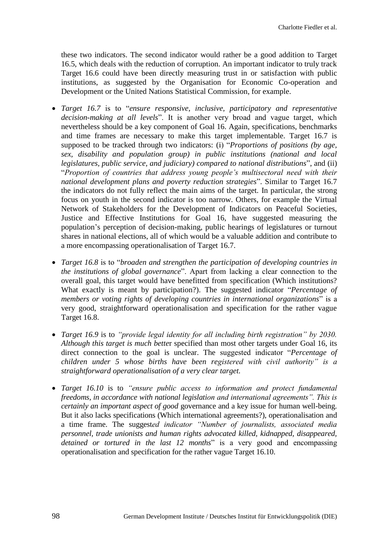these two indicators. The second indicator would rather be a good addition to Target 16.5, which deals with the reduction of corruption. An important indicator to truly track Target 16.6 could have been directly measuring trust in or satisfaction with public institutions, as suggested by the Organisation for Economic Co-operation and Development or the United Nations Statistical Commission, for example.

- *Target 16.7* is to "*ensure responsive, inclusive, participatory and representative decision-making at all levels*". It is another very broad and vague target, which nevertheless should be a key component of Goal 16. Again, specifications, benchmarks and time frames are necessary to make this target implementable. Target 16.7 is supposed to be tracked through two indicators: (i) "*Proportions of positions (by age, sex, disability and population group) in public institutions (national and local legislatures, public service, and judiciary) compared to national distributions*", and (ii) "*Proportion of countries that address young people's multisectoral need with their national development plans and poverty reduction strategies*". Similar to Target 16.7 the indicators do not fully reflect the main aims of the target. In particular, the strong focus on youth in the second indicator is too narrow. Others, for example the Virtual Network of Stakeholders for the Development of Indicators on Peaceful Societies, Justice and Effective Institutions for Goal 16, have suggested measuring the population's perception of decision-making, public hearings of legislatures or turnout shares in national elections, all of which would be a valuable addition and contribute to a more encompassing operationalisation of Target 16.7.
- *Target 16.8* is to "*broaden and strengthen the participation of developing countries in the institutions of global governance*". Apart from lacking a clear connection to the overall goal, this target would have benefitted from specification (Which institutions? What exactly is meant by participation?). The suggested indicator "*Percentage of members or voting rights of developing countries in international organizations*" is a very good, straightforward operationalisation and specification for the rather vague Target 16.8.
- *Target 16.9* is to *"provide legal identity for all including birth registration" by 2030. Although this target is much bette*r specified than most other targets under Goal 16, its direct connection to the goal is unclear. The suggested indicator "*Percentage of children under 5 whose births have been registered with civil authority" is a straightforward operationalisation of a very clear target.*
- *Target 16.10* is to *"ensure public access to information and protect fundamental freedoms, in accordance with national legislation and international agreements". This is certainly an important aspect of good* governance and a key issue for human well-being. But it also lacks specifications (Which international agreements?), operationalisation and a time frame. The suggest*ed indicator "Number of journalists, associated media personnel, trade unionists and human rights advocated killed, kidnapped, disappeared, detained or tortured in the last 12 months*" is a very good and encompassing operationalisation and specification for the rather vague Target 16.10.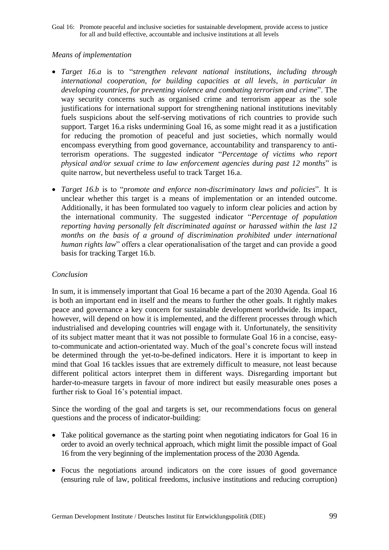Goal 16: Promote peaceful and inclusive societies for sustainable development, provide access to justice for all and build effective, accountable and inclusive institutions at all levels

#### *Means of implementation*

- *Target 16.a* is to "*strengthen relevant national institutions, including through international cooperation, for building capacities at all levels, in particular in developing countries, for preventing violence and combating terrorism and crime*". The way security concerns such as organised crime and terrorism appear as the sole justifications for international support for strengthening national institutions inevitably fuels suspicions about the self-serving motivations of rich countries to provide such support. Target 16.a risks undermining Goal 16, as some might read it as a justification for reducing the promotion of peaceful and just societies, which normally would encompass everything from good governance, accountability and transparency to antiterrorism operations. The suggested indicator "*Percentage of victims who report physical and/or sexual crime to law enforcement agencies during past 12 months*" is quite narrow, but nevertheless useful to track Target 16.a.
- *Target 16.b* is to "*promote and enforce non-discriminatory laws and policies*". It is unclear whether this target is a means of implementation or an intended outcome. Additionally, it has been formulated too vaguely to inform clear policies and action by the international community. The suggested indicator "*Percentage of population reporting having personally felt discriminated against or harassed within the last 12*  months on the basis of a ground of discrimination prohibited under international *human rights law*" offers a clear operationalisation of the target and can provide a good basis for tracking Target 16.b.

# *Conclusion*

In sum, it is immensely important that Goal 16 became a part of the 2030 Agenda. Goal 16 is both an important end in itself and the means to further the other goals. It rightly makes peace and governance a key concern for sustainable development worldwide. Its impact, however, will depend on how it is implemented, and the different processes through which industrialised and developing countries will engage with it. Unfortunately, the sensitivity of its subject matter meant that it was not possible to formulate Goal 16 in a concise, easyto-communicate and action-orientated way. Much of the goal's concrete focus will instead be determined through the yet-to-be-defined indicators. Here it is important to keep in mind that Goal 16 tackles issues that are extremely difficult to measure, not least because different political actors interpret them in different ways. Disregarding important but harder-to-measure targets in favour of more indirect but easily measurable ones poses a further risk to Goal 16's potential impact.

Since the wording of the goal and targets is set, our recommendations focus on general questions and the process of indicator-building:

- Take political governance as the starting point when negotiating indicators for Goal 16 in order to avoid an overly technical approach, which might limit the possible impact of Goal 16 from the very beginning of the implementation process of the 2030 Agenda.
- Focus the negotiations around indicators on the core issues of good governance (ensuring rule of law, political freedoms, inclusive institutions and reducing corruption)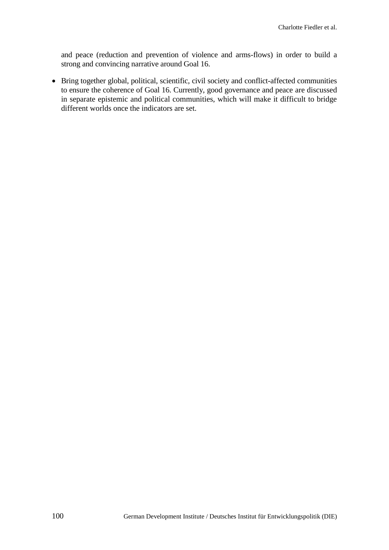and peace (reduction and prevention of violence and arms-flows) in order to build a strong and convincing narrative around Goal 16.

 Bring together global, political, scientific, civil society and conflict-affected communities to ensure the coherence of Goal 16. Currently, good governance and peace are discussed in separate epistemic and political communities, which will make it difficult to bridge different worlds once the indicators are set.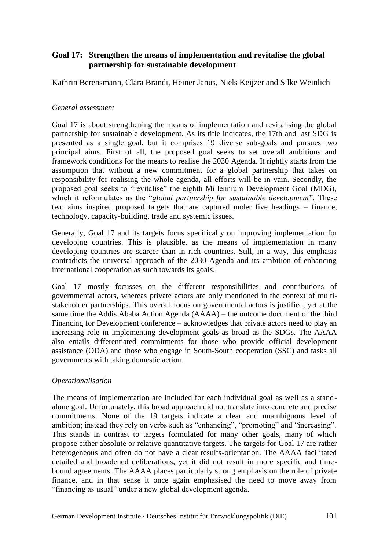Kathrin Berensmann, Clara Brandi, Heiner Janus, Niels Keijzer and Silke Weinlich

#### *General assessment*

Goal 17 is about strengthening the means of implementation and revitalising the global partnership for sustainable development. As its title indicates, the 17th and last SDG is presented as a single goal, but it comprises 19 diverse sub-goals and pursues two principal aims. First of all, the proposed goal seeks to set overall ambitions and framework conditions for the means to realise the 2030 Agenda. It rightly starts from the assumption that without a new commitment for a global partnership that takes on responsibility for realising the whole agenda, all efforts will be in vain. Secondly, the proposed goal seeks to "revitalise" the eighth Millennium Development Goal (MDG), which it reformulates as the "*global partnership for sustainable development*". These two aims inspired proposed targets that are captured under five headings – finance, technology, capacity-building, trade and systemic issues.

Generally, Goal 17 and its targets focus specifically on improving implementation for developing countries. This is plausible, as the means of implementation in many developing countries are scarcer than in rich countries. Still, in a way, this emphasis contradicts the universal approach of the 2030 Agenda and its ambition of enhancing international cooperation as such towards its goals.

Goal 17 mostly focusses on the different responsibilities and contributions of governmental actors, whereas private actors are only mentioned in the context of multistakeholder partnerships. This overall focus on governmental actors is justified, yet at the same time the Addis Ababa Action Agenda (AAAA) – the outcome document of the third Financing for Development conference – acknowledges that private actors need to play an increasing role in implementing development goals as broad as the SDGs. The AAAA also entails differentiated commitments for those who provide official development assistance (ODA) and those who engage in South-South cooperation (SSC) and tasks all governments with taking domestic action.

#### *Operationalisation*

The means of implementation are included for each individual goal as well as a standalone goal. Unfortunately, this broad approach did not translate into concrete and precise commitments. None of the 19 targets indicate a clear and unambiguous level of ambition; instead they rely on verbs such as "enhancing", "promoting" and "increasing". This stands in contrast to targets formulated for many other goals, many of which propose either absolute or relative quantitative targets. The targets for Goal 17 are rather heterogeneous and often do not have a clear results-orientation. The AAAA facilitated detailed and broadened deliberations, yet it did not result in more specific and timebound agreements. The AAAA places particularly strong emphasis on the role of private finance, and in that sense it once again emphasised the need to move away from "financing as usual" under a new global development agenda.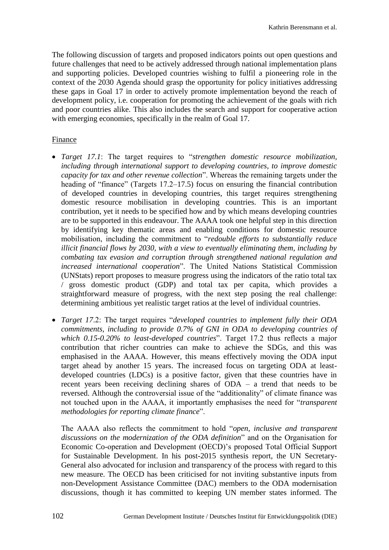The following discussion of targets and proposed indicators points out open questions and future challenges that need to be actively addressed through national implementation plans and supporting policies. Developed countries wishing to fulfil a pioneering role in the context of the 2030 Agenda should grasp the opportunity for policy initiatives addressing these gaps in Goal 17 in order to actively promote implementation beyond the reach of development policy, i.e. cooperation for promoting the achievement of the goals with rich and poor countries alike. This also includes the search and support for cooperative action with emerging economies, specifically in the realm of Goal 17.

#### Finance

- *Target 17.1*: The target requires to "*strengthen domestic resource mobilization, including through international support to developing countries, to improve domestic capacity for tax and other revenue collection*". Whereas the remaining targets under the heading of "finance" (Targets 17.2–17.5) focus on ensuring the financial contribution of developed countries in developing countries, this target requires strengthening domestic resource mobilisation in developing countries. This is an important contribution, yet it needs to be specified how and by which means developing countries are to be supported in this endeavour. The AAAA took one helpful step in this direction by identifying key thematic areas and enabling conditions for domestic resource mobilisation, including the commitment to "*redouble efforts to substantially reduce illicit financial flows by 2030, with a view to eventually eliminating them, including by combating tax evasion and corruption through strengthened national regulation and increased international cooperation*". The United Nations Statistical Commission (UNStats) report proposes to measure progress using the indicators of the ratio total tax / gross domestic product (GDP) and total tax per capita, which provides a straightforward measure of progress, with the next step posing the real challenge: determining ambitious yet realistic target ratios at the level of individual countries.
- *Target 17*.2: The target requires "*developed countries to implement fully their ODA commitments, including to provide 0.7% of GNI in ODA to developing countries of which 0.15-0.20% to least-developed countries*". Target 17.2 thus reflects a major contribution that richer countries can make to achieve the SDGs, and this was emphasised in the AAAA. However, this means effectively moving the ODA input target ahead by another 15 years. The increased focus on targeting ODA at leastdeveloped countries (LDCs) is a positive factor, given that these countries have in recent years been receiving declining shares of ODA – a trend that needs to be reversed. Although the controversial issue of the "additionality" of climate finance was not touched upon in the AAAA, it importantly emphasises the need for "*transparent methodologies for reporting climate finance*".

The AAAA also reflects the commitment to hold "*open, inclusive and transparent discussions on the modernization of the ODA definition*" and on the Organisation for Economic Co-operation and Development (OECD)'s proposed Total Official Support for Sustainable Development. In his post-2015 synthesis report, the UN Secretary-General also advocated for inclusion and transparency of the process with regard to this new measure. The OECD has been criticised for not inviting substantive inputs from non-Development Assistance Committee (DAC) members to the ODA modernisation discussions, though it has committed to keeping UN member states informed. The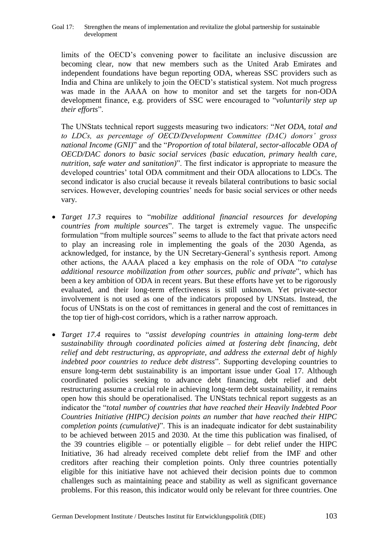limits of the OECD's convening power to facilitate an inclusive discussion are becoming clear, now that new members such as the United Arab Emirates and independent foundations have begun reporting ODA, whereas SSC providers such as India and China are unlikely to join the OECD's statistical system. Not much progress was made in the AAAA on how to monitor and set the targets for non-ODA development finance, e.g. providers of SSC were encouraged to "*voluntarily step up their efforts*".

The UNStats technical report suggests measuring two indicators: "*Net ODA, total and to LDCs, as percentage of OECD/Development Committee (DAC) donors' gross national Income (GNI)*" and the "*Proportion of total bilateral, sector-allocable ODA of OECD/DAC donors to basic social services (basic education, primary health care, nutrition, safe water and sanitation)*". The first indicator is appropriate to measure the developed countries' total ODA commitment and their ODA allocations to LDCs. The second indicator is also crucial because it reveals bilateral contributions to basic social services. However, developing countries' needs for basic social services or other needs vary.

- *Target 17.3* requires to "*mobilize additional financial resources for developing countries from multiple sources*". The target is extremely vague. The unspecific formulation "from multiple sources" seems to allude to the fact that private actors need to play an increasing role in implementing the goals of the 2030 Agenda, as acknowledged, for instance, by the UN Secretary-General's synthesis report. Among other actions, the AAAA placed a key emphasis on the role of ODA "*to catalyse additional resource mobilization from other sources, public and private*", which has been a key ambition of ODA in recent years. But these efforts have yet to be rigorously evaluated, and their long-term effectiveness is still unknown. Yet private-sector involvement is not used as one of the indicators proposed by UNStats. Instead, the focus of UNStats is on the cost of remittances in general and the cost of remittances in the top tier of high-cost corridors, which is a rather narrow approach.
- *Target 17.4* requires to "*assist developing countries in attaining long-term debt sustainability through coordinated policies aimed at fostering debt financing, debt relief and debt restructuring, as appropriate, and address the external debt of highly indebted poor countries to reduce debt distress*". Supporting developing countries to ensure long-term debt sustainability is an important issue under Goal 17. Although coordinated policies seeking to advance debt financing, debt relief and debt restructuring assume a crucial role in achieving long-term debt sustainability, it remains open how this should be operationalised. The UNStats technical report suggests as an indicator the "*total number of countries that have reached their Heavily Indebted Poor Countries Initiative (HIPC) decision points an number that have reached their HIPC completion points (cumulative)*". This is an inadequate indicator for debt sustainability to be achieved between 2015 and 2030. At the time this publication was finalised, of the 39 countries eligible – or potentially eligible – for debt relief under the HIPC Initiative, 36 had already received complete debt relief from the IMF and other creditors after reaching their completion points. Only three countries potentially eligible for this initiative have not achieved their decision points due to common challenges such as maintaining peace and stability as well as significant governance problems. For this reason, this indicator would only be relevant for three countries. One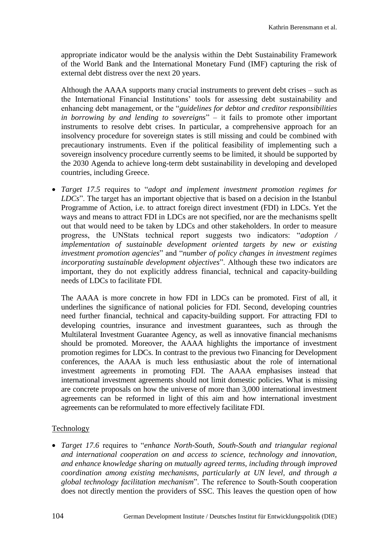appropriate indicator would be the analysis within the Debt Sustainability Framework of the World Bank and the International Monetary Fund (IMF) capturing the risk of external debt distress over the next 20 years.

Although the AAAA supports many crucial instruments to prevent debt crises – such as the International Financial Institutions' tools for assessing debt sustainability and enhancing debt management, or the "*guidelines for debtor and creditor responsibilities in borrowing by and lending to sovereigns*" – it fails to promote other important instruments to resolve debt crises. In particular, a comprehensive approach for an insolvency procedure for sovereign states is still missing and could be combined with precautionary instruments. Even if the political feasibility of implementing such a sovereign insolvency procedure currently seems to be limited, it should be supported by the 2030 Agenda to achieve long-term debt sustainability in developing and developed countries, including Greece.

 *Target 17.5* requires to "*adopt and implement investment promotion regimes for LDCs*". The target has an important objective that is based on a decision in the Istanbul Programme of Action, i.e. to attract foreign direct investment (FDI) in LDCs. Yet the ways and means to attract FDI in LDCs are not specified, nor are the mechanisms spellt out that would need to be taken by LDCs and other stakeholders. In order to measure progress, the UNStats technical report suggests two indicators: "*adoption / implementation of sustainable development oriented targets by new or existing investment promotion agencies*" and "*number of policy changes in investment regimes incorporating sustainable development objectives*". Although these two indicators are important, they do not explicitly address financial, technical and capacity-building needs of LDCs to facilitate FDI.

The AAAA is more concrete in how FDI in LDCs can be promoted. First of all, it underlines the significance of national policies for FDI. Second, developing countries need further financial, technical and capacity-building support. For attracting FDI to developing countries, insurance and investment guarantees, such as through the Multilateral Investment Guarantee Agency, as well as innovative financial mechanisms should be promoted. Moreover, the AAAA highlights the importance of investment promotion regimes for LDCs. In contrast to the previous two Financing for Development conferences, the AAAA is much less enthusiastic about the role of international investment agreements in promoting FDI. The AAAA emphasises instead that international investment agreements should not limit domestic policies. What is missing are concrete proposals on how the universe of more than 3,000 international investment agreements can be reformed in light of this aim and how international investment agreements can be reformulated to more effectively facilitate FDI.

#### Technology

 *Target 17.6* requires to "*enhance North-South, South-South and triangular regional and international cooperation on and access to science, technology and innovation, and enhance knowledge sharing on mutually agreed terms, including through improved coordination among existing mechanisms, particularly at UN level, and through a global technology facilitation mechanism*". The reference to South-South cooperation does not directly mention the providers of SSC. This leaves the question open of how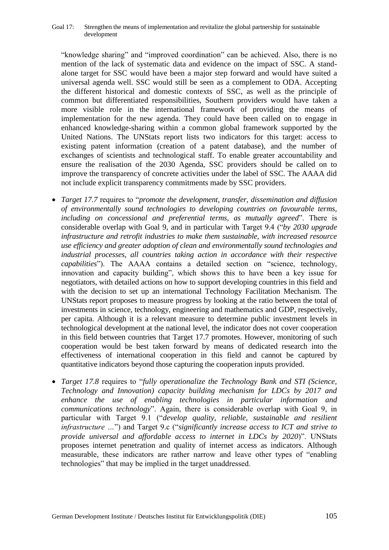"knowledge sharing" and "improved coordination" can be achieved. Also, there is no mention of the lack of systematic data and evidence on the impact of SSC. A standalone target for SSC would have been a major step forward and would have suited a universal agenda well. SSC would still be seen as a complement to ODA. Accepting the different historical and domestic contexts of SSC, as well as the principle of common but differentiated responsibilities, Southern providers would have taken a more visible role in the international framework of providing the means of implementation for the new agenda. They could have been called on to engage in enhanced knowledge-sharing within a common global framework supported by the United Nations. The UNStats report lists two indicators for this target: access to existing patent information (creation of a patent database), and the number of exchanges of scientists and technological staff. To enable greater accountability and ensure the realisation of the 2030 Agenda, SSC providers should be called on to improve the transparency of concrete activities under the label of SSC. The AAAA did not include explicit transparency commitments made by SSC providers.

- *Target 17.7* requires to "*promote the development, transfer, dissemination and diffusion of environmentally sound technologies to developing countries on favourable terms, including on concessional and preferential terms, as mutually agreed*". There is considerable overlap with Goal 9, and in particular with Target 9.4 ("*by 2030 upgrade infrastructure and retrofit industries to make them sustainable, with increased resource use efficiency and greater adoption of clean and environmentally sound technologies and industrial processes, all countries taking action in accordance with their respective capabilities*"). The AAAA contains a detailed section on "science, technology, innovation and capacity building", which shows this to have been a key issue for negotiators, with detailed actions on how to support developing countries in this field and with the decision to set up an international Technology Facilitation Mechanism. The UNStats report proposes to measure progress by looking at the ratio between the total of investments in science, technology, engineering and mathematics and GDP, respectively, per capita. Although it is a relevant measure to determine public investment levels in technological development at the national level, the indicator does not cover cooperation in this field between countries that Target 17.7 promotes. However, monitoring of such cooperation would be best taken forward by means of dedicated research into the effectiveness of international cooperation in this field and cannot be captured by quantitative indicators beyond those capturing the cooperation inputs provided.
- *Target 17.8* requires to "*fully operationalize the Technology Bank and STI (Science, Technology and Innovation) capacity building mechanism for LDCs by 2017 and enhance the use of enabling technologies in particular information and communications technology*". Again, there is considerable overlap with Goal 9, in particular with Target 9.1 ("*develop quality, reliable, sustainable and resilient infrastructure …*") and Target 9.c ("*significantly increase access to ICT and strive to provide universal and affordable access to internet in LDCs by 2020*)". UNStats proposes internet penetration and quality of internet access as indicators. Although measurable, these indicators are rather narrow and leave other types of "enabling technologies" that may be implied in the target unaddressed.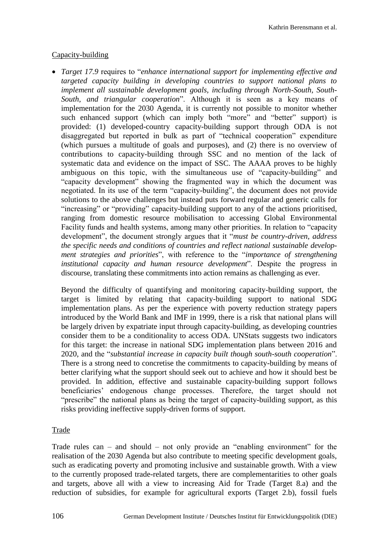## Capacity-building

 *Target 17.9* requires to "*enhance international support for implementing effective and targeted capacity building in developing countries to support national plans to implement all sustainable development goals, including through North-South, South-South, and triangular cooperation*". Although it is seen as a key means of implementation for the 2030 Agenda, it is currently not possible to monitor whether such enhanced support (which can imply both "more" and "better" support) is provided: (1) developed-country capacity-building support through ODA is not disaggregated but reported in bulk as part of "technical cooperation" expenditure (which pursues a multitude of goals and purposes), and (2) there is no overview of contributions to capacity-building through SSC and no mention of the lack of systematic data and evidence on the impact of SSC. The AAAA proves to be highly ambiguous on this topic, with the simultaneous use of "capacity-building" and "capacity development" showing the fragmented way in which the document was negotiated. In its use of the term "capacity-building", the document does not provide solutions to the above challenges but instead puts forward regular and generic calls for "increasing" or "providing" capacity-building support to any of the actions prioritised, ranging from domestic resource mobilisation to accessing Global Environmental Facility funds and health systems, among many other priorities. In relation to "capacity development", the document strongly argues that it "*must be country-driven, address the specific needs and conditions of countries and reflect national sustainable development strategies and priorities*", with reference to the "*importance of strengthening institutional capacity and human resource development*". Despite the progress in discourse, translating these commitments into action remains as challenging as ever.

Beyond the difficulty of quantifying and monitoring capacity-building support, the target is limited by relating that capacity-building support to national SDG implementation plans. As per the experience with poverty reduction strategy papers introduced by the World Bank and IMF in 1999, there is a risk that national plans will be largely driven by expatriate input through capacity-building, as developing countries consider them to be a conditionality to access ODA. UNStats suggests two indicators for this target: the increase in national SDG implementation plans between 2016 and 2020, and the "*substantial increase in capacity built though south-south cooperation*". There is a strong need to concretise the commitments to capacity-building by means of better clarifying what the support should seek out to achieve and how it should best be provided. In addition, effective and sustainable capacity-building support follows beneficiaries' endogenous change processes. Therefore, the target should not "prescribe" the national plans as being the target of capacity-building support, as this risks providing ineffective supply-driven forms of support.

## Trade

Trade rules can – and should – not only provide an "enabling environment" for the realisation of the 2030 Agenda but also contribute to meeting specific development goals, such as eradicating poverty and promoting inclusive and sustainable growth. With a view to the currently proposed trade-related targets, there are complementarities to other goals and targets, above all with a view to increasing Aid for Trade (Target 8.a) and the reduction of subsidies, for example for agricultural exports (Target 2.b), fossil fuels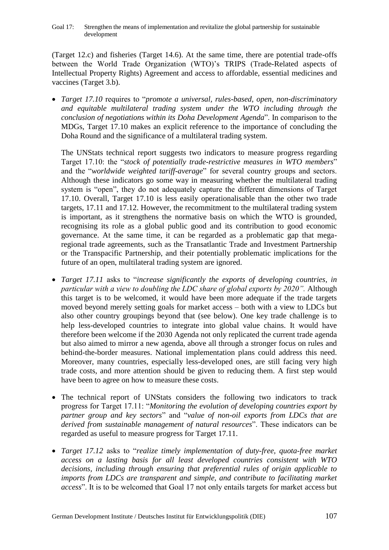(Target 12.c) and fisheries (Target 14.6). At the same time, there are potential trade-offs between the World Trade Organization (WTO)'s TRIPS (Trade-Related aspects of Intellectual Property Rights) Agreement and access to affordable, essential medicines and vaccines (Target 3.b).

 *Target 17.10* requires to "*promote a universal, rules-based, open, non-discriminatory and equitable multilateral trading system under the WTO including through the conclusion of negotiations within its Doha Development Agenda*". In comparison to the MDGs, Target 17.10 makes an explicit reference to the importance of concluding the Doha Round and the significance of a multilateral trading system.

The UNStats technical report suggests two indicators to measure progress regarding Target 17.10: the "*stock of potentially trade-restrictive measures in WTO members*" and the "*worldwide weighted tariff-average*" for several country groups and sectors. Although these indicators go some way in measuring whether the multilateral trading system is "open", they do not adequately capture the different dimensions of Target 17.10. Overall, Target 17.10 is less easily operationalisable than the other two trade targets, 17.11 and 17.12. However, the recommitment to the multilateral trading system is important, as it strengthens the normative basis on which the WTO is grounded, recognising its role as a global public good and its contribution to good economic governance. At the same time, it can be regarded as a problematic gap that megaregional trade agreements, such as the Transatlantic Trade and Investment Partnership or the Transpacific Partnership, and their potentially problematic implications for the future of an open, multilateral trading system are ignored.

- *Target 17.11* asks to "*increase significantly the exports of developing countries, in particular with a view to doubling the LDC share of global exports by 2020".* Although this target is to be welcomed, it would have been more adequate if the trade targets moved beyond merely setting goals for market access – both with a view to LDCs but also other country groupings beyond that (see below). One key trade challenge is to help less-developed countries to integrate into global value chains. It would have therefore been welcome if the 2030 Agenda not only replicated the current trade agenda but also aimed to mirror a new agenda, above all through a stronger focus on rules and behind-the-border measures. National implementation plans could address this need. Moreover, many countries, especially less-developed ones, are still facing very high trade costs, and more attention should be given to reducing them. A first step would have been to agree on how to measure these costs.
- The technical report of UNStats considers the following two indicators to track progress for Target 17.11: "*Monitoring the evolution of developing countries export by partner group and key sectors*" and "*value of non-oil exports from LDCs that are derived from sustainable management of natural resources*". These indicators can be regarded as useful to measure progress for Target 17.11.
- *Target 17.12* asks to "*realize timely implementation of duty-free, quota-free market access on a lasting basis for all least developed countries consistent with WTO decisions, including through ensuring that preferential rules of origin applicable to imports from LDCs are transparent and simple, and contribute to facilitating market access*". It is to be welcomed that Goal 17 not only entails targets for market access but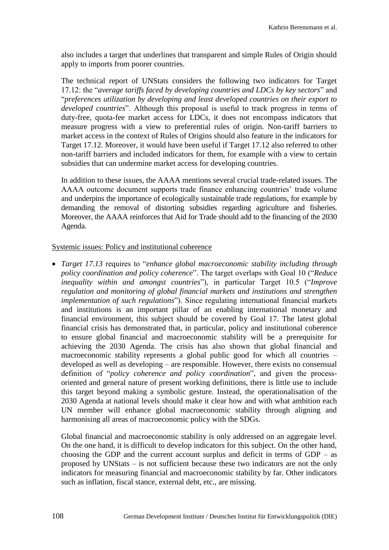also includes a target that underlines that transparent and simple Rules of Origin should apply to imports from poorer countries.

The technical report of UNStats considers the following two indicators for Target 17.12: the "*average tariffs faced by developing countries and LDCs by key sectors*" and "*preferences utilization by developing and least developed countries on their export to developed countries*". Although this proposal is useful to track progress in terms of duty-free, quota-fee market access for LDCs, it does not encompass indicators that measure progress with a view to preferential rules of origin. Non-tariff barriers to market access in the context of Rules of Origins should also feature in the indicators for Target 17.12. Moreover, it would have been useful if Target 17.12 also referred to other non-tariff barriers and included indicators for them, for example with a view to certain subsidies that can undermine market access for developing countries.

In addition to these issues, the AAAA mentions several crucial trade-related issues. The AAAA outcome document supports trade finance enhancing countries' trade volume and underpins the importance of ecologically sustainable trade regulations, for example by demanding the removal of distorting subsidies regarding agriculture and fisheries. Moreover, the AAAA reinforces that Aid for Trade should add to the financing of the 2030 Agenda.

## Systemic issues: Policy and institutional coherence

 *Target 17.13* requires to "*enhance global macroeconomic stability including through policy coordination and policy coherence*". The target overlaps with Goal 10 ("*Reduce inequality within and amongst countries*"), in particular Target 10.5 ("*Improve regulation and monitoring of global financial markets and institutions and strengthen implementation of such regulations*"). Since regulating international financial markets and institutions is an important pillar of an enabling international monetary and financial environment, this subject should be covered by Goal 17. The latest global financial crisis has demonstrated that, in particular, policy and institutional coherence to ensure global financial and macroeconomic stability will be a prerequisite for achieving the 2030 Agenda. The crisis has also shown that global financial and macroeconomic stability represents a global public good for which all countries – developed as well as developing – are responsible. However, there exists no consensual definition of "*policy coherence and policy coordination*", and given the processoriented and general nature of present working definitions, there is little use to include this target beyond making a symbolic gesture. Instead, the operationalisation of the 2030 Agenda at national levels should make it clear how and with what ambition each UN member will enhance global macroeconomic stability through aligning and harmonising all areas of macroeconomic policy with the SDGs.

Global financial and macroeconomic stability is only addressed on an aggregate level. On the one hand, it is difficult to develop indicators for this subject. On the other hand, choosing the GDP and the current account surplus and deficit in terms of GDP – as proposed by UNStats – is not sufficient because these two indicators are not the only indicators for measuring financial and macroeconomic stability by far. Other indicators such as inflation, fiscal stance, external debt, etc., are missing.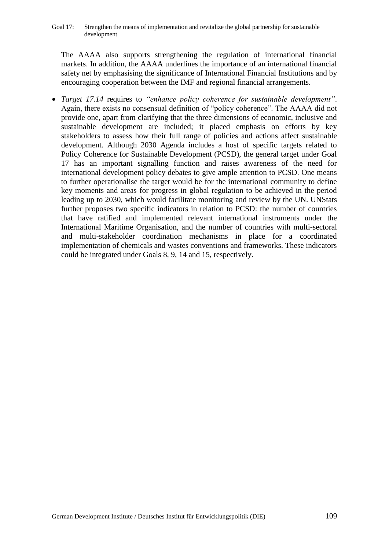The AAAA also supports strengthening the regulation of international financial markets. In addition, the AAAA underlines the importance of an international financial safety net by emphasising the significance of International Financial Institutions and by encouraging cooperation between the IMF and regional financial arrangements.

 *Target 17.14* requires to *"enhance policy coherence for sustainable development"*. Again, there exists no consensual definition of "policy coherence". The AAAA did not provide one, apart from clarifying that the three dimensions of economic, inclusive and sustainable development are included; it placed emphasis on efforts by key stakeholders to assess how their full range of policies and actions affect sustainable development. Although 2030 Agenda includes a host of specific targets related to Policy Coherence for Sustainable Development (PCSD), the general target under Goal 17 has an important signalling function and raises awareness of the need for international development policy debates to give ample attention to PCSD. One means to further operationalise the target would be for the international community to define key moments and areas for progress in global regulation to be achieved in the period leading up to 2030, which would facilitate monitoring and review by the UN. UNStats further proposes two specific indicators in relation to PCSD: the number of countries that have ratified and implemented relevant international instruments under the International Maritime Organisation, and the number of countries with multi-sectoral and multi-stakeholder coordination mechanisms in place for a coordinated implementation of chemicals and wastes conventions and frameworks. These indicators could be integrated under Goals 8, 9, 14 and 15, respectively.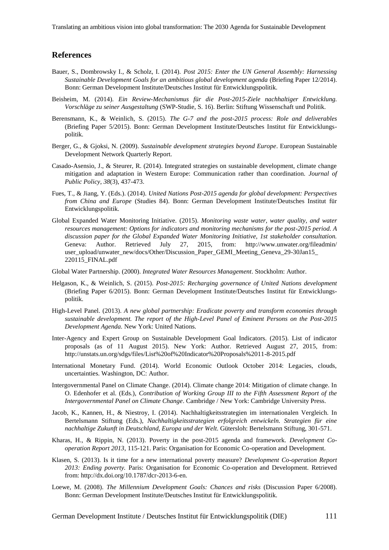Translating an ambitious vision into global transformation: The 2030 Agenda for Sustainable Development

#### **References**

- Bauer, S., Dombrowsky I., & Scholz, I. (2014). *Post 2015: Enter the UN General Assembly: Harnessing Sustainable Development Goals for an ambitious global development agenda* (Briefing Paper 12/2014). Bonn: German Development Institute/Deutsches Institut für Entwicklungspolitik.
- Beisheim, M. (2014). *Ein Review-Mechanismus für die Post-2015-Ziele nachhaltiger Entwicklung. Vorschläge zu seiner Ausgestaltung* (SWP-Studie, S. 16). Berlin: Stiftung Wissenschaft und Politik.
- Berensmann, K., & Weinlich, S. (2015). *The G-7 and the post-2015 process: Role and deliverables* (Briefing Paper 5/2015). Bonn: German Development Institute/Deutsches Institut für Entwicklungspolitik.
- Berger, G., & Gjoksi, N. (2009). *Sustainable development strategies beyond Europe*. European Sustainable Development Network Quarterly Report.
- Casado-Asensio, J., & Steurer, R. (2014). Integrated strategies on sustainable development, climate change mitigation and adaptation in Western Europe: Communication rather than coordination. *Journal of Public Policy*, *38*(3), 437-473.
- Fues, T., & Jiang, Y. (Eds.). (2014). *United Nations Post-2015 agenda for global development: Perspectives from China and Europe* (Studies 84). Bonn: German Development Institute/Deutsches Institut für Entwicklungspolitik.
- Global Expanded Water Monitoring Initiative. (2015). *Monitoring waste water, water quality, and water resources management: Options for indicators and monitoring mechanisms for the post-2015 period. A discussion paper for the Global Expanded Water Monitoring Initiative, 1st stakeholder consultation.* Geneva: Author. Retrieved July 27, 2015, from: http://www.unwater.org/fileadmin/ user\_upload/unwater\_new/docs/Other/Discussion\_Paper\_GEMI\_Meeting\_Geneva\_29-30Jan15\_ 220115\_FINAL.pdf
- Global Water Partnership. (2000). *Integrated Water Resources Management*. Stockholm: Author.
- Helgason, K., & Weinlich, S. (2015). *Post-2015: Recharging governance of United Nations development* (Briefing Paper 6/2015). Bonn: German Development Institute/Deutsches Institut für Entwicklungspolitik.
- High-Level Panel. (2013). *A new global partnership: Eradicate poverty and transform economies through sustainable development. The report of the High-Level Panel of Eminent Persons on the Post-2015 Development Agenda.* New York: United Nations.
- Inter-Agency and Expert Group on Sustainable Development Goal Indicators. (2015). List of indicator proposals (as of 11 August 2015). New York: Author. Retrieved August 27, 2015, from: http://unstats.un.org/sdgs/files/List%20of%20Indicator%20Proposals%2011-8-2015.pdf
- International Monetary Fund. (2014). World Economic Outlook October 2014: Legacies, clouds, uncertainties. Washington, DC: Author.
- Intergovernmental Panel on Climate Change. (2014). Climate change 2014: Mitigation of climate change. In O. Edenhofer et al. (Eds.), *Contribution of Working Group III to the Fifth Assessment Report of the Intergovernmental Panel on Climate Change*. Cambridge / New York: Cambridge University Press.
- Jacob, K., Kannen, H., & Niestroy, I. (2014). Nachhaltigkeitsstrategien im internationalen Vergleich. In Bertelsmann Stiftung (Eds.), *Nachhaltigkeitsstrategien erfolgreich entwickeln. Strategien für eine nachhaltige Zukunft in Deutschland, Europa und der Welt*. Gütersloh: Bertelsmann Stiftung, 301-571.
- Kharas, H., & Rippin, N. (2013). Poverty in the post-2015 agenda and framework. *Development Cooperation Report 2013*, 115-121. Paris: Organisation for Economic Co-operation and Development.
- Klasen, S. (2013). Is it time for a new international poverty measure? *Development Co-operation Report 2013: Ending poverty.* Paris: Organisation for Economic Co-operation and Development. Retrieved from: http://dx.doi.org/10.1787/dcr-2013-6-en.
- Loewe, M. (2008). *The Millennium Development Goals: Chances and risks* (Discussion Paper 6/2008). Bonn: German Development Institute/Deutsches Institut für Entwicklungspolitik.

German Development Institute / Deutsches Institut für Entwicklungspolitik (DIE) 111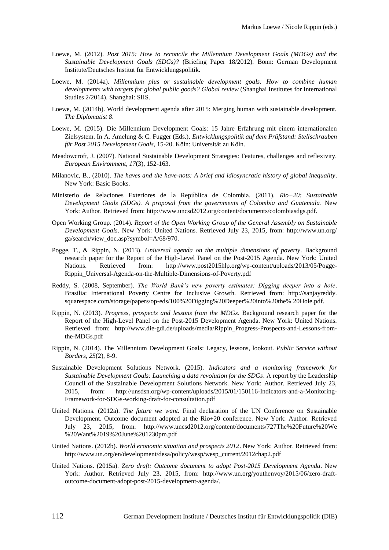- Loewe, M. (2012). *Post 2015: How to reconcile the Millennium Development Goals (MDGs) and the Sustainable Development Goals (SDGs)?* (Briefing Paper 18/2012). Bonn: German Development Institute/Deutsches Institut für Entwicklungspolitik.
- Loewe, M. (2014a). *Millennium plus or sustainable development goals: How to combine human developments with targets for global public goods? Global review* (Shanghai Institutes for International Studies 2/2014). Shanghai: SIIS.
- Loewe, M. (2014b). World development agenda after 2015: Merging human with sustainable development. *The Diplomatist 8*.
- Loewe, M. (2015). Die Millennium Development Goals: 15 Jahre Erfahrung mit einem internationalen Zielsystem. In A. Amelung & C. Fugger (Eds.), *Entwicklungspolitik auf dem Prüfstand: Stellschrauben für Post 2015 Development Goals*, 15-20. Köln: Universität zu Köln.
- Meadowcroft, J. (2007). National Sustainable Development Strategies: Features, challenges and reflexivity. *European Environment, 17*(3), 152-163.
- Milanovic, B., (2010). *The haves and the have-nots: A brief and idiosyncratic history of global inequality*. New York: Basic Books.
- Ministerio de Relaciones Exteriores de la República de Colombia. (2011). *Rio+20: Sustainable Development Goals (SDGs). A proposal from the governments of Colombia and Guatemala*. New York: Author. Retrieved from: http://www.uncsd2012.org/content/documents/colombiasdgs.pdf.
- Open Working Group. (2014). *Report of the Open Working Group of the General Assembly on Sustainable Development Goals*. New York: United Nations. Retrieved July 23, 2015, from: http://www.un.org/ ga/search/view\_doc.asp?symbol=A/68/970.
- Pogge, T., & Rippin, N. (2013). *Universal agenda on the multiple dimensions of poverty*. Background research paper for the Report of the High-Level Panel on the Post-2015 Agenda. New York: United Nations. Retrieved from: http://www.post2015hlp.org/wp-content/uploads/2013/05/Pogge-Rippin\_Universal-Agenda-on-the-Multiple-Dimensions-of-Poverty.pdf
- Reddy, S. (2008, September). *The World Bank's new poverty estimates: Digging deeper into a hole*. Brasilia: International Poverty Centre for Inclusive Growth. Retrieved from: http://sanjayreddy. squarespace.com/storage/papers/op-eds/100%20Digging%20Deeper%20into%20the% 20Hole.pdf.
- Rippin, N. (2013). *Progress, prospects and lessons from the MDGs*. Background research paper for the Report of the High-Level Panel on the Post-2015 Development Agenda. New York: United Nations. Retrieved from: http://www.die-gdi.de/uploads/media/Rippin\_Progress-Prospects-and-Lessons-fromthe-MDGs.pdf
- Rippin, N. (2014). The Millennium Development Goals: Legacy, lessons, lookout. *Public Service without Borders, 25*(2), 8-9.
- Sustainable Development Solutions Network. (2015). *Indicators and a monitoring framework for Sustainable Development Goals: Launching a data revolution for the SDGs*. A report by the Leadership Council of the Sustainable Development Solutions Network. New York: Author. Retrieved July 23, 2015, from: http://unsdsn.org/wp-content/uploads/2015/01/150116-Indicators-and-a-Monitoring-Framework-for-SDGs-working-draft-for-consultation.pdf
- United Nations. (2012a). *The future we want.* Final declaration of the UN Conference on Sustainable Development. Outcome document adopted at the Rio+20 conference. New York: Author. Retrieved July 23, 2015, from: http://www.uncsd2012.org/content/documents/727The%20Future%20We %20Want%2019%20June%201230pm.pdf
- United Nations. (2012b). *World economic situation and prospects 2012*. New York: Author. Retrieved from: [http://www.un.org/en/development/desa/policy/wesp/wesp\\_current/2012chap2.pdf](http://www.un.org/en/development/desa/policy/wesp/wesp_current/2012chap2.pdf)
- United Nations. (2015a). *Zero draft: Outcome document to adopt Post-2015 Development Agenda*. New York: Author. Retrieved July 23, 2015, from: http://www.un.org/youthenvoy/2015/06/zero-draftoutcome-document-adopt-post-2015-development-agenda/.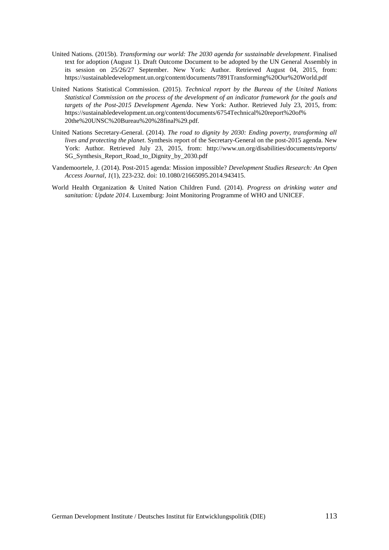- United Nations. (2015b). *Transforming our world: The 2030 agenda for sustainable development*. Finalised text for adoption (August 1). Draft Outcome Document to be adopted by the UN General Assembly in its session on 25/26/27 September. New York: Author. Retrieved August 04, 2015, from: https://sustainabledevelopment.un.org/content/documents/7891Transforming%20Our%20World.pdf
- United Nations Statistical Commission. (2015). *Technical report by the Bureau of the United Nations Statistical Commission on the process of the development of an indicator framework for the goals and targets of the Post-2015 Development Agenda*. New York: Author. Retrieved July 23, 2015, from: https://sustainabledevelopment.un.org/content/documents/6754Technical%20report%20of% 20the%20UNSC%20Bureau%20%28final%29.pdf.
- United Nations Secretary-General. (2014). *The road to dignity by 2030: Ending poverty, transforming all lives and protecting the planet*. Synthesis report of the Secretary-General on the post-2015 agenda. New York: Author. Retrieved July 23, 2015, from: http://www.un.org/disabilities/documents/reports/ SG\_Synthesis\_Report\_Road\_to\_Dignity\_by\_2030.pdf
- Vandemoortele, J. (2014). Post-2015 agenda: Mission impossible? *Development Studies Research: An Open Access Journal*, *1*(1), 223-232. doi: 10.1080/21665095.2014.943415.
- World Health Organization & United Nation Children Fund. (2014). *Progress on drinking water and sanitation: Update 2014*. Luxemburg: Joint Monitoring Programme of WHO and UNICEF.